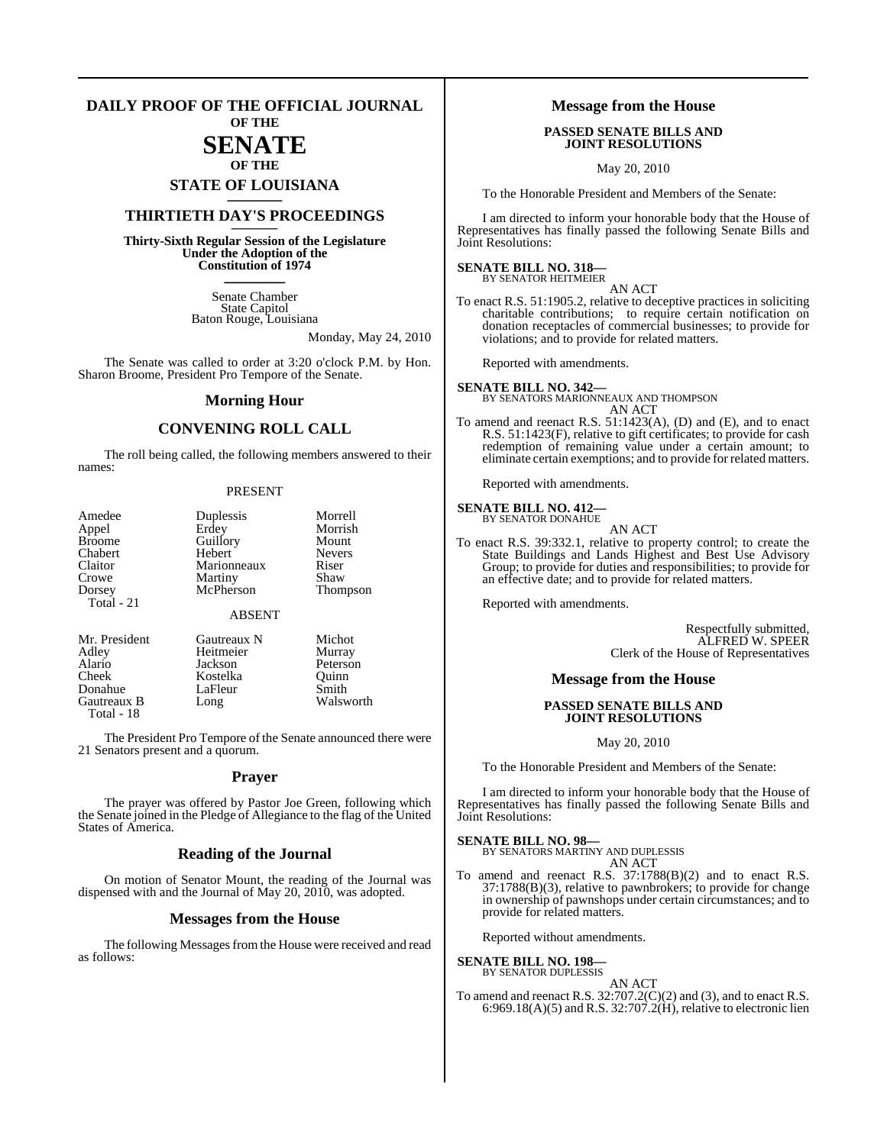# **DAILY PROOF OF THE OFFICIAL JOURNAL**

## **OF THE**

### **SENATE OF THE**

**STATE OF LOUISIANA \_\_\_\_\_\_\_**

## **THIRTIETH DAY'S PROCEEDINGS \_\_\_\_\_\_\_**

**Thirty-Sixth Regular Session of the Legislature Under the Adoption of the Constitution of 1974 \_\_\_\_\_\_\_**

> Senate Chamber State Capitol Baton Rouge, Louisiana

> > Monday, May 24, 2010

The Senate was called to order at 3:20 o'clock P.M. by Hon. Sharon Broome, President Pro Tempore of the Senate.

#### **Morning Hour**

### **CONVENING ROLL CALL**

The roll being called, the following members answered to their names:

#### PRESENT

| Amedee<br>Appel<br><b>Broome</b><br>Chabert<br>Claitor<br>Crowe<br>Dorsey<br>Total - 21 | Duplessis<br>Erdey<br>Guillory<br>Hebert<br>Marionneaux<br>Martiny<br>McPherson | Morrell<br>Morrish<br>Mount<br><b>Nevers</b><br>Riser<br>Shaw<br><b>Thompson</b> |
|-----------------------------------------------------------------------------------------|---------------------------------------------------------------------------------|----------------------------------------------------------------------------------|
|                                                                                         | <b>ABSENT</b>                                                                   |                                                                                  |
| Mr. President<br>Adley<br>Alario<br>Cheek<br>Donahue<br>Gautreaux B<br>Total - 18       | Gautreaux N<br>Heitmeier<br>Jackson<br>Kostelka<br>LaFleur<br>Long              | Michot<br>Murray<br>Peterson<br>Ouinn<br>Smith<br>Walsworth                      |

The President Pro Tempore of the Senate announced there were 21 Senators present and a quorum.

#### **Prayer**

The prayer was offered by Pastor Joe Green, following which the Senate joined in the Pledge of Allegiance to the flag of the United States of America.

### **Reading of the Journal**

On motion of Senator Mount, the reading of the Journal was dispensed with and the Journal of May 20, 2010, was adopted.

#### **Messages from the House**

The following Messages from the House were received and read as follows:

#### **Message from the House**

#### **PASSED SENATE BILLS AND JOINT RESOLUTIONS**

May 20, 2010

To the Honorable President and Members of the Senate:

I am directed to inform your honorable body that the House of Representatives has finally passed the following Senate Bills and Joint Resolutions:

#### **SENATE BILL NO. 318—** BY SENATOR HEITMEIER

AN ACT

To enact R.S. 51:1905.2, relative to deceptive practices in soliciting charitable contributions; to require certain notification on donation receptacles of commercial businesses; to provide for violations; and to provide for related matters.

Reported with amendments.

**SENATE BILL NO. 342—** BY SENATORS MARIONNEAUX AND THOMPSON AN ACT

To amend and reenact R.S. 51:1423(A), (D) and (E), and to enact R.S. 51:1423(F), relative to gift certificates; to provide for cash redemption of remaining value under a certain amount; to eliminate certain exemptions; and to provide for related matters.

Reported with amendments.

#### **SENATE BILL NO. 412—** BY SENATOR DONAHUE

AN ACT

To enact R.S. 39:332.1, relative to property control; to create the State Buildings and Lands Highest and Best Use Advisory Group; to provide for duties and responsibilities; to provide for an effective date; and to provide for related matters.

Reported with amendments.

Respectfully submitted, ALFRED W. SPEER Clerk of the House of Representatives

### **Message from the House**

#### **PASSED SENATE BILLS AND JOINT RESOLUTIONS**

May 20, 2010

To the Honorable President and Members of the Senate:

I am directed to inform your honorable body that the House of Representatives has finally passed the following Senate Bills and Joint Resolutions:

**SENATE BILL NO. 98—** BY SENATORS MARTINY AND DUPLESSIS AN ACT

To amend and reenact R.S. 37:1788(B)(2) and to enact R.S. 37:1788(B)(3), relative to pawnbrokers; to provide for change in ownership of pawnshops under certain circumstances; and to provide for related matters.

Reported without amendments.

#### **SENATE BILL NO. 198**

## BY SENATOR DUPLESSIS

AN ACT To amend and reenact R.S. 32:707.2(C)(2) and (3), and to enact R.S. 6:969.18(A)(5) and R.S. 32:707.2(H), relative to electronic lien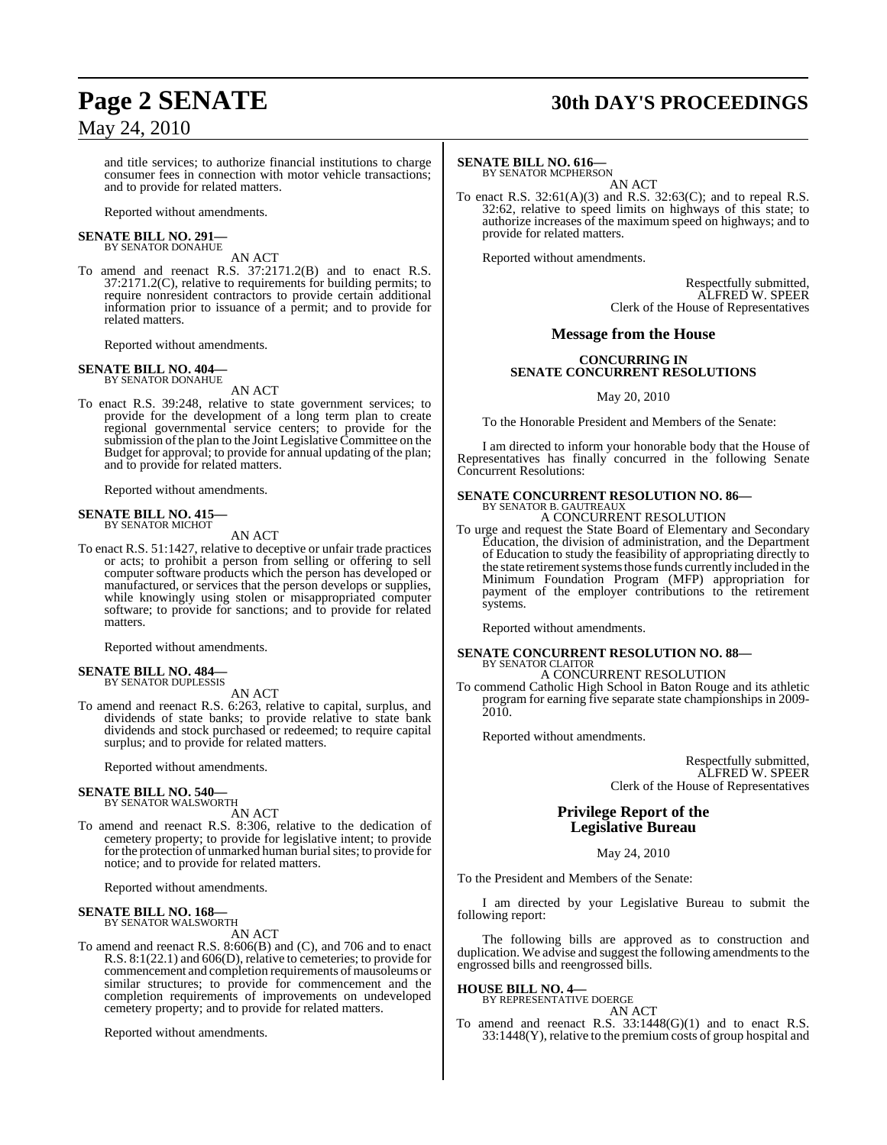# **Page 2 SENATE 30th DAY'S PROCEEDINGS**

and title services; to authorize financial institutions to charge consumer fees in connection with motor vehicle transactions; and to provide for related matters.

Reported without amendments.

#### **SENATE BILL NO. 291—** BY SENATOR DONAHUE

AN ACT

To amend and reenact R.S. 37:2171.2(B) and to enact R.S. 37:2171.2(C), relative to requirements for building permits; to require nonresident contractors to provide certain additional information prior to issuance of a permit; and to provide for related matters.

Reported without amendments.

#### **SENATE BILL NO. 404—** BY SENATOR DONAHUE

AN ACT

To enact R.S. 39:248, relative to state government services; to provide for the development of a long term plan to create regional governmental service centers; to provide for the submission of the plan to the Joint Legislative Committee on the Budget for approval; to provide for annual updating of the plan; and to provide for related matters.

Reported without amendments.

#### **SENATE BILL NO. 415—** BY SENATOR MICHOT

#### AN ACT

To enact R.S. 51:1427, relative to deceptive or unfair trade practices or acts; to prohibit a person from selling or offering to sell computer software products which the person has developed or manufactured, or services that the person develops or supplies, while knowingly using stolen or misappropriated computer software; to provide for sanctions; and to provide for related matters.

Reported without amendments.

#### **SENATE BILL NO. 484—** BY SENATOR DUPLESSIS

AN ACT

To amend and reenact R.S. 6:263, relative to capital, surplus, and dividends of state banks; to provide relative to state bank dividends and stock purchased or redeemed; to require capital surplus; and to provide for related matters.

Reported without amendments.

#### **SENATE BILL NO. 540—** BY SENATOR WALSWORTH

AN ACT

To amend and reenact R.S. 8:306, relative to the dedication of cemetery property; to provide for legislative intent; to provide for the protection of unmarked human burial sites; to provide for notice; and to provide for related matters.

Reported without amendments.

#### **SENATE BILL NO. 168—** BY SENATOR WALSWORTH

AN ACT

To amend and reenact R.S. 8:606(B) and (C), and 706 and to enact R.S.  $8:1(22.1)$  and  $606(D)$ , relative to cemeteries; to provide for commencement and completion requirements of mausoleums or similar structures; to provide for commencement and the completion requirements of improvements on undeveloped cemetery property; and to provide for related matters.

Reported without amendments.

#### **SENATE BILL NO. 616—**

BY SENATOR MCPHERSON AN ACT

To enact R.S. 32:61(A)(3) and R.S. 32:63(C); and to repeal R.S. 32:62, relative to speed limits on highways of this state; to authorize increases of the maximum speed on highways; and to provide for related matters.

Reported without amendments.

Respectfully submitted, ALFRED W. SPEER Clerk of the House of Representatives

#### **Message from the House**

#### **CONCURRING IN SENATE CONCURRENT RESOLUTIONS**

May 20, 2010

To the Honorable President and Members of the Senate:

I am directed to inform your honorable body that the House of Representatives has finally concurred in the following Senate Concurrent Resolutions:

#### **SENATE CONCURRENT RESOLUTION NO. 86—** BY SENATOR B. GAUTREAUX

A CONCURRENT RESOLUTION

To urge and request the State Board of Elementary and Secondary Education, the division of administration, and the Department of Education to study the feasibility of appropriating directly to the state retirement systems those funds currently included in the Minimum Foundation Program (MFP) appropriation for payment of the employer contributions to the retirement systems.

Reported without amendments.

## **SENATE CONCURRENT RESOLUTION NO. 88—** BY SENATOR CLAITOR A CONCURRENT RESOLUTION

To commend Catholic High School in Baton Rouge and its athletic program for earning five separate state championships in 2009- 2010.

Reported without amendments.

Respectfully submitted, ALFRED W. SPEER Clerk of the House of Representatives

## **Privilege Report of the Legislative Bureau**

May 24, 2010

To the President and Members of the Senate:

I am directed by your Legislative Bureau to submit the following report:

The following bills are approved as to construction and duplication. We advise and suggest the following amendments to the engrossed bills and reengrossed bills.

#### **HOUSE BILL NO. 4—**

BY REPRESENTATIVE DOERGE

AN ACT To amend and reenact R.S.  $33:1448(G)(1)$  and to enact R.S. 33:1448(Y), relative to the premium costs of group hospital and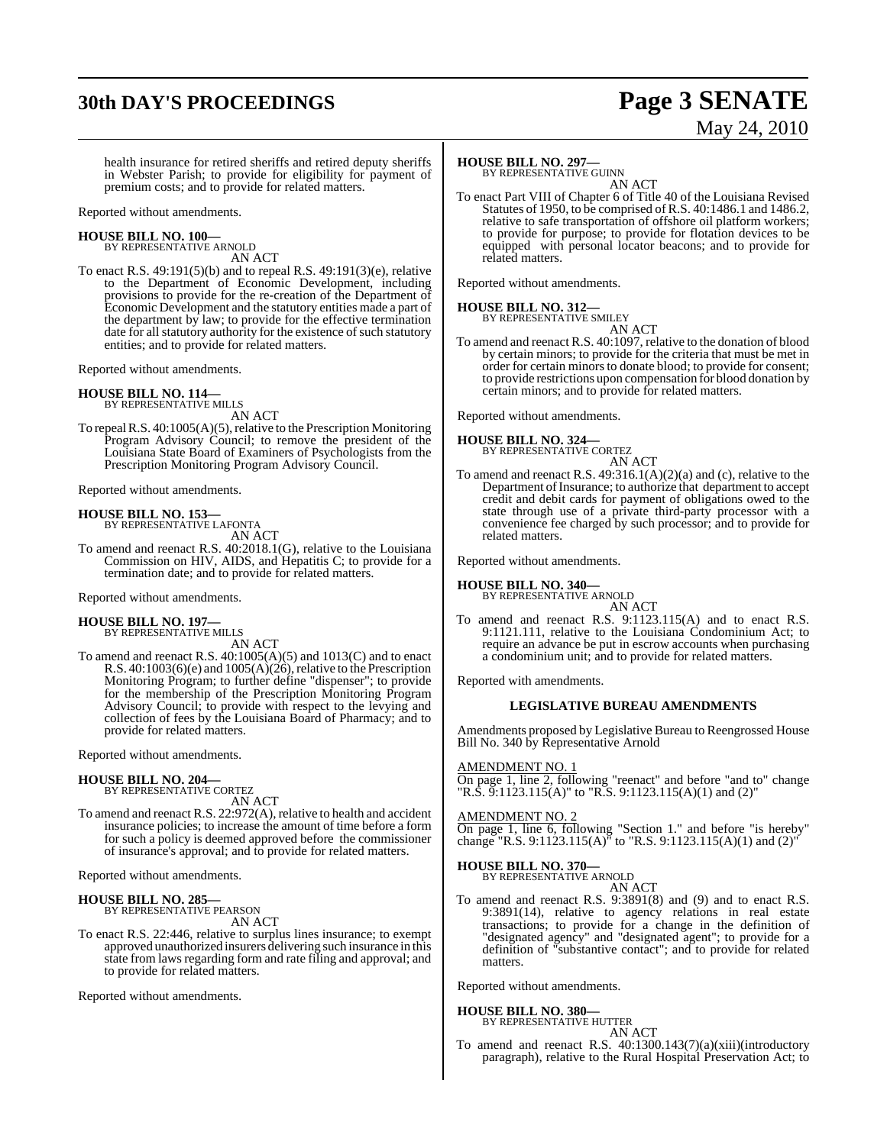# **30th DAY'S PROCEEDINGS Page 3 SENATE**

# May 24, 2010

health insurance for retired sheriffs and retired deputy sheriffs in Webster Parish; to provide for eligibility for payment of premium costs; and to provide for related matters.

Reported without amendments.

#### **HOUSE BILL NO. 100—** BY REPRESENTATIVE ARNOLD

AN ACT

To enact R.S. 49:191(5)(b) and to repeal R.S. 49:191(3)(e), relative to the Department of Economic Development, including provisions to provide for the re-creation of the Department of Economic Development and the statutory entities made a part of the department by law; to provide for the effective termination date for all statutory authority for the existence of such statutory entities; and to provide for related matters.

Reported without amendments.

#### **HOUSE BILL NO. 114—** BY REPRESENTATIVE MILLS

AN ACT

To repeal R.S.  $40:1005(A)(5)$ , relative to the Prescription Monitoring Program Advisory Council; to remove the president of the Louisiana State Board of Examiners of Psychologists from the Prescription Monitoring Program Advisory Council.

Reported without amendments.

#### **HOUSE BILL NO. 153—**

BY REPRESENTATIVE LAFONTA AN ACT

To amend and reenact R.S. 40:2018.1(G), relative to the Louisiana Commission on HIV, AIDS, and Hepatitis C; to provide for a termination date; and to provide for related matters.

Reported without amendments.

#### **HOUSE BILL NO. 197—**

BY REPRESENTATIVE MILLS AN ACT

To amend and reenact R.S. 40:1005(A)(5) and 1013(C) and to enact R.S.  $40:1003(6)(e)$  and  $1005(A)(26)$ , relative to the Prescription Monitoring Program; to further define "dispenser"; to provide for the membership of the Prescription Monitoring Program Advisory Council; to provide with respect to the levying and collection of fees by the Louisiana Board of Pharmacy; and to provide for related matters.

Reported without amendments.

#### **HOUSE BILL NO. 204—**

BY REPRESENTATIVE CORTEZ AN ACT

To amend and reenact R.S. 22:972(A), relative to health and accident insurance policies; to increase the amount of time before a form for such a policy is deemed approved before the commissioner of insurance's approval; and to provide for related matters.

Reported without amendments.

#### **HOUSE BILL NO. 285—** BY REPRESENTATIVE PEARSON

AN ACT

To enact R.S. 22:446, relative to surplus lines insurance; to exempt approved unauthorized insurers delivering such insurance in this state from laws regarding form and rate filing and approval; and to provide for related matters.

Reported without amendments.

#### **HOUSE BILL NO. 297—**

BY REPRESENTATIVE GUINN AN ACT

To enact Part VIII of Chapter 6 of Title 40 of the Louisiana Revised Statutes of 1950, to be comprised of R.S. 40:1486.1 and 1486.2, relative to safe transportation of offshore oil platform workers; to provide for purpose; to provide for flotation devices to be equipped with personal locator beacons; and to provide for related matters.

Reported without amendments.

#### **HOUSE BILL NO. 312—**

BY REPRESENTATIVE SMILEY AN ACT

To amend and reenact R.S. 40:1097, relative to the donation of blood by certain minors; to provide for the criteria that must be met in order for certain minorsto donate blood; to provide for consent; to provide restrictions upon compensation for blood donation by certain minors; and to provide for related matters.

Reported without amendments.

# **HOUSE BILL NO. 324—** BY REPRESENTATIVE CORTEZ

- AN ACT
- To amend and reenact R.S. 49:316.1(A)(2)(a) and (c), relative to the Department of Insurance; to authorize that department to accept credit and debit cards for payment of obligations owed to the state through use of a private third-party processor with a convenience fee charged by such processor; and to provide for related matters.

Reported without amendments.

# **HOUSE BILL NO. 340—** BY REPRESENTATIVE ARNOLD

AN ACT

To amend and reenact R.S. 9:1123.115(A) and to enact R.S. 9:1121.111, relative to the Louisiana Condominium Act; to require an advance be put in escrow accounts when purchasing a condominium unit; and to provide for related matters.

Reported with amendments.

#### **LEGISLATIVE BUREAU AMENDMENTS**

Amendments proposed by Legislative Bureau to Reengrossed House Bill No. 340 by Representative Arnold

#### AMENDMENT NO. 1

On page 1, line 2, following "reenact" and before "and to" change "R.S.  $\frac{5!}{1!}$ :1123.115(A)" to "R.S. 9:1123.115(A)(1) and (2)"

#### AMENDMENT NO. 2

On page 1, line 6, following "Section 1." and before "is hereby" change "R.S. 9:1123.115(A)" to "R.S. 9:1123.115(A)(1) and (2)"

#### **HOUSE BILL NO. 370—**

BY REPRESENTATIVE ARNOLD

AN ACT To amend and reenact R.S. 9:3891(8) and (9) and to enact R.S. 9:3891(14), relative to agency relations in real estate transactions; to provide for a change in the definition of "designated agency" and "designated agent"; to provide for a definition of "substantive contact"; and to provide for related matters.

Reported without amendments.

#### **HOUSE BILL NO. 380—**

BY REPRESENTATIVE HUTTER AN ACT

To amend and reenact R.S. 40:1300.143(7)(a)(xiii)(introductory paragraph), relative to the Rural Hospital Preservation Act; to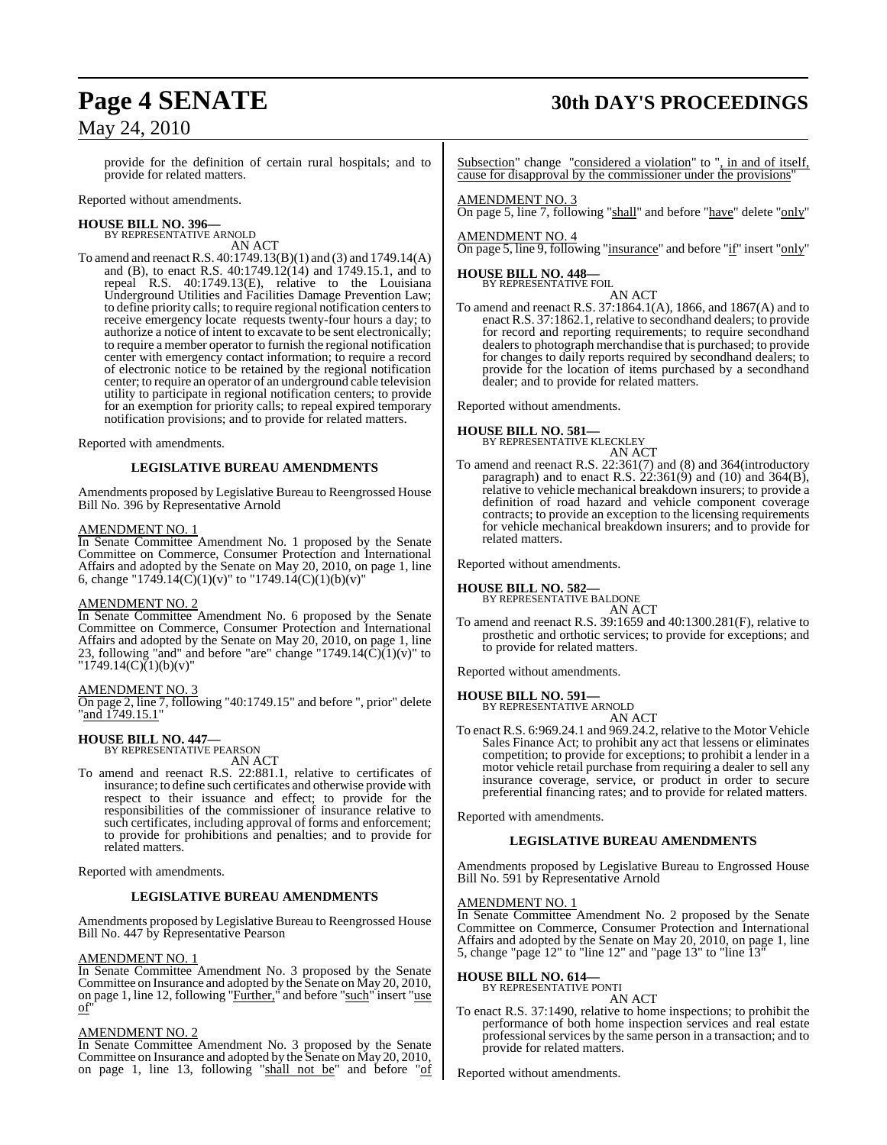# **Page 4 SENATE 30th DAY'S PROCEEDINGS**

provide for the definition of certain rural hospitals; and to provide for related matters.

Reported without amendments.

#### **HOUSE BILL NO. 396—** BY REPRESENTATIVE ARNOLD

AN ACT

To amend and reenactR.S. 40:1749.13(B)(1) and (3) and 1749.14(A) and (B), to enact R.S.  $40:1749.12(14)$  and  $1749.15.1$ , and to repeal R.S. 40:1749.13(E), relative to the Louisiana Underground Utilities and Facilities Damage Prevention Law; to define priority calls; to require regional notification centers to receive emergency locate requests twenty-four hours a day; to authorize a notice of intent to excavate to be sent electronically; to require a member operator to furnish the regional notification center with emergency contact information; to require a record of electronic notice to be retained by the regional notification center; to require an operator of an underground cable television utility to participate in regional notification centers; to provide for an exemption for priority calls; to repeal expired temporary notification provisions; and to provide for related matters.

Reported with amendments.

#### **LEGISLATIVE BUREAU AMENDMENTS**

Amendments proposed by Legislative Bureau to Reengrossed House Bill No. 396 by Representative Arnold

#### AMENDMENT NO. 1

In Senate Committee Amendment No. 1 proposed by the Senate Committee on Commerce, Consumer Protection and International Affairs and adopted by the Senate on May 20, 2010, on page 1, line 6, change "1749.14(C)(1)(v)" to "1749.14(C)(1)(b)(v)"

#### AMENDMENT NO. 2

In Senate Committee Amendment No. 6 proposed by the Senate Committee on Commerce, Consumer Protection and International Affairs and adopted by the Senate on May 20, 2010, on page 1, line 23, following "and" and before "are" change "1749.14 $(\tilde{C})(1)(v)$ " to  $"1749.14(C)$ (1)(b)(v)"

#### AMENDMENT NO. 3

On page 2, line 7, following "40:1749.15" and before ", prior" delete "and 1749.15.1"

# **HOUSE BILL NO. 447—** BY REPRESENTATIVE PEARSON

AN ACT

To amend and reenact R.S. 22:881.1, relative to certificates of insurance; to define such certificates and otherwise provide with respect to their issuance and effect; to provide for the responsibilities of the commissioner of insurance relative to such certificates, including approval of forms and enforcement; to provide for prohibitions and penalties; and to provide for related matters.

Reported with amendments.

#### **LEGISLATIVE BUREAU AMENDMENTS**

Amendments proposed by Legislative Bureau to Reengrossed House Bill No. 447 by Representative Pearson

#### AMENDMENT NO. 1

In Senate Committee Amendment No. 3 proposed by the Senate Committee on Insurance and adopted by the Senate on May 20, 2010, on page 1, line 12, following "Further," and before "such" insert "use of"

#### AMENDMENT NO. 2

In Senate Committee Amendment No. 3 proposed by the Senate Committee on Insurance and adopted by the Senate on May 20, 2010, on page 1, line 13, following "shall not be" and before "of

Subsection" change "considered a violation" to ", in and of itself, cause for disapproval by the commissioner under the provisions'

#### AMENDMENT NO. 3

On page 5, line 7, following "shall" and before "have" delete "only"

AMENDMENT NO. 4 On page 5, line 9, following "insurance" and before "if" insert "only"

#### **HOUSE BILL NO. 448—** BY REPRESENTATIVE FOIL

AN ACT

To amend and reenact R.S. 37:1864.1(A), 1866, and 1867(A) and to enact R.S. 37:1862.1, relative to secondhand dealers; to provide for record and reporting requirements; to require secondhand dealers to photograph merchandise that is purchased; to provide for changes to daily reports required by secondhand dealers; to provide for the location of items purchased by a secondhand dealer; and to provide for related matters.

Reported without amendments.

#### **HOUSE BILL NO. 581—**

BY REPRESENTATIVE KLECKLEY

- AN ACT
- To amend and reenact R.S. 22:361(7) and (8) and 364(introductory paragraph) and to enact R.S.  $22:361(9)$  and  $(10)$  and  $364(B)$ , relative to vehicle mechanical breakdown insurers; to provide a definition of road hazard and vehicle component coverage contracts; to provide an exception to the licensing requirements for vehicle mechanical breakdown insurers; and to provide for related matters.

Reported without amendments.

**HOUSE BILL NO. 582—** BY REPRESENTATIVE BALDONE AN ACT

To amend and reenact R.S. 39:1659 and 40:1300.281(F), relative to prosthetic and orthotic services; to provide for exceptions; and to provide for related matters.

Reported without amendments.

# **HOUSE BILL NO. 591—** BY REPRESENTATIVE ARNOLD

AN ACT

To enact R.S. 6:969.24.1 and 969.24.2, relative to the Motor Vehicle Sales Finance Act; to prohibit any act that lessens or eliminates competition; to provide for exceptions; to prohibit a lender in a motor vehicle retail purchase from requiring a dealer to sell any insurance coverage, service, or product in order to secure preferential financing rates; and to provide for related matters.

Reported with amendments.

### **LEGISLATIVE BUREAU AMENDMENTS**

Amendments proposed by Legislative Bureau to Engrossed House Bill No. 591 by Representative Arnold

### AMENDMENT NO. 1

In Senate Committee Amendment No. 2 proposed by the Senate Committee on Commerce, Consumer Protection and International Affairs and adopted by the Senate on May 20, 2010, on page 1, line 5, change "page 12" to "line 12" and "page 13" to "line 13"

### **HOUSE BILL NO. 614—**

BY REPRESENTATIVE PONTI

AN ACT

To enact R.S. 37:1490, relative to home inspections; to prohibit the performance of both home inspection services and real estate professionalservices by the same person in a transaction; and to provide for related matters.

Reported without amendments.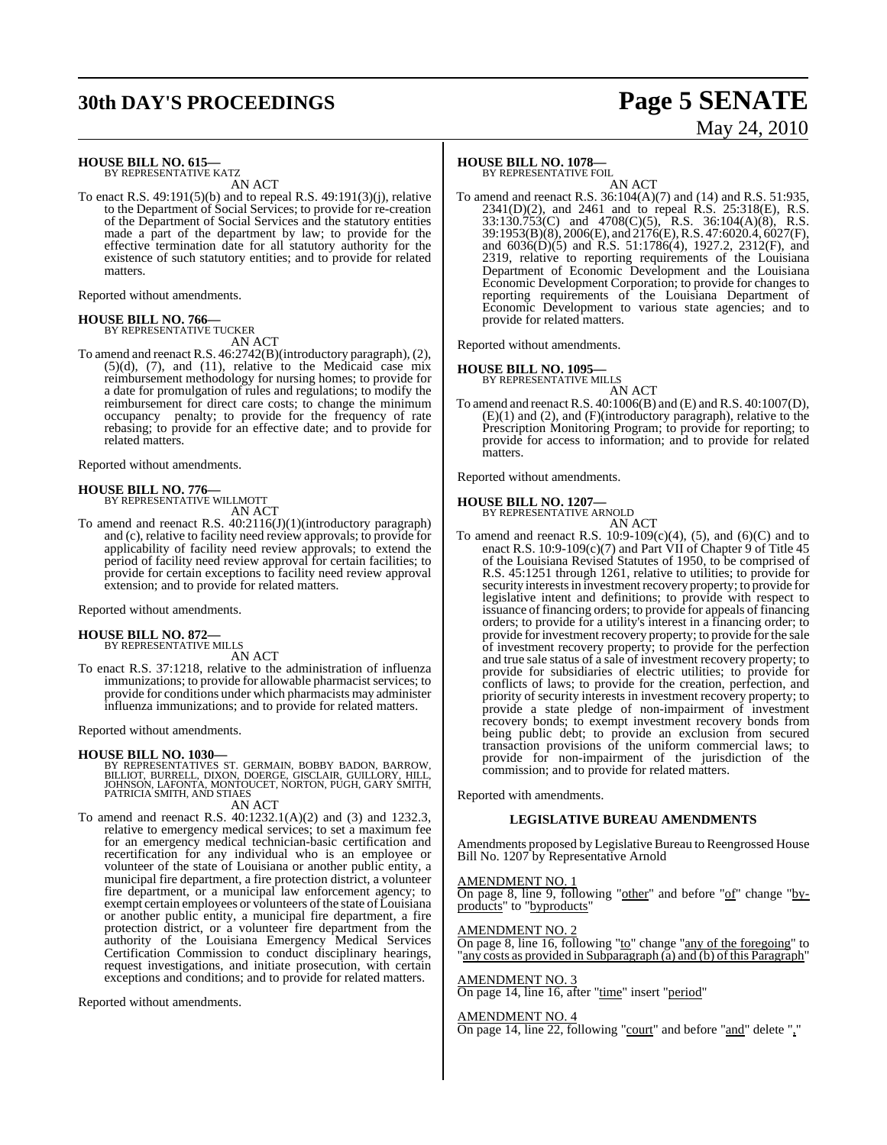# **30th DAY'S PROCEEDINGS Page 5 SENATE**

# May 24, 2010

#### **HOUSE BILL NO. 615—**

BY REPRESENTATIVE KATZ AN ACT

To enact R.S. 49:191(5)(b) and to repeal R.S. 49:191(3)(j), relative to the Department of Social Services; to provide for re-creation of the Department of Social Services and the statutory entities made a part of the department by law; to provide for the effective termination date for all statutory authority for the existence of such statutory entities; and to provide for related matters.

Reported without amendments.

# **HOUSE BILL NO. 766—** BY REPRESENTATIVE TUCKER

AN ACT

To amend and reenact R.S. 46:2742(B)(introductory paragraph), (2),  $(5)(d)$ ,  $(7)$ , and  $(11)$ , relative to the Medicaid case mix reimbursement methodology for nursing homes; to provide for a date for promulgation of rules and regulations; to modify the reimbursement for direct care costs; to change the minimum occupancy penalty; to provide for the frequency of rate rebasing; to provide for an effective date; and to provide for related matters.

Reported without amendments.

# **HOUSE BILL NO. 776—** BY REPRESENTATIVE WILLMOTT

AN ACT

To amend and reenact R.S. 40:2116(J)(1)(introductory paragraph) and (c), relative to facility need review approvals; to provide for applicability of facility need review approvals; to extend the period of facility need review approval for certain facilities; to provide for certain exceptions to facility need review approval extension; and to provide for related matters.

Reported without amendments.

# **HOUSE BILL NO. 872—** BY REPRESENTATIVE MILLS

AN ACT

To enact R.S. 37:1218, relative to the administration of influenza immunizations; to provide for allowable pharmacist services; to provide for conditions under which pharmacists may administer influenza immunizations; and to provide for related matters.

Reported without amendments.

#### **HOUSE BILL NO. 1030—**

BY REPRESENTATIVES ST. GERMAIN, BOBBY BADON, BARROW,<br>BILLIOT, BURRELL, DIXON, DOERGE, GISCLAIR, GUILLORY, HILL,<br>JOHNSON, LAFONTA, MONTOUCET, NORTON, PUGH, GARY SMITH,<br>PATRICIA SMITH, AND STIAES

AN ACT

To amend and reenact R.S. 40:1232.1(A)(2) and (3) and 1232.3, relative to emergency medical services; to set a maximum fee for an emergency medical technician-basic certification and recertification for any individual who is an employee or volunteer of the state of Louisiana or another public entity, a municipal fire department, a fire protection district, a volunteer fire department, or a municipal law enforcement agency; to exempt certain employees or volunteers of the state of Louisiana or another public entity, a municipal fire department, a fire protection district, or a volunteer fire department from the authority of the Louisiana Emergency Medical Services Certification Commission to conduct disciplinary hearings, request investigations, and initiate prosecution, with certain exceptions and conditions; and to provide for related matters.

Reported without amendments.

#### **HOUSE BILL NO. 1078—**

BY REPRESENTATIVE FOIL

AN ACT To amend and reenact R.S. 36:104(A)(7) and (14) and R.S. 51:935, 2341(D)(2), and 2461 and to repeal R.S. 25:318(E), R.S. 33:130.753(C) and 4708(C)(5), R.S. 36:104(A)(8), R.S. 39:1953(B)(8), 2006(E), and 2176(E), R.S. 47:6020.4, 6027(F), and 6036(D)(5) and R.S. 51:1786(4), 1927.2, 2312(F), and 2319, relative to reporting requirements of the Louisiana Department of Economic Development and the Louisiana Economic Development Corporation; to provide for changes to reporting requirements of the Louisiana Department of Economic Development to various state agencies; and to provide for related matters.

Reported without amendments.

# **HOUSE BILL NO. 1095—** BY REPRESENTATIVE MILLS

- AN ACT
- To amend and reenact R.S. 40:1006(B) and (E) and R.S. 40:1007(D), (E)(1) and (2), and (F)(introductory paragraph), relative to the Prescription Monitoring Program; to provide for reporting; to provide for access to information; and to provide for related matters.

Reported without amendments.

#### **HOUSE BILL NO. 1207—**

BY REPRESENTATIVE ARNOLD

AN ACT To amend and reenact R.S.  $10:9-109(c)(4)$ ,  $(5)$ , and  $(6)(C)$  and to enact R.S. 10:9-109(c)(7) and Part VII of Chapter 9 of Title 45 of the Louisiana Revised Statutes of 1950, to be comprised of R.S. 45:1251 through 1261, relative to utilities; to provide for security interests in investment recovery property; to provide for legislative intent and definitions; to provide with respect to issuance of financing orders; to provide for appeals of financing orders; to provide for a utility's interest in a financing order; to provide for investment recovery property; to provide for the sale of investment recovery property; to provide for the perfection and true sale status of a sale of investment recovery property; to provide for subsidiaries of electric utilities; to provide for conflicts of laws; to provide for the creation, perfection, and priority of security interests in investment recovery property; to provide a state pledge of non-impairment of investment recovery bonds; to exempt investment recovery bonds from being public debt; to provide an exclusion from secured transaction provisions of the uniform commercial laws; to provide for non-impairment of the jurisdiction of the commission; and to provide for related matters.

Reported with amendments.

#### **LEGISLATIVE BUREAU AMENDMENTS**

Amendments proposed by Legislative Bureau to Reengrossed House Bill No. 1207 by Representative Arnold

#### AMENDMENT NO. 1

On page 8, line 9, following "other" and before "of" change "byproducts" to "byproducts"

#### AMENDMENT NO. 2

On page 8, line 16, following "to" change "any of the foregoing" to "any costs as provided in Subparagraph (a) and (b) of this Paragraph"

#### AMENDMENT NO. 3

On page 14, line 16, after "time" insert "period"

#### AMENDMENT NO. 4

On page 14, line 22, following "court" and before "and" delete ","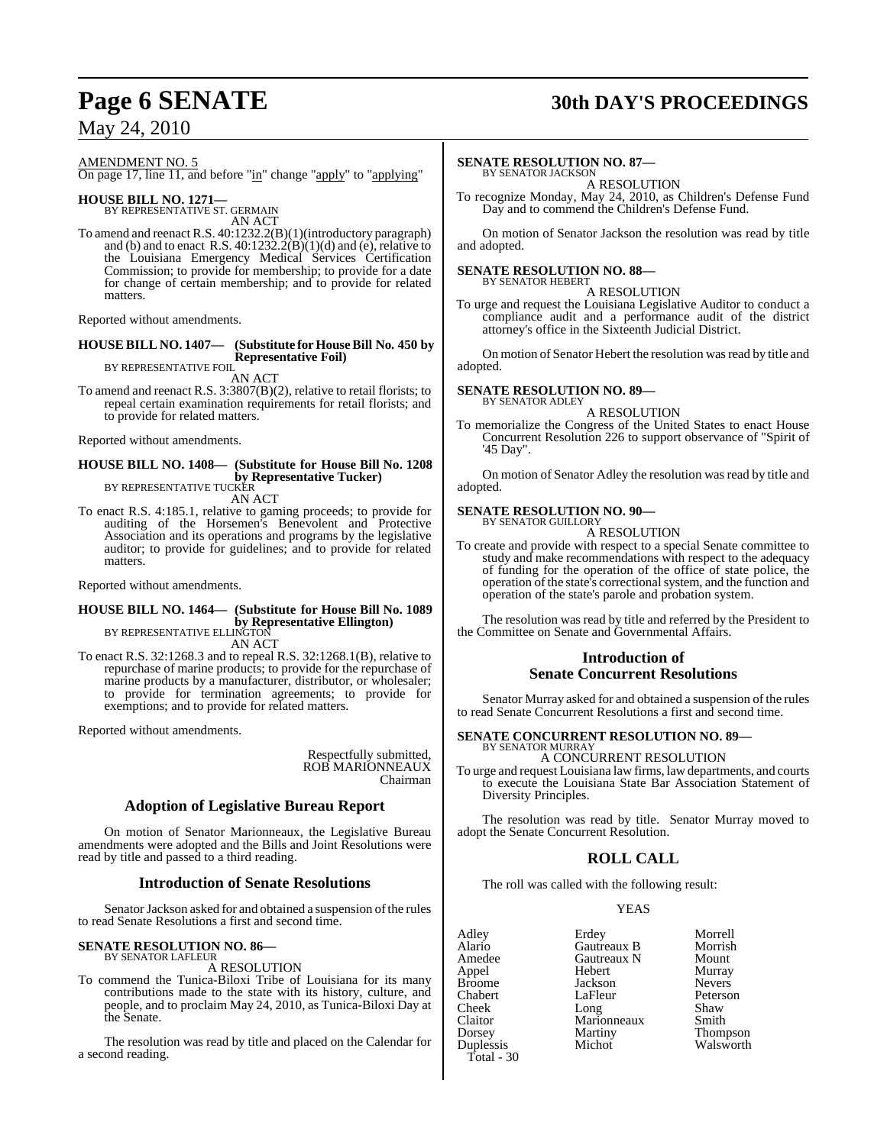# **Page 6 SENATE 30th DAY'S PROCEEDINGS**

## May 24, 2010

AMENDMENT NO. 5

On page 17, line 11, and before "in" change "apply" to "applying"

**HOUSE BILL NO. 1271—** BY REPRESENTATIVE ST. GERMAIN

AN ACT

To amend and reenact R.S. 40:1232.2(B)(1)(introductory paragraph) and (b) and to enact R.S. 40:1232.2(B)(1)(d) and (e), relative to the Louisiana Emergency Medical Services Certification Commission; to provide for membership; to provide for a date for change of certain membership; and to provide for related matters.

Reported without amendments.

#### **HOUSE BILL NO. 1407— (Substitute for House Bill No. 450 by Representative Foil)** BY REPRESENTATIVE FOIL

AN ACT

To amend and reenact R.S. 3:3807(B)(2), relative to retail florists; to repeal certain examination requirements for retail florists; and to provide for related matters.

Reported without amendments.

#### **HOUSE BILL NO. 1408— (Substitute for House Bill No. 1208 by Representative Tucker)** BY REPRESENTATIVE TUCKER

AN ACT

To enact R.S. 4:185.1, relative to gaming proceeds; to provide for auditing of the Horsemen's Benevolent and Protective Association and its operations and programs by the legislative auditor; to provide for guidelines; and to provide for related matters.

Reported without amendments.

#### **HOUSE BILL NO. 1464— (Substitute for House Bill No. 1089 by Representative Ellington)**<br>BY REPRESENTATIVE ELLINGTON AN ACT

To enact R.S. 32:1268.3 and to repeal R.S. 32:1268.1(B), relative to repurchase of marine products; to provide for the repurchase of marine products by a manufacturer, distributor, or wholesaler; to provide for termination agreements; to provide for exemptions; and to provide for related matters.

Reported without amendments.

Respectfully submitted, ROB MARIONNEAUX Chairman

### **Adoption of Legislative Bureau Report**

On motion of Senator Marionneaux, the Legislative Bureau amendments were adopted and the Bills and Joint Resolutions were read by title and passed to a third reading.

#### **Introduction of Senate Resolutions**

Senator Jackson asked for and obtained a suspension of the rules to read Senate Resolutions a first and second time.

#### **SENATE RESOLUTION NO. 86—** BY SENATOR LAFLEUR

A RESOLUTION

To commend the Tunica-Biloxi Tribe of Louisiana for its many contributions made to the state with its history, culture, and people, and to proclaim May 24, 2010, as Tunica-Biloxi Day at the Senate.

The resolution was read by title and placed on the Calendar for a second reading.

#### **SENATE RESOLUTION NO. 87—**

BY SENATOR JACKSON A RESOLUTION

To recognize Monday, May 24, 2010, as Children's Defense Fund Day and to commend the Children's Defense Fund.

On motion of Senator Jackson the resolution was read by title and adopted.

#### **SENATE RESOLUTION NO. 88—** BY SENATOR HEBERT

A RESOLUTION

To urge and request the Louisiana Legislative Auditor to conduct a compliance audit and a performance audit of the district attorney's office in the Sixteenth Judicial District.

On motion of Senator Hebert the resolution was read by title and adopted.

# **SENATE RESOLUTION NO. 89—** BY SENATOR ADLEY

A RESOLUTION

To memorialize the Congress of the United States to enact House Concurrent Resolution 226 to support observance of "Spirit of '45 Day".

On motion of Senator Adley the resolution was read by title and adopted.

#### **SENATE RESOLUTION NO. 90—** BY SENATOR GUILLORY

A RESOLUTION

To create and provide with respect to a special Senate committee to study and make recommendations with respect to the adequacy of funding for the operation of the office of state police, the operation of the state's correctional system, and the function and operation of the state's parole and probation system.

The resolution was read by title and referred by the President to the Committee on Senate and Governmental Affairs.

#### **Introduction of Senate Concurrent Resolutions**

Senator Murray asked for and obtained a suspension of the rules to read Senate Concurrent Resolutions a first and second time.

# **SENATE CONCURRENT RESOLUTION NO. 89—** BY SENATOR MURRAY

A CONCURRENT RESOLUTION

To urge and request Louisiana law firms, lawdepartments, and courts to execute the Louisiana State Bar Association Statement of Diversity Principles.

The resolution was read by title. Senator Murray moved to adopt the Senate Concurrent Resolution.

## **ROLL CALL**

The roll was called with the following result:

**Gautreaux N** 

#### YEAS

Adley Erdey Morrell Alario Gautreaux B Morrish Appel Hebert Murray Broome Jackson<br>Chabert LaFleur Chabert LaFleur Peterson Cheek Long Shaw<br>Claitor Marionneaux Smith Claitor Marionneaux<br>Dorsey Martiny Dorsey Martiny Thompson<br>
Duplessis Michot Walsworth Total - 30

Walsworth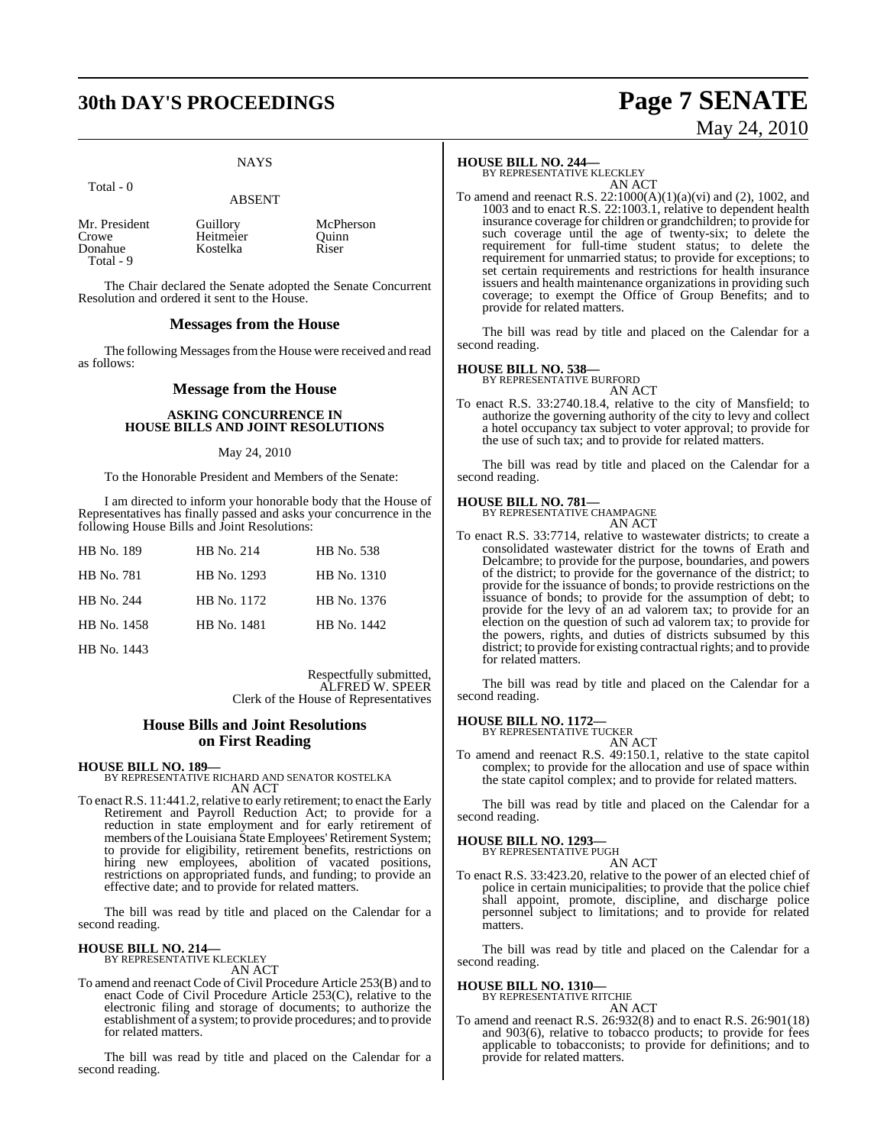# **30th DAY'S PROCEEDINGS Page 7 SENATE**

### **NAYS**

#### Total - 0

#### ABSENT

| Mr. President | Guillory  | McPherson |
|---------------|-----------|-----------|
| Crowe         | Heitmeier | Ouinn     |
| Donahue       | Kostelka  | Riser     |
| Total - 9     |           |           |

The Chair declared the Senate adopted the Senate Concurrent Resolution and ordered it sent to the House.

#### **Messages from the House**

The following Messages from the House were received and read as follows:

#### **Message from the House**

#### **ASKING CONCURRENCE IN HOUSE BILLS AND JOINT RESOLUTIONS**

#### May 24, 2010

To the Honorable President and Members of the Senate:

I am directed to inform your honorable body that the House of Representatives has finally passed and asks your concurrence in the following House Bills and Joint Resolutions:

| HB No. 189  | HB No. 214  | <b>HB</b> No. 538 |
|-------------|-------------|-------------------|
| HB No. 781  | HB No. 1293 | HB No. 1310       |
| HB No. 244  | HB No. 1172 | HB No. 1376       |
| HB No. 1458 | HB No. 1481 | HB No. 1442       |
|             |             |                   |

HB No. 1443

Respectfully submitted, ALFRED W. SPEER Clerk of the House of Representatives

#### **House Bills and Joint Resolutions on First Reading**

**HOUSE BILL NO. 189—**

BY REPRESENTATIVE RICHARD AND SENATOR KOSTELKA AN ACT

To enact R.S. 11:441.2, relative to early retirement; to enact the Early Retirement and Payroll Reduction Act; to provide for a reduction in state employment and for early retirement of members of the Louisiana State Employees' Retirement System; to provide for eligibility, retirement benefits, restrictions on hiring new employees, abolition of vacated positions, restrictions on appropriated funds, and funding; to provide an effective date; and to provide for related matters.

The bill was read by title and placed on the Calendar for a second reading.

# **HOUSE BILL NO. 214—** BY REPRESENTATIVE KLECKLEY

AN ACT

To amend and reenact Code of Civil Procedure Article 253(B) and to enact Code of Civil Procedure Article 253(C), relative to the electronic filing and storage of documents; to authorize the establishment of a system; to provide procedures; and to provide for related matters.

The bill was read by title and placed on the Calendar for a second reading.

#### **HOUSE BILL NO. 244—**

BY REPRESENTATIVE KLECKLEY AN ACT

To amend and reenact R.S. 22:1000(A)(1)(a)(vi) and (2), 1002, and 1003 and to enact R.S. 22:1003.1, relative to dependent health insurance coverage for children or grandchildren; to provide for such coverage until the age of twenty-six; to delete the requirement for full-time student status; to delete the requirement for unmarried status; to provide for exceptions; to set certain requirements and restrictions for health insurance issuers and health maintenance organizations in providing such coverage; to exempt the Office of Group Benefits; and to provide for related matters.

The bill was read by title and placed on the Calendar for a second reading.

#### **HOUSE BILL NO. 538—**

BY REPRESENTATIVE BURFORD AN ACT

To enact R.S. 33:2740.18.4, relative to the city of Mansfield; to authorize the governing authority of the city to levy and collect a hotel occupancy tax subject to voter approval; to provide for the use of such tax; and to provide for related matters.

The bill was read by title and placed on the Calendar for a second reading.

#### **HOUSE BILL NO. 781—**

BY REPRESENTATIVE CHAMPAGNE AN ACT

To enact R.S. 33:7714, relative to wastewater districts; to create a consolidated wastewater district for the towns of Erath and Delcambre; to provide for the purpose, boundaries, and powers of the district; to provide for the governance of the district; to provide for the issuance of bonds; to provide restrictions on the issuance of bonds; to provide for the assumption of debt; to provide for the levy of an ad valorem tax; to provide for an election on the question of such ad valorem tax; to provide for the powers, rights, and duties of districts subsumed by this district; to provide for existing contractual rights; and to provide for related matters.

The bill was read by title and placed on the Calendar for a second reading.

#### **HOUSE BILL NO. 1172—**

BY REPRESENTATIVE TUCKER AN ACT

To amend and reenact R.S. 49:150.1, relative to the state capitol complex; to provide for the allocation and use of space within the state capitol complex; and to provide for related matters.

The bill was read by title and placed on the Calendar for a second reading.

# **HOUSE BILL NO. 1293—** BY REPRESENTATIVE PUGH

- AN ACT
- To enact R.S. 33:423.20, relative to the power of an elected chief of police in certain municipalities; to provide that the police chief shall appoint, promote, discipline, and discharge police personnel subject to limitations; and to provide for related matters.

The bill was read by title and placed on the Calendar for a second reading.

# **HOUSE BILL NO. 1310—** BY REPRESENTATIVE RITCHIE

AN ACT

To amend and reenact R.S. 26:932(8) and to enact R.S. 26:901(18) and 903(6), relative to tobacco products; to provide for fees applicable to tobacconists; to provide for definitions; and to provide for related matters.

May 24, 2010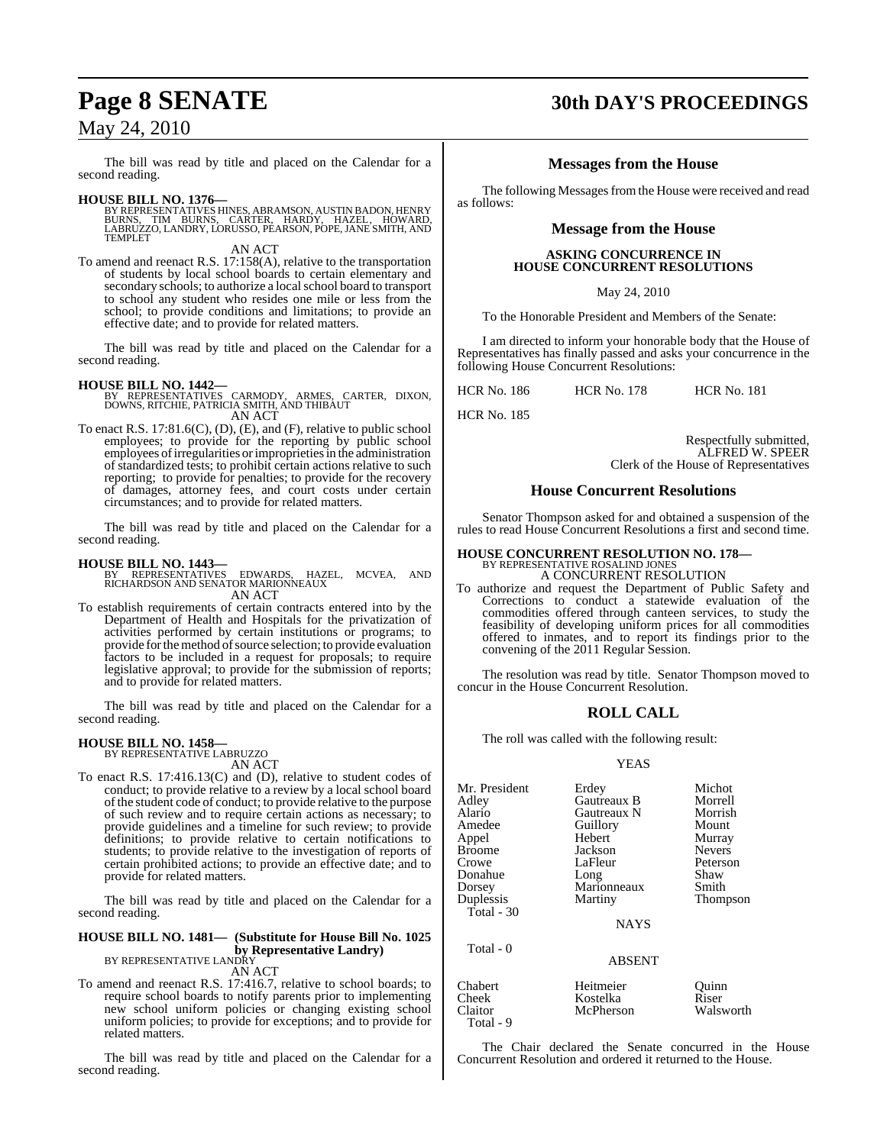The bill was read by title and placed on the Calendar for a second reading.

**HOUSE BILL NO. 1376—**<br>BY REPRESENTATIVES HINES, ABRAMSON, AUSTIN BADON, HENRY<br>BURNS, TIM BURNS, CARTER, HARDY, HAZEL, HOWARD,<br>LABRUZZO, LANDRY, LORUSSO, PEARSON, POPE, JANE SMITH, AND TEMPLET

AN ACT

To amend and reenact R.S. 17:158(A), relative to the transportation of students by local school boards to certain elementary and secondary schools; to authorize a local school board to transport to school any student who resides one mile or less from the school; to provide conditions and limitations; to provide an effective date; and to provide for related matters.

The bill was read by title and placed on the Calendar for a second reading.

**HOUSE BILL NO. 1442—** BY REPRESENTATIVES CARMODY, ARMES, CARTER, DIXON, DOWNS, RITCHIE, PATRICIA SMITH, AND THIBAUT AN ACT

To enact R.S. 17:81.6(C), (D), (E), and (F), relative to public school employees; to provide for the reporting by public school employees of irregularities or improprieties in the administration of standardized tests; to prohibit certain actions relative to such reporting; to provide for penalties; to provide for the recovery of damages, attorney fees, and court costs under certain circumstances; and to provide for related matters.

The bill was read by title and placed on the Calendar for a second reading.

**HOUSE BILL NO. 1443—** BY REPRESENTATIVES EDWARDS, HAZEL, MCVEA, AND RICHARDSON AND SENATOR MARIONNEAUX AN ACT

To establish requirements of certain contracts entered into by the Department of Health and Hospitals for the privatization of activities performed by certain institutions or programs; to provide for the method of source selection; to provide evaluation factors to be included in a request for proposals; to require legislative approval; to provide for the submission of reports; and to provide for related matters.

The bill was read by title and placed on the Calendar for a second reading.

#### **HOUSE BILL NO. 1458—**

BY REPRESENTATIVE LABRUZZO

AN ACT

To enact R.S. 17:416.13(C) and (D), relative to student codes of conduct; to provide relative to a review by a local school board of the student code of conduct; to provide relative to the purpose of such review and to require certain actions as necessary; to provide guidelines and a timeline for such review; to provide definitions; to provide relative to certain notifications to students; to provide relative to the investigation of reports of certain prohibited actions; to provide an effective date; and to provide for related matters.

The bill was read by title and placed on the Calendar for a second reading.

#### **HOUSE BILL NO. 1481— (Substitute for House Bill No. 1025 by Representative Landry)** BY REPRESENTATIVE LANDRY

AN ACT

To amend and reenact R.S. 17:416.7, relative to school boards; to require school boards to notify parents prior to implementing new school uniform policies or changing existing school uniform policies; to provide for exceptions; and to provide for related matters.

The bill was read by title and placed on the Calendar for a second reading.

# **Page 8 SENATE 30th DAY'S PROCEEDINGS**

#### **Messages from the House**

The following Messages from the House were received and read as follows:

#### **Message from the House**

#### **ASKING CONCURRENCE IN HOUSE CONCURRENT RESOLUTIONS**

May 24, 2010

To the Honorable President and Members of the Senate:

I am directed to inform your honorable body that the House of Representatives has finally passed and asks your concurrence in the following House Concurrent Resolutions:

HCR No. 186 HCR No. 178 HCR No. 181

HCR No. 185

Respectfully submitted, ALFRED W. SPEER Clerk of the House of Representatives

#### **House Concurrent Resolutions**

Senator Thompson asked for and obtained a suspension of the rules to read House Concurrent Resolutions a first and second time.

# **HOUSE CONCURRENT RESOLUTION NO. 178—** BY REPRESENTATIVE ROSALIND JONES

A CONCURRENT RESOLUTION

To authorize and request the Department of Public Safety and Corrections to conduct a statewide evaluation of the commodities offered through canteen services, to study the feasibility of developing uniform prices for all commodities offered to inmates, and to report its findings prior to the convening of the 2011 Regular Session.

The resolution was read by title. Senator Thompson moved to concur in the House Concurrent Resolution.

### **ROLL CALL**

The roll was called with the following result:

YEAS

| Mr. President<br>Adley<br>Alario<br>Amedee<br>Appel<br><b>Broome</b><br>Crowe<br>Donahue<br>Dorsey | Erdey<br>Gautreaux B<br>Gautreaux N<br>Guillory<br>Hebert<br>Jackson<br>LaFleur<br>Long<br>Marionneaux | Michot<br>Morrell<br>Morrish<br>Mount<br>Murray<br><b>Nevers</b><br>Peterson<br>Shaw<br>Smith |
|----------------------------------------------------------------------------------------------------|--------------------------------------------------------------------------------------------------------|-----------------------------------------------------------------------------------------------|
| Duplessis<br>Total $-30$<br>Total - 0                                                              | Martiny<br><b>NAYS</b>                                                                                 | Thompson                                                                                      |
|                                                                                                    | ABSENT                                                                                                 |                                                                                               |
| Chabert                                                                                            | Heitmeier                                                                                              | ( )111nn                                                                                      |

Cheek Kostelka Riser McPherson

Total - 9

The Chair declared the Senate concurred in the House Concurrent Resolution and ordered it returned to the House.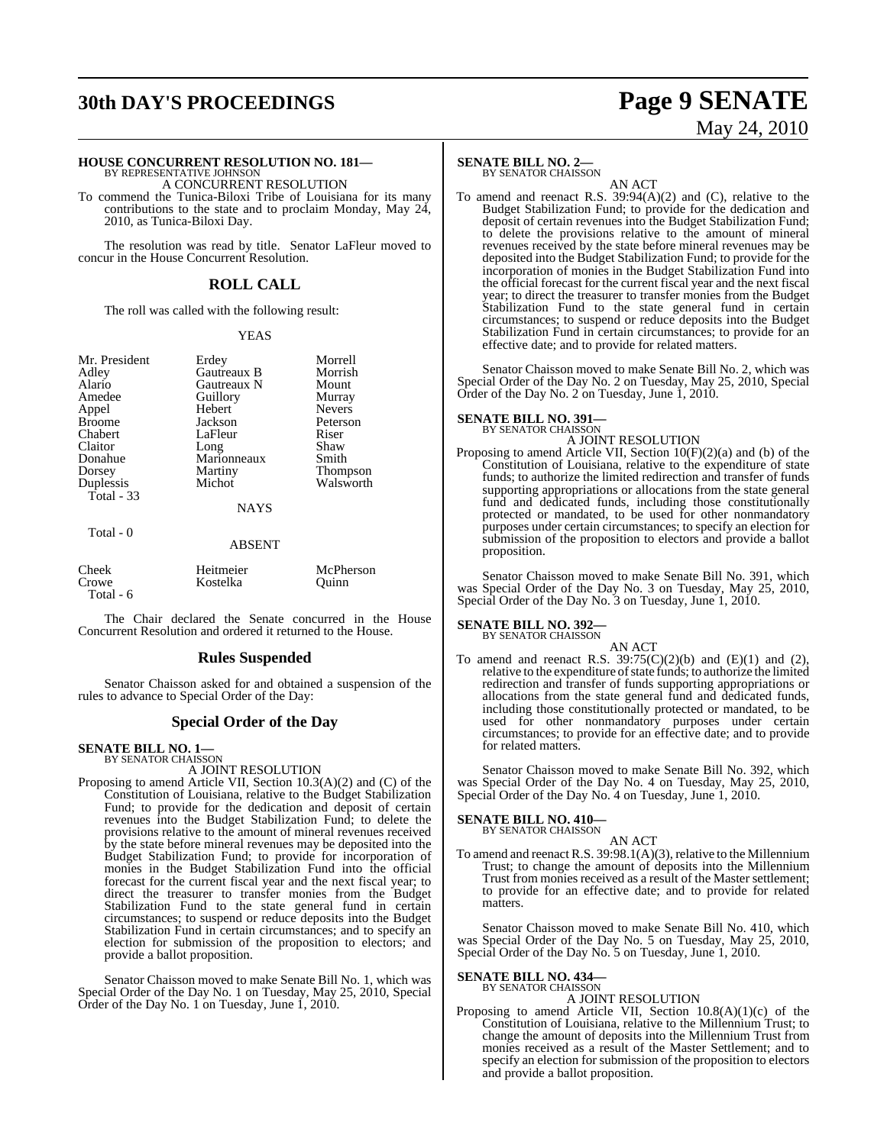# **30th DAY'S PROCEEDINGS Page 9 SENATE**

# May 24, 2010

# **HOUSE CONCURRENT RESOLUTION NO. 181—** BY REPRESENTATIVE JOHNSON

A CONCURRENT RESOLUTION

To commend the Tunica-Biloxi Tribe of Louisiana for its many contributions to the state and to proclaim Monday, May  $24$ , 2010, as Tunica-Biloxi Day.

The resolution was read by title. Senator LaFleur moved to concur in the House Concurrent Resolution.

## **ROLL CALL**

The roll was called with the following result:

#### YEAS

| Mr. President |
|---------------|
| Adley         |
| Alario        |
| Amedee        |
| Appel         |
| <b>Broome</b> |
| Chabert       |
| Claitor       |
| Donahue       |
| Dorsey        |
| Duplessis     |
| Total - 33    |

Erdey Morrell<br>Gautreaux B Morrish Gautreaux B Morrish<br>Gautreaux N Mount Gautreaux N Mount<br> **Alario Guillory** Murray Guillory Murray<br>Hebert Nevers Hebert Jackson Peterson<br>LaFleur Riser LaFleur Riser<br>Long Shaw Long Shaw<br>Marionneaux Smith Marionneaux<br>Martiny Martiny Thompson<br>Michot Walsworth

#### **NAYS**

Walsworth

#### Total - 0

#### ABSENT

| Cheek     | Heitmeier | McPherson |
|-----------|-----------|-----------|
| Crowe     | Kostelka  | Ouinn     |
| Total - 6 |           |           |

The Chair declared the Senate concurred in the House Concurrent Resolution and ordered it returned to the House.

#### **Rules Suspended**

Senator Chaisson asked for and obtained a suspension of the rules to advance to Special Order of the Day:

## **Special Order of the Day**

#### **SENATE BILL NO. 1—** BY SENATOR CHAISSON

A JOINT RESOLUTION

Proposing to amend Article VII, Section 10.3(A)(2) and (C) of the Constitution of Louisiana, relative to the Budget Stabilization Fund; to provide for the dedication and deposit of certain revenues into the Budget Stabilization Fund; to delete the provisions relative to the amount of mineral revenues received by the state before mineral revenues may be deposited into the Budget Stabilization Fund; to provide for incorporation of monies in the Budget Stabilization Fund into the official forecast for the current fiscal year and the next fiscal year; to direct the treasurer to transfer monies from the Budget Stabilization Fund to the state general fund in certain circumstances; to suspend or reduce deposits into the Budget Stabilization Fund in certain circumstances; and to specify an election for submission of the proposition to electors; and provide a ballot proposition.

Senator Chaisson moved to make Senate Bill No. 1, which was Special Order of the Day No. 1 on Tuesday, May 25, 2010, Special Order of the Day No. 1 on Tuesday, June 1, 2010.

## **SENATE BILL NO. 2—**

BY SENATOR CHAISSON

AN ACT To amend and reenact R.S. 39:94(A)(2) and (C), relative to the Budget Stabilization Fund; to provide for the dedication and deposit of certain revenues into the Budget Stabilization Fund; to delete the provisions relative to the amount of mineral revenues received by the state before mineral revenues may be deposited into the Budget Stabilization Fund; to provide for the incorporation of monies in the Budget Stabilization Fund into the official forecast for the current fiscal year and the next fiscal year; to direct the treasurer to transfer monies from the Budget Stabilization Fund to the state general fund in certain circumstances; to suspend or reduce deposits into the Budget Stabilization Fund in certain circumstances; to provide for an effective date; and to provide for related matters.

Senator Chaisson moved to make Senate Bill No. 2, which was Special Order of the Day No. 2 on Tuesday, May 25, 2010, Special Order of the Day No. 2 on Tuesday, June 1, 2010.

# **SENATE BILL NO. 391—** BY SENATOR CHAISSON

A JOINT RESOLUTION Proposing to amend Article VII, Section 10(F)(2)(a) and (b) of the Constitution of Louisiana, relative to the expenditure of state funds; to authorize the limited redirection and transfer of funds supporting appropriations or allocations from the state general fund and dedicated funds, including those constitutionally protected or mandated, to be used for other nonmandatory purposes under certain circumstances; to specify an election for submission of the proposition to electors and provide a ballot proposition.

Senator Chaisson moved to make Senate Bill No. 391, which was Special Order of the Day No. 3 on Tuesday, May 25, 2010, Special Order of the Day No. 3 on Tuesday, June 1, 2010.

#### **SENATE BILL NO. 392—**

BY SENATOR CHAISSON

AN ACT To amend and reenact R.S.  $39:75(C)(2)(b)$  and  $(E)(1)$  and  $(2)$ , relative to the expenditure of state funds; to authorize the limited redirection and transfer of funds supporting appropriations or allocations from the state general fund and dedicated funds, including those constitutionally protected or mandated, to be used for other nonmandatory purposes under certain circumstances; to provide for an effective date; and to provide

Senator Chaisson moved to make Senate Bill No. 392, which was Special Order of the Day No. 4 on Tuesday, May 25, 2010, Special Order of the Day No. 4 on Tuesday, June 1, 2010.

#### **SENATE BILL NO. 410—** BY SENATOR CHAISSON

for related matters.

AN ACT To amend and reenact R.S. 39:98.1(A)(3), relative to the Millennium Trust; to change the amount of deposits into the Millennium Trust from monies received as a result of the Master settlement; to provide for an effective date; and to provide for related matters.

Senator Chaisson moved to make Senate Bill No. 410, which was Special Order of the Day No. 5 on Tuesday, May 25, 2010, Special Order of the Day No. 5 on Tuesday, June 1, 2010.

#### **SENATE BILL NO. 434—** BY SENATOR CHAISSON

## A JOINT RESOLUTION

Proposing to amend Article VII, Section 10.8(A)(1)(c) of the Constitution of Louisiana, relative to the Millennium Trust; to change the amount of deposits into the Millennium Trust from monies received as a result of the Master Settlement; and to specify an election for submission of the proposition to electors and provide a ballot proposition.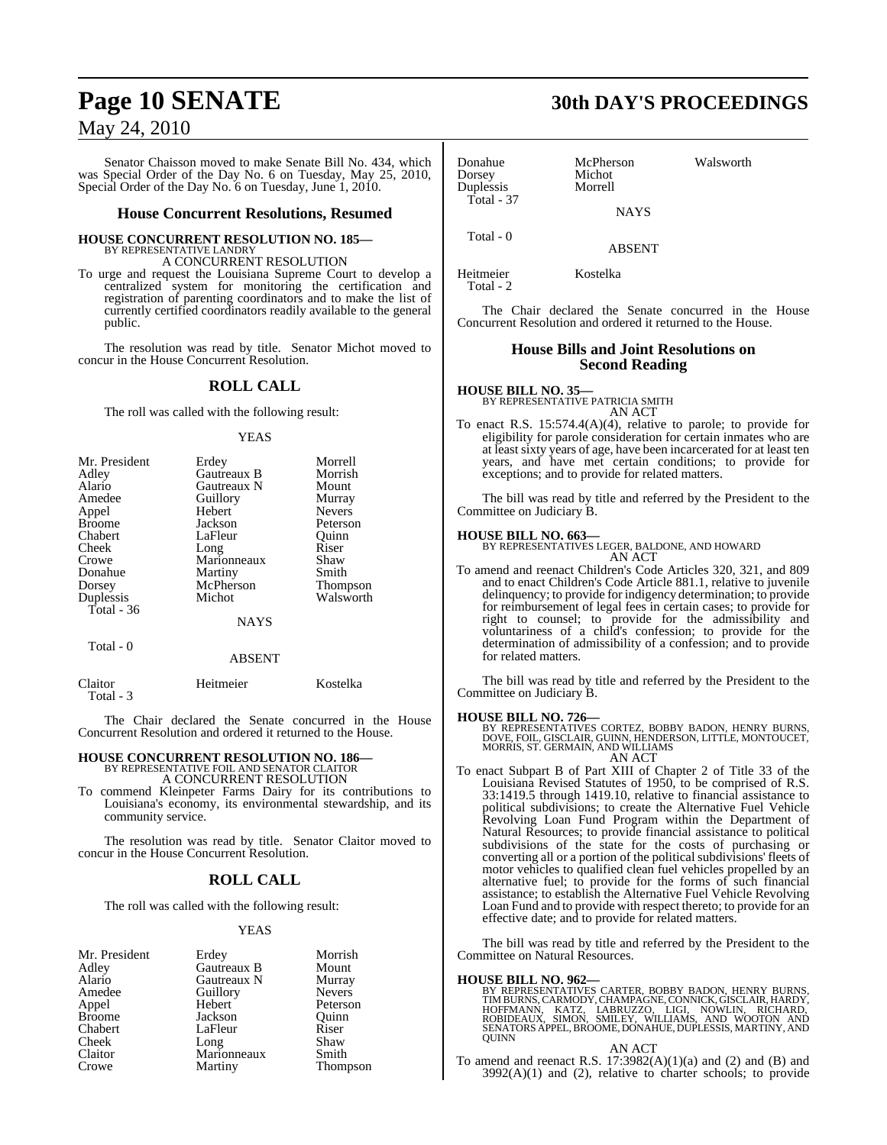Senator Chaisson moved to make Senate Bill No. 434, which was Special Order of the Day No. 6 on Tuesday, May 25, 2010, Special Order of the Day No. 6 on Tuesday, June 1, 2010.

#### **House Concurrent Resolutions, Resumed**

#### **HOUSE CONCURRENT RESOLUTION NO. 185—**

BY REPRESENTATIVE LANDRY A CONCURRENT RESOLUTION

To urge and request the Louisiana Supreme Court to develop a centralized system for monitoring the certification and registration of parenting coordinators and to make the list of currently certified coordinators readily available to the general public.

The resolution was read by title. Senator Michot moved to concur in the House Concurrent Resolution.

#### **ROLL CALL**

The roll was called with the following result:

#### YEAS

| Mr. President | Erdey       | Morrell         |
|---------------|-------------|-----------------|
| Adley         | Gautreaux B | Morrish         |
| Alario        | Gautreaux N | Mount           |
| Amedee        | Guillory    | Murray          |
| Appel         | Hebert      | <b>Nevers</b>   |
| <b>Broome</b> | Jackson     | Peterson        |
| Chabert       | LaFleur     | Ouinn           |
| Cheek         | Long        | Riser           |
| Crowe         | Marionneaux | Shaw            |
| Donahue       | Martiny     | Smith           |
| Dorsey        | McPherson   | <b>Thompson</b> |
| Duplessis     | Michot      | Walsworth       |
| Total $-36$   |             |                 |
|               | <b>NAYS</b> |                 |
| Total - 0     |             |                 |
|               | ABSENT      |                 |

| Claitor   | Heitmeier | Kostelka |
|-----------|-----------|----------|
| Total - 3 |           |          |

The Chair declared the Senate concurred in the House Concurrent Resolution and ordered it returned to the House.

# **HOUSE CONCURRENT RESOLUTION NO. 186—** BY REPRESENTATIVE FOIL AND SENATOR CLAITOR

A CONCURRENT RESOLUTION

To commend Kleinpeter Farms Dairy for its contributions to Louisiana's economy, its environmental stewardship, and its community service.

The resolution was read by title. Senator Claitor moved to concur in the House Concurrent Resolution.

### **ROLL CALL**

The roll was called with the following result:

#### YEAS

| Mr. President                        |
|--------------------------------------|
| Adley                                |
| Alario                               |
| Amedee                               |
| Appel                                |
| <b>Broome</b>                        |
| Chabert                              |
| Cheek                                |
| Claitor                              |
| $C_{\bm{r}\alpha\bm{u}i\bm{\alpha}}$ |

Erdey Morrish<br>
Gautreaux B Mount Gautreaux B Mount<br>
Gautreaux N Murray Gautreaux N Murray<br>
Guillory Nevers Guillory<br>Hebert **Sackson** Quinn<br> **Broom** Quinn<br> **Broom** Riser LaFleur Riser<br>Long Shaw Long Shaw<br>Marionneaux Smith Marionneaux Crowe Martiny Thompson

Peterson<br>Ouinn

# **Page 10 SENATE 30th DAY'S PROCEEDINGS**

Donahue McPherson Walsworth<br>
Dorsey Michot Dorsey Michot<br>Dunlessis Morrell Duplessis Total - 37 **NAYS** Total - 0

ABSENT

Heitmeier Kostelka Total - 2

The Chair declared the Senate concurred in the House Concurrent Resolution and ordered it returned to the House.

### **House Bills and Joint Resolutions on Second Reading**

**HOUSE BILL NO. 35—** BY REPRESENTATIVE PATRICIA SMITH AN ACT

To enact R.S. 15:574.4(A)(4), relative to parole; to provide for eligibility for parole consideration for certain inmates who are at least sixty years of age, have been incarcerated for at least ten years, and have met certain conditions; to provide for exceptions; and to provide for related matters.

The bill was read by title and referred by the President to the Committee on Judiciary B.

**HOUSE BILL NO. 663—** BY REPRESENTATIVES LEGER, BALDONE, AND HOWARD AN ACT

To amend and reenact Children's Code Articles 320, 321, and 809 and to enact Children's Code Article 881.1, relative to juvenile delinquency; to provide for indigency determination; to provide for reimbursement of legal fees in certain cases; to provide for right to counsel; to provide for the admissibility and voluntariness of a child's confession; to provide for the determination of admissibility of a confession; and to provide for related matters.

The bill was read by title and referred by the President to the Committee on Judiciary B.

#### **HOUSE BILL NO. 726—**

BY REPRESENTATIVES CORTEZ, BOBBY BADON, HENRY BURNS, DOVE, FOIL, GISCLAIR, GUINN, HENDERSON, LITTLE, MONTOUCET, MORRIS, ST. GERMAIN, AND WILLIAMS AN ACT

To enact Subpart B of Part XIII of Chapter 2 of Title 33 of the Louisiana Revised Statutes of 1950, to be comprised of R.S. 33:1419.5 through 1419.10, relative to financial assistance to political subdivisions; to create the Alternative Fuel Vehicle Revolving Loan Fund Program within the Department of Natural Resources; to provide financial assistance to political subdivisions of the state for the costs of purchasing or converting all or a portion of the political subdivisions' fleets of motor vehicles to qualified clean fuel vehicles propelled by an alternative fuel; to provide for the forms of such financial assistance; to establish the Alternative Fuel Vehicle Revolving Loan Fund and to provide with respect thereto; to provide for an effective date; and to provide for related matters.

The bill was read by title and referred by the President to the Committee on Natural Resources.

**HOUSE BILL NO. 962—**<br>BY REPRESENTATIVES CARTER, BOBBY BADON, HENRY BURNS, TIMBURNS, CARMODY, CHAMPAGNE, CONNICK, GISCLAIR, HARDY,<br>HOFFMANN, KATZ, LABRUZZO, LIGI, NOWLIN, RICHARD,<br>ROBIDEAUX, SIMON, SMILEY, WILLIAMS, AND WO

#### AN ACT

To amend and reenact R.S.  $17:3982(A)(1)(a)$  and  $(2)$  and  $(B)$  and  $3992(A)(1)$  and  $(2)$ , relative to charter schools; to provide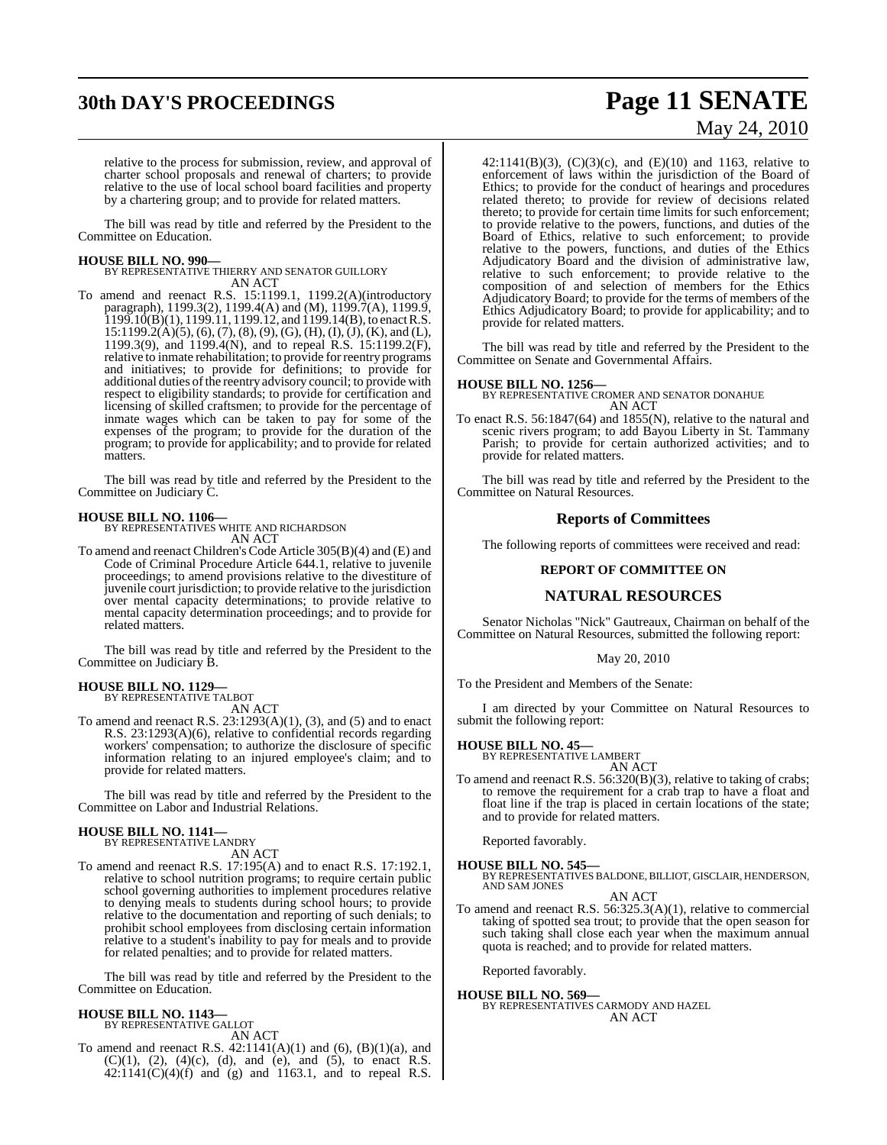# **30th DAY'S PROCEEDINGS Page 11 SENATE**

# May 24, 2010

relative to the process for submission, review, and approval of charter school proposals and renewal of charters; to provide relative to the use of local school board facilities and property by a chartering group; and to provide for related matters.

The bill was read by title and referred by the President to the Committee on Education.

**HOUSE BILL NO. 990—** BY REPRESENTATIVE THIERRY AND SENATOR GUILLORY AN ACT

To amend and reenact R.S. 15:1199.1, 1199.2(A)(introductory paragraph), 1199.3(2), 1199.4(A) and (M), 1199.7(A), 1199.9,  $1199.10(B)(1)$ ,  $1199.11$ ,  $1199.12$ , and  $1199.14(B)$ , to enact R.S.  $15:1199.2(A)(5), (6), (7), (8), (9), (G), (H), (I), (J), (K),$  and (L), 1199.3(9), and 1199.4(N), and to repeal R.S. 15:1199.2(F), relative to inmate rehabilitation; to provide for reentry programs and initiatives; to provide for definitions; to provide for additional duties ofthe reentry advisory council; to provide with respect to eligibility standards; to provide for certification and licensing of skilled craftsmen; to provide for the percentage of inmate wages which can be taken to pay for some of the expenses of the program; to provide for the duration of the program; to provide for applicability; and to provide for related matters.

The bill was read by title and referred by the President to the Committee on Judiciary C.

**HOUSE BILL NO. 1106—** BY REPRESENTATIVES WHITE AND RICHARDSON AN ACT

To amend and reenact Children's Code Article 305(B)(4) and (E) and Code of Criminal Procedure Article 644.1, relative to juvenile proceedings; to amend provisions relative to the divestiture of juvenile court jurisdiction; to provide relative to the jurisdiction over mental capacity determinations; to provide relative to mental capacity determination proceedings; and to provide for related matters.

The bill was read by title and referred by the President to the Committee on Judiciary B.

#### **HOUSE BILL NO. 1129—** BY REPRESENTATIVE TALBOT

AN ACT

To amend and reenact R.S.  $23:1293(A)(1)$ ,  $(3)$ , and  $(5)$  and to enact R.S. 23:1293(A)(6), relative to confidential records regarding workers' compensation; to authorize the disclosure of specific information relating to an injured employee's claim; and to provide for related matters.

The bill was read by title and referred by the President to the Committee on Labor and Industrial Relations.

#### **HOUSE BILL NO. 1141—**

BY REPRESENTATIVE LANDRY AN ACT

To amend and reenact R.S. 17:195(A) and to enact R.S. 17:192.1, relative to school nutrition programs; to require certain public school governing authorities to implement procedures relative to denying meals to students during school hours; to provide relative to the documentation and reporting of such denials; to prohibit school employees from disclosing certain information relative to a student's inability to pay for meals and to provide for related penalties; and to provide for related matters.

The bill was read by title and referred by the President to the Committee on Education.

# **HOUSE BILL NO. 1143—** BY REPRESENTATIVE GALLOT

AN ACT

To amend and reenact R.S.  $42:1141(A)(1)$  and  $(6)$ ,  $(B)(1)(a)$ , and  $(C)(1)$ ,  $(2)$ ,  $(4)(c)$ ,  $(d)$ , and  $(e)$ , and  $(5)$ , to enact R.S.  $42:1141(C)(4)(f)$  and (g) and 1163.1, and to repeal R.S.

42:1141(B)(3),  $(C)(3)(c)$ , and  $(E)(10)$  and 1163, relative to enforcement of laws within the jurisdiction of the Board of Ethics; to provide for the conduct of hearings and procedures related thereto; to provide for review of decisions related thereto; to provide for certain time limits for such enforcement; to provide relative to the powers, functions, and duties of the Board of Ethics, relative to such enforcement; to provide relative to the powers, functions, and duties of the Ethics Adjudicatory Board and the division of administrative law, relative to such enforcement; to provide relative to the composition of and selection of members for the Ethics Adjudicatory Board; to provide for the terms of members of the Ethics Adjudicatory Board; to provide for applicability; and to provide for related matters.

The bill was read by title and referred by the President to the Committee on Senate and Governmental Affairs.

**HOUSE BILL NO. 1256—** BY REPRESENTATIVE CROMER AND SENATOR DONAHUE AN ACT

To enact R.S. 56:1847(64) and 1855(N), relative to the natural and scenic rivers program; to add Bayou Liberty in St. Tammany Parish; to provide for certain authorized activities; and to provide for related matters.

The bill was read by title and referred by the President to the Committee on Natural Resources.

#### **Reports of Committees**

The following reports of committees were received and read:

#### **REPORT OF COMMITTEE ON**

#### **NATURAL RESOURCES**

Senator Nicholas "Nick" Gautreaux, Chairman on behalf of the Committee on Natural Resources, submitted the following report:

#### May 20, 2010

To the President and Members of the Senate:

I am directed by your Committee on Natural Resources to submit the following report:

# **HOUSE BILL NO. 45—** BY REPRESENTATIVE LAMBERT

AN ACT

To amend and reenact R.S. 56:320(B)(3), relative to taking of crabs; to remove the requirement for a crab trap to have a float and float line if the trap is placed in certain locations of the state; and to provide for related matters.

Reported favorably.

**HOUSE BILL NO. 545—**

BY REPRESENTATIVES BALDONE, BILLIOT, GISCLAIR, HENDERSON, AND SAM JONES AN ACT

To amend and reenact R.S. 56:325.3(A)(1), relative to commercial taking of spotted sea trout; to provide that the open season for such taking shall close each year when the maximum annual quota is reached; and to provide for related matters.

Reported favorably.

#### **HOUSE BILL NO. 569—** BY REPRESENTATIVES CARMODY AND HAZEL AN ACT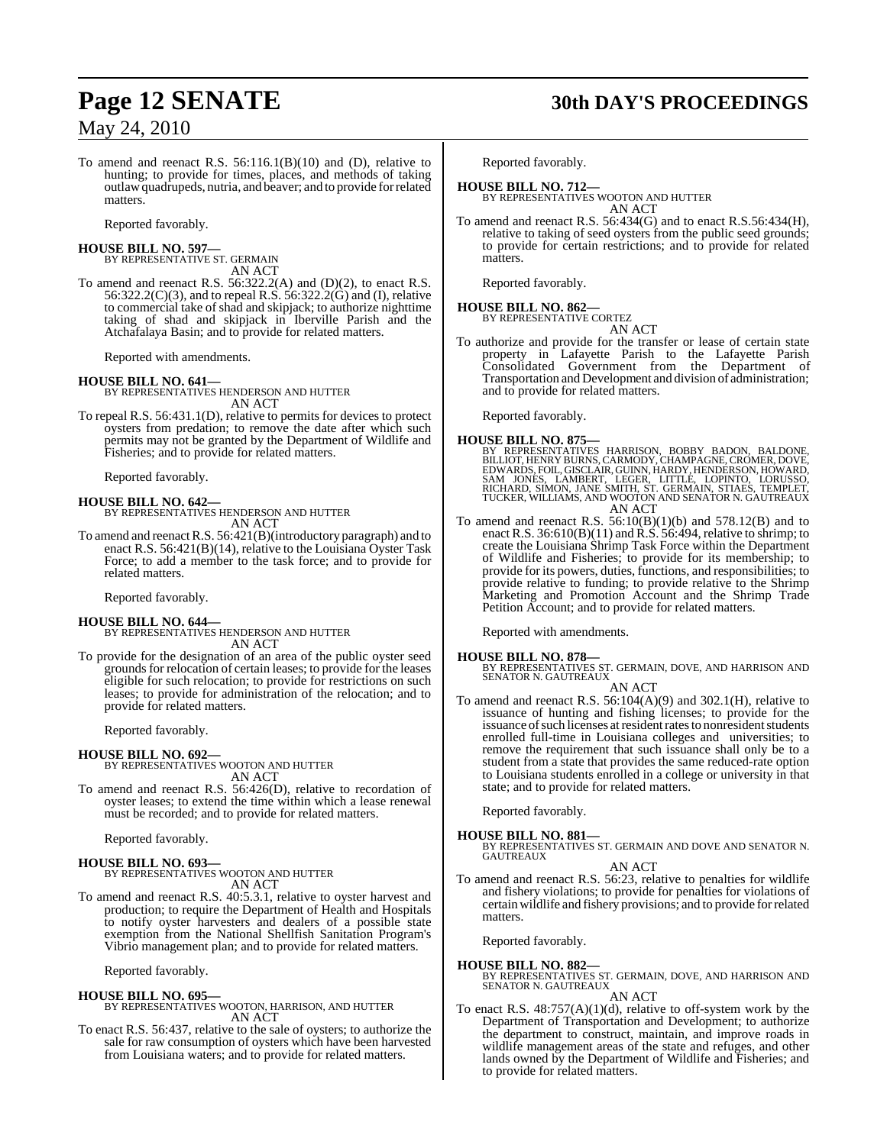To amend and reenact R.S. 56:116.1(B)(10) and (D), relative to hunting; to provide for times, places, and methods of taking outlawquadrupeds, nutria, and beaver; and to provide for related matters.

Reported favorably.

# **HOUSE BILL NO. 597—** BY REPRESENTATIVE ST. GERMAIN

AN ACT

To amend and reenact R.S. 56:322.2(A) and (D)(2), to enact R.S. 56:322.2(C)(3), and to repeal R.S. 56:322.2(G) and (I), relative to commercial take of shad and skipjack; to authorize nighttime taking of shad and skipjack in Iberville Parish and the Atchafalaya Basin; and to provide for related matters.

Reported with amendments.

#### **HOUSE BILL NO. 641—**

BY REPRESENTATIVES HENDERSON AND HUTTER AN ACT

To repeal R.S. 56:431.1(D), relative to permits for devices to protect oysters from predation; to remove the date after which such permits may not be granted by the Department of Wildlife and Fisheries; and to provide for related matters.

Reported favorably.

#### **HOUSE BILL NO. 642—**

BY REPRESENTATIVES HENDERSON AND HUTTER AN ACT

To amend and reenactR.S. 56:421(B)(introductory paragraph) and to enact R.S. 56:421(B)(14), relative to the Louisiana Oyster Task Force; to add a member to the task force; and to provide for related matters.

Reported favorably.

#### **HOUSE BILL NO. 644—**

BY REPRESENTATIVES HENDERSON AND HUTTER AN ACT

To provide for the designation of an area of the public oyster seed grounds for relocation of certain leases; to provide for the leases eligible for such relocation; to provide for restrictions on such leases; to provide for administration of the relocation; and to provide for related matters.

Reported favorably.

#### **HOUSE BILL NO. 692—**

BY REPRESENTATIVES WOOTON AND HUTTER

AN ACT To amend and reenact R.S. 56:426(D), relative to recordation of oyster leases; to extend the time within which a lease renewal must be recorded; and to provide for related matters.

Reported favorably.

#### **HOUSE BILL NO. 693—**

BY REPRESENTATIVES WOOTON AND HUTTER AN ACT

To amend and reenact R.S. 40:5.3.1, relative to oyster harvest and production; to require the Department of Health and Hospitals to notify oyster harvesters and dealers of a possible state exemption from the National Shellfish Sanitation Program's Vibrio management plan; and to provide for related matters.

Reported favorably.

#### **HOUSE BILL NO. 695—** BY REPRESENTATIVES WOOTON, HARRISON, AND HUTTER AN ACT

To enact R.S. 56:437, relative to the sale of oysters; to authorize the sale for raw consumption of oysters which have been harvested from Louisiana waters; and to provide for related matters.

# **Page 12 SENATE 30th DAY'S PROCEEDINGS**

Reported favorably.

**HOUSE BILL NO. 712—** BY REPRESENTATIVES WOOTON AND HUTTER AN ACT

To amend and reenact R.S. 56:434(G) and to enact R.S.56:434(H), relative to taking of seed oysters from the public seed grounds; to provide for certain restrictions; and to provide for related matters.

Reported favorably.

#### **HOUSE BILL NO. 862—** BY REPRESENTATIVE CORTEZ

AN ACT

To authorize and provide for the transfer or lease of certain state property in Lafayette Parish to the Lafayette Parish Consolidated Government from the Department of Transportation and Development and division of administration; and to provide for related matters.

Reported favorably.

- **HOUSE BILL NO. 875—**<br>BY REPRESENTATIVES HARRISON, BOBBY BADON, BALDONE,<br>BILLIOT,HERRY BURNS, CARMODY, CHAMPAGNE, CROMER, DOVE,<br>EDWARDS, FOIL, GISCLAIR, GUINN, HARDY, HENDERSON, HOWARD,<br>SAM JONES, LAMBERT, LEGER, LITTLE, L
- To amend and reenact R.S.  $56:10(B)(1)(b)$  and  $578.12(B)$  and to enact R.S.  $36:610(B)(11)$  and R.S.  $56:494$ , relative to shrimp; to create the Louisiana Shrimp Task Force within the Department of Wildlife and Fisheries; to provide for its membership; to provide for its powers, duties, functions, and responsibilities; to provide relative to funding; to provide relative to the Shrimp Marketing and Promotion Account and the Shrimp Trade Petition Account; and to provide for related matters.

Reported with amendments.

#### **HOUSE BILL NO. 878—**

BY REPRESENTATIVES ST. GERMAIN, DOVE, AND HARRISON AND SENATOR N. GAUTREAUX

- AN ACT
- To amend and reenact R.S. 56:104(A)(9) and 302.1(H), relative to issuance of hunting and fishing licenses; to provide for the issuance of such licenses at resident rates to nonresident students enrolled full-time in Louisiana colleges and universities; to remove the requirement that such issuance shall only be to a student from a state that provides the same reduced-rate option to Louisiana students enrolled in a college or university in that state; and to provide for related matters.

Reported favorably.

**HOUSE BILL NO. 881—** BY REPRESENTATIVES ST. GERMAIN AND DOVE AND SENATOR N. GAUTREAUX

AN ACT

To amend and reenact R.S. 56:23, relative to penalties for wildlife and fishery violations; to provide for penalties for violations of certain wildlife and fishery provisions; and to provide forrelated matters.

Reported favorably.

- **HOUSE BILL NO. 882—** BY REPRESENTATIVES ST. GERMAIN, DOVE, AND HARRISON AND SENATOR N. GAUTREAUX AN ACT
- To enact R.S.  $48:757(A)(1)(d)$ , relative to off-system work by the Department of Transportation and Development; to authorize the department to construct, maintain, and improve roads in wildlife management areas of the state and refuges, and other lands owned by the Department of Wildlife and Fisheries; and to provide for related matters.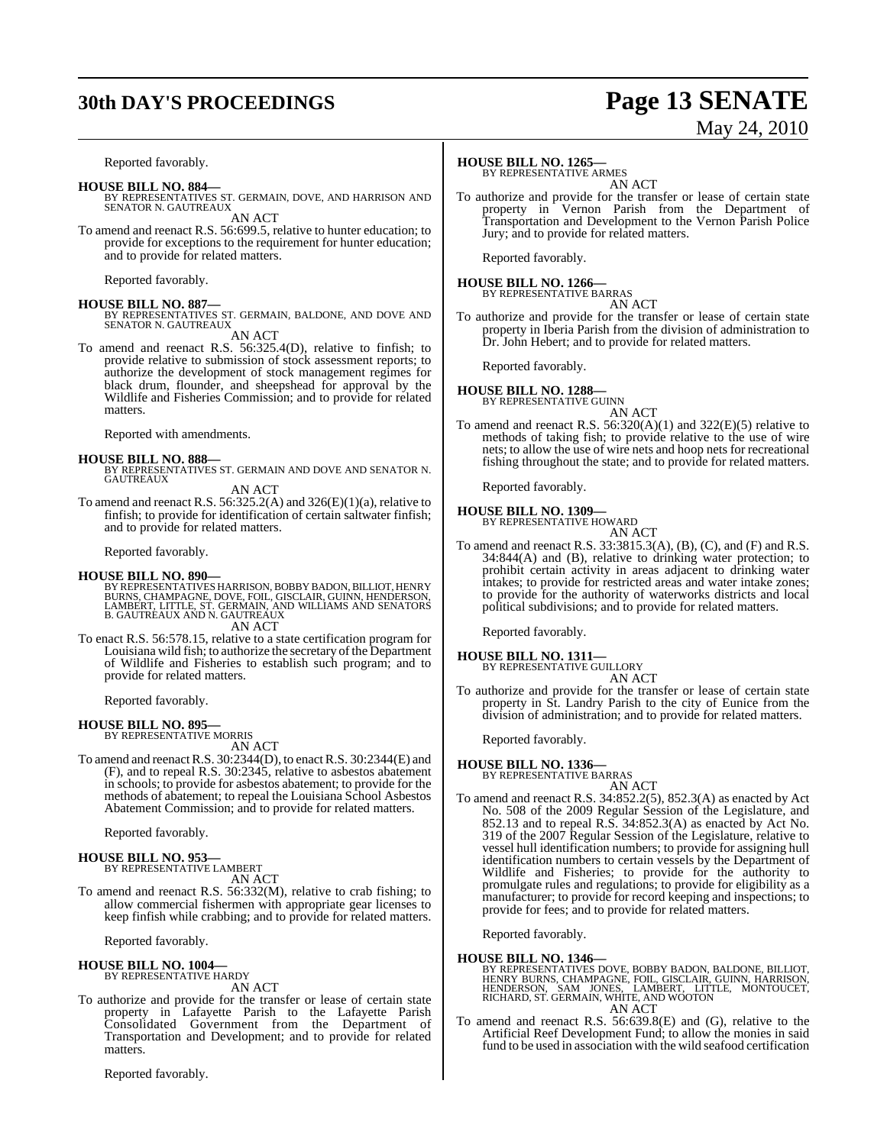# **30th DAY'S PROCEEDINGS Page 13 SENATE**

# May 24, 2010

Reported favorably.

#### **HOUSE BILL NO. 884—**

BY REPRESENTATIVES ST. GERMAIN, DOVE, AND HARRISON AND SENATOR N. GAUTREAUX AN ACT

To amend and reenact R.S. 56:699.5, relative to hunter education; to provide for exceptions to the requirement for hunter education; and to provide for related matters.

Reported favorably.

#### **HOUSE BILL NO. 887—**

BY REPRESENTATIVES ST. GERMAIN, BALDONE, AND DOVE AND SENATOR N. GAUTREAUX

AN ACT

To amend and reenact R.S. 56:325.4(D), relative to finfish; to provide relative to submission of stock assessment reports; to authorize the development of stock management regimes for black drum, flounder, and sheepshead for approval by the Wildlife and Fisheries Commission; and to provide for related matters.

Reported with amendments.

#### **HOUSE BILL NO. 888—**

BY REPRESENTATIVES ST. GERMAIN AND DOVE AND SENATOR N. **GAUTREAUX** 

AN ACT

To amend and reenact R.S. 56:325.2(A) and 326(E)(1)(a), relative to finfish; to provide for identification of certain saltwater finfish; and to provide for related matters.

Reported favorably.

#### **HOUSE BILL NO. 890—**

- BY REPRESENTATIVES HARRISON, BOBBY BADON, BILLIOT, HENRY<br>BURNS, CHAMPAGNE, DOVE, FOIL, GISCLAIR, GUINN, HENDERSON,<br>LAMBERT, LITTLE, ST. GERMAIN, AND WILLIAMS AND SENATORS<br>B. GAUTREAUX AND N. GAUTREAUX AN ACT
- To enact R.S. 56:578.15, relative to a state certification program for Louisiana wild fish; to authorize the secretary of the Department of Wildlife and Fisheries to establish such program; and to provide for related matters.

Reported favorably.

#### **HOUSE BILL NO. 895—**

BY REPRESENTATIVE MORRIS AN ACT

To amend and reenact R.S. 30:2344(D), to enact R.S. 30:2344(E) and (F), and to repeal R.S. 30:2345, relative to asbestos abatement in schools; to provide for asbestos abatement; to provide for the methods of abatement; to repeal the Louisiana School Asbestos Abatement Commission; and to provide for related matters.

Reported favorably.

#### **HOUSE BILL NO. 953—** BY REPRESENTATIVE LAMBERT

AN ACT

To amend and reenact R.S. 56:332(M), relative to crab fishing; to allow commercial fishermen with appropriate gear licenses to keep finfish while crabbing; and to provide for related matters.

Reported favorably.

#### **HOUSE BILL NO. 1004—** BY REPRESENTATIVE HARDY

AN ACT

To authorize and provide for the transfer or lease of certain state property in Lafayette Parish to the Lafayette Parish Consolidated Government from the Department of Transportation and Development; and to provide for related matters.

Reported favorably.

#### **HOUSE BILL NO. 1265—**

BY REPRESENTATIVE ARMES AN ACT

To authorize and provide for the transfer or lease of certain state property in Vernon Parish from the Department of Transportation and Development to the Vernon Parish Police Jury; and to provide for related matters.

Reported favorably.

# **HOUSE BILL NO. 1266—** BY REPRESENTATIVE BARRAS

AN ACT

To authorize and provide for the transfer or lease of certain state property in Iberia Parish from the division of administration to Dr. John Hebert; and to provide for related matters.

Reported favorably.

# **HOUSE BILL NO. 1288—** BY REPRESENTATIVE GUINN

AN ACT

To amend and reenact R.S.  $56:320(A)(1)$  and  $322(E)(5)$  relative to methods of taking fish; to provide relative to the use of wire nets; to allow the use of wire nets and hoop nets for recreational fishing throughout the state; and to provide for related matters.

Reported favorably.

### **HOUSE BILL NO. 1309—**

BY REPRESENTATIVE HOWARD AN ACT

To amend and reenact R.S. 33:3815.3(A), (B), (C), and (F) and R.S. 34:844(A) and (B), relative to drinking water protection; to prohibit certain activity in areas adjacent to drinking water intakes; to provide for restricted areas and water intake zones; to provide for the authority of waterworks districts and local political subdivisions; and to provide for related matters.

Reported favorably.

#### **HOUSE BILL NO. 1311—** BY REPRESENTATIVE GUILLORY

- AN ACT
- To authorize and provide for the transfer or lease of certain state property in St. Landry Parish to the city of Eunice from the division of administration; and to provide for related matters.

Reported favorably.

#### **HOUSE BILL NO. 1336—**

BY REPRESENTATIVE BARRAS AN ACT

To amend and reenact R.S. 34:852.2(5), 852.3(A) as enacted by Act No. 508 of the 2009 Regular Session of the Legislature, and 852.13 and to repeal R.S. 34:852.3(A) as enacted by Act No. 319 of the 2007 Regular Session of the Legislature, relative to vessel hull identification numbers; to provide for assigning hull identification numbers to certain vessels by the Department of Wildlife and Fisheries; to provide for the authority to promulgate rules and regulations; to provide for eligibility as a manufacturer; to provide for record keeping and inspections; to provide for fees; and to provide for related matters.

Reported favorably.

#### **HOUSE BILL NO. 1346—**

BY REPRESENTATIVES DOVE, BOBBY BADON, BALDONE, BILLIOT,<br>HENRY BURNS, CHAMPAGNE, FOIL, GISCLAIR, GUINN, HARRISON,<br>HENDERSON, SAM JONES, LAMBERT, LITTLE, MONTOUCET,<br>RICHARD, ST. GERMAIN, WHITE, AND WOOTON AN ACT

To amend and reenact R.S. 56:639.8(E) and (G), relative to the Artificial Reef Development Fund; to allow the monies in said fund to be used in association with the wild seafood certification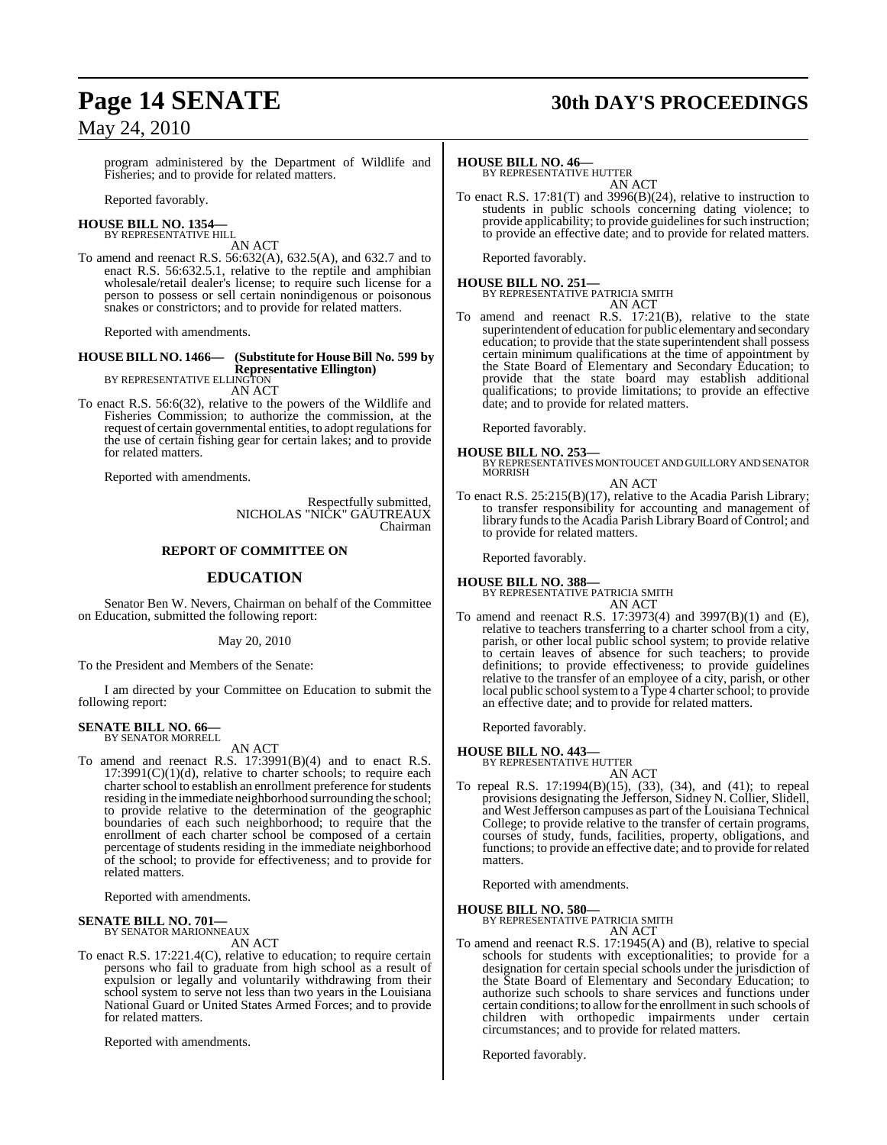# **Page 14 SENATE 30th DAY'S PROCEEDINGS**

## May 24, 2010

program administered by the Department of Wildlife and Fisheries; and to provide for related matters.

Reported favorably.

#### **HOUSE BILL NO. 1354—** BY REPRESENTATIVE HILL

AN ACT

To amend and reenact R.S. 56:632(A), 632.5(A), and 632.7 and to enact R.S. 56:632.5.1, relative to the reptile and amphibian wholesale/retail dealer's license; to require such license for a person to possess or sell certain nonindigenous or poisonous snakes or constrictors; and to provide for related matters.

Reported with amendments.

## **HOUSE BILL NO. 1466— (Substitute for HouseBill No. 599 by Representative Ellington)** BY REPRESENTATIVE ELLINGTON

AN ACT

To enact R.S. 56:6(32), relative to the powers of the Wildlife and Fisheries Commission; to authorize the commission, at the request of certain governmental entities, to adopt regulations for the use of certain fishing gear for certain lakes; and to provide for related matters.

Reported with amendments.

Respectfully submitted, NICHOLAS "NICK" GAUTREAUX Chairman

#### **REPORT OF COMMITTEE ON**

#### **EDUCATION**

Senator Ben W. Nevers, Chairman on behalf of the Committee on Education, submitted the following report:

May 20, 2010

To the President and Members of the Senate:

I am directed by your Committee on Education to submit the following report:

# **SENATE BILL NO. 66—** BY SENATOR MORRELL

AN ACT

To amend and reenact R.S. 17:3991(B)(4) and to enact R.S.  $17:3991(C)(1)(d)$ , relative to charter schools; to require each charter school to establish an enrollment preference for students residing in the immediate neighborhood surrounding the school; to provide relative to the determination of the geographic boundaries of each such neighborhood; to require that the enrollment of each charter school be composed of a certain percentage of students residing in the immediate neighborhood of the school; to provide for effectiveness; and to provide for related matters.

Reported with amendments.

# **SENATE BILL NO. 701—** BY SENATOR MARIONNEAUX

AN ACT

To enact R.S. 17:221.4(C), relative to education; to require certain persons who fail to graduate from high school as a result of expulsion or legally and voluntarily withdrawing from their school system to serve not less than two years in the Louisiana National Guard or United States Armed Forces; and to provide for related matters.

Reported with amendments.

#### **HOUSE BILL NO. 46—**

BY REPRESENTATIVE HUTTER AN ACT

To enact R.S. 17:81(T) and 3996(B)(24), relative to instruction to students in public schools concerning dating violence; to provide applicability; to provide guidelines for such instruction; to provide an effective date; and to provide for related matters.

Reported favorably.

## **HOUSE BILL NO. 251—** BY REPRESENTATIVE PATRICIA SMITH AN ACT

To amend and reenact R.S. 17:21(B), relative to the state superintendent of education for public elementary and secondary education; to provide that the state superintendent shall possess certain minimum qualifications at the time of appointment by the State Board of Elementary and Secondary Education; to provide that the state board may establish additional qualifications; to provide limitations; to provide an effective date; and to provide for related matters.

Reported favorably.

**HOUSE BILL NO. 253—** BY REPRESENTATIVES MONTOUCET AND GUILLORY AND SENATOR **MORRISH** 

- AN ACT
- To enact R.S. 25:215(B)(17), relative to the Acadia Parish Library; to transfer responsibility for accounting and management of library funds to the Acadia Parish Library Board of Control; and to provide for related matters.

Reported favorably.

#### **HOUSE BILL NO. 388—**

BY REPRESENTATIVE PATRICIA SMITH AN ACT

To amend and reenact R.S. 17:3973(4) and 3997(B)(1) and (E), relative to teachers transferring to a charter school from a city, parish, or other local public school system; to provide relative to certain leaves of absence for such teachers; to provide definitions; to provide effectiveness; to provide guidelines relative to the transfer of an employee of a city, parish, or other local public school system to a Type 4 charter school; to provide an effective date; and to provide for related matters.

Reported favorably.

#### **HOUSE BILL NO. 443—**

BY REPRESENTATIVE HUTTER AN ACT

To repeal R.S. 17:1994(B)(15), (33), (34), and (41); to repeal provisions designating the Jefferson, Sidney N. Collier, Slidell, and West Jefferson campuses as part of the Louisiana Technical College; to provide relative to the transfer of certain programs, courses of study, funds, facilities, property, obligations, and functions; to provide an effective date; and to provide for related matters.

Reported with amendments.

**HOUSE BILL NO. 580—** BY REPRESENTATIVE PATRICIA SMITH

AN ACT

To amend and reenact R.S. 17:1945(A) and (B), relative to special schools for students with exceptionalities; to provide for a designation for certain special schools under the jurisdiction of the State Board of Elementary and Secondary Education; to authorize such schools to share services and functions under certain conditions; to allow for the enrollment in such schools of children with orthopedic impairments under certain circumstances; and to provide for related matters.

Reported favorably.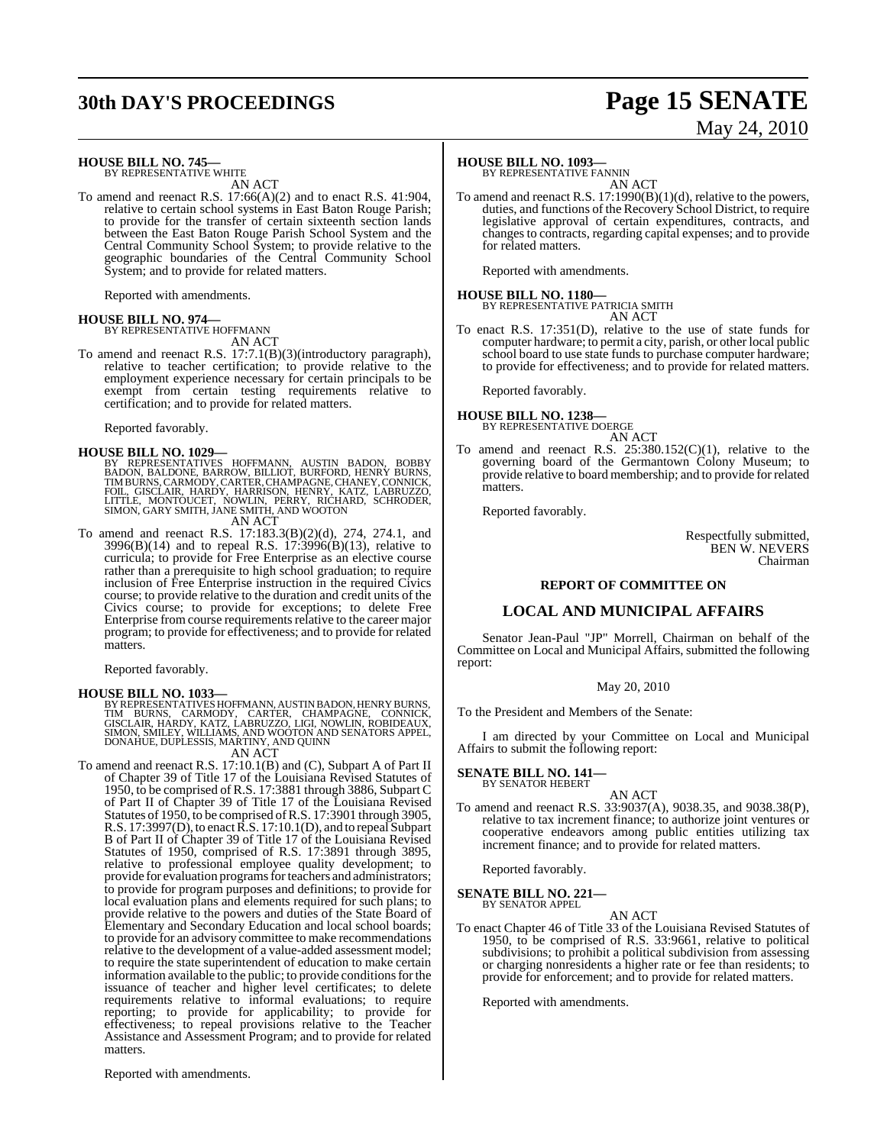# **30th DAY'S PROCEEDINGS Page 15 SENATE**

#### **HOUSE BILL NO. 745—**

BY REPRESENTATIVE WHITE AN ACT

To amend and reenact R.S. 17:66(A)(2) and to enact R.S. 41:904, relative to certain school systems in East Baton Rouge Parish; to provide for the transfer of certain sixteenth section lands between the East Baton Rouge Parish School System and the Central Community School System; to provide relative to the geographic boundaries of the Central Community School System; and to provide for related matters.

Reported with amendments.

#### **HOUSE BILL NO. 974—**

BY REPRESENTATIVE HOFFMANN AN ACT

To amend and reenact R.S. 17:7.1(B)(3)(introductory paragraph), relative to teacher certification; to provide relative to the employment experience necessary for certain principals to be exempt from certain testing requirements relative to certification; and to provide for related matters.

Reported favorably.

**HOUSE BILL NO. 1029—**<br>BY REPRESENTATIVES HOFFMANN, AUSTIN BADON, BOBBY RADON, BALDONE, BARROW, BILLIOT, BURFORD, HENRY BURNS, TIMBURNS, CARMODY, CARTER, CHAMPAGNE, CHANEY, CONNICK, FOIL, GISCLAIR, HARDY, HARRISON, HENRY,

AN ACT

To amend and reenact R.S. 17:183.3(B)(2)(d), 274, 274.1, and 3996(B)(14) and to repeal R.S. 17:3996(B)(13), relative to curricula; to provide for Free Enterprise as an elective course rather than a prerequisite to high school graduation; to require inclusion of Free Enterprise instruction in the required Civics course; to provide relative to the duration and credit units of the Civics course; to provide for exceptions; to delete Free Enterprise from course requirements relative to the career major program; to provide for effectiveness; and to provide for related matters.

Reported favorably.

**HOUSE BILL NO. 1033—**<br>BY REPRESENTATIVES HOFFMANN, AUSTIN BADON, HENRY BURNS, TIM BURNS, CARMODY, CARTER, CHAMPAGNE, CONNICK,<br>GISCLAIR, HARDY, KATZ, LABRUZZO, LIGI, NOWLIN, ROBIDEAUX,<br>SIMON, SMILEY, WILLIAMS, AND WOOTON A

To amend and reenact R.S. 17:10.1(B) and (C), Subpart A of Part II To amend and reenact R.S. 17:10.1(B) and (C), Subpart A of Part II of Chapter 39 of Title 17 of the Louisiana Revised Statutes of 1950, to be comprised of R.S. 17:3881 through 3886, Subpart C of Part II of Chapter 39 of Title 17 of the Louisiana Revised Statutes of 1950, to be comprised ofR.S. 17:3901 through 3905, R.S. 17:3997(D), to enact R.S. 17:10.1(D), and to repeal Subpart B of Part II of Chapter 39 of Title 17 of the Louisiana Revised Statutes of 1950, comprised of R.S. 17:3891 through 3895, relative to professional employee quality development; to provide for evaluation programs for teachers and administrators; to provide for program purposes and definitions; to provide for local evaluation plans and elements required for such plans; to provide relative to the powers and duties of the State Board of Elementary and Secondary Education and local school boards; to provide for an advisory committee to make recommendations relative to the development of a value-added assessment model; to require the state superintendent of education to make certain information available to the public; to provide conditions for the issuance of teacher and higher level certificates; to delete requirements relative to informal evaluations; to require reporting; to provide for applicability; to provide for effectiveness; to repeal provisions relative to the Teacher Assistance and Assessment Program; and to provide for related matters.

#### **HOUSE BILL NO. 1093—**

BY REPRESENTATIVE FANNIN AN ACT

To amend and reenact R.S. 17:1990(B)(1)(d), relative to the powers, duties, and functions of the Recovery School District, to require legislative approval of certain expenditures, contracts, and changesto contracts, regarding capital expenses; and to provide for related matters.

Reported with amendments.

**HOUSE BILL NO. 1180—** BY REPRESENTATIVE PATRICIA SMITH AN ACT

To enact R.S. 17:351(D), relative to the use of state funds for computer hardware; to permit a city, parish, or other local public school board to use state funds to purchase computer hardware; to provide for effectiveness; and to provide for related matters.

Reported favorably.

#### **HOUSE BILL NO. 1238—** BY REPRESENTATIVE DOERGE

AN ACT

To amend and reenact R.S.  $25:380.152(C)(1)$ , relative to the governing board of the Germantown Colony Museum; to provide relative to board membership; and to provide for related **matters** 

Reported favorably.

Respectfully submitted, BEN W. NEVERS Chairman

#### **REPORT OF COMMITTEE ON**

#### **LOCAL AND MUNICIPAL AFFAIRS**

Senator Jean-Paul "JP" Morrell, Chairman on behalf of the Committee on Local and Municipal Affairs, submitted the following report:

#### May 20, 2010

To the President and Members of the Senate:

I am directed by your Committee on Local and Municipal Affairs to submit the following report:

#### **SENATE BILL NO. 141—** BY SENATOR HEBERT

AN ACT To amend and reenact R.S. 33:9037(A), 9038.35, and 9038.38(P), relative to tax increment finance; to authorize joint ventures or cooperative endeavors among public entities utilizing tax increment finance; and to provide for related matters.

Reported favorably.

# **SENATE BILL NO. 221—** BY SENATOR APPEL

AN ACT

To enact Chapter 46 of Title 33 of the Louisiana Revised Statutes of 1950, to be comprised of R.S. 33:9661, relative to political subdivisions; to prohibit a political subdivision from assessing or charging nonresidents a higher rate or fee than residents; to provide for enforcement; and to provide for related matters.

Reported with amendments.

Reported with amendments.

# May 24, 2010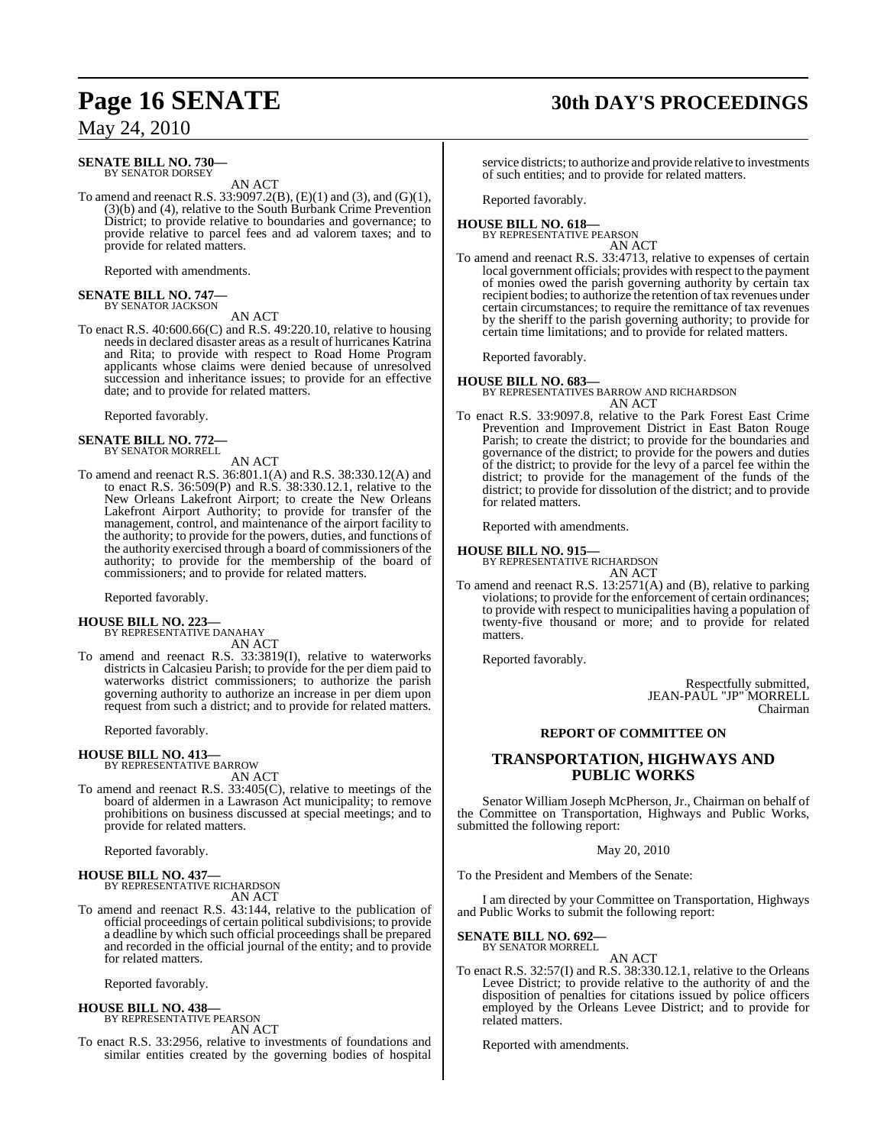#### **SENATE BILL NO. 730—** BY SENATOR DORSEY

AN ACT

To amend and reenact R.S. 33:9097.2(B), (E)(1) and (3), and (G)(1), (3)(b) and (4), relative to the South Burbank Crime Prevention District; to provide relative to boundaries and governance; to provide relative to parcel fees and ad valorem taxes; and to provide for related matters.

Reported with amendments.

#### **SENATE BILL NO. 747—** BY SENATOR JACKSON

AN ACT

To enact R.S. 40:600.66(C) and R.S. 49:220.10, relative to housing needs in declared disaster areas as a result of hurricanes Katrina and Rita; to provide with respect to Road Home Program applicants whose claims were denied because of unresolved succession and inheritance issues; to provide for an effective date; and to provide for related matters.

Reported favorably.

# **SENATE BILL NO. 772—** BY SENATOR MORRELL

AN ACT

To amend and reenact R.S. 36:801.1(A) and R.S. 38:330.12(A) and to enact R.S. 36:509(P) and R.S. 38:330.12.1, relative to the New Orleans Lakefront Airport; to create the New Orleans Lakefront Airport Authority; to provide for transfer of the management, control, and maintenance of the airport facility to the authority; to provide for the powers, duties, and functions of the authority exercised through a board of commissioners of the authority; to provide for the membership of the board of commissioners; and to provide for related matters.

Reported favorably.

#### **HOUSE BILL NO. 223—**

BY REPRESENTATIVE DANAHAY AN ACT

To amend and reenact R.S. 33:3819(I), relative to waterworks districts in Calcasieu Parish; to provide for the per diem paid to waterworks district commissioners; to authorize the parish governing authority to authorize an increase in per diem upon request from such a district; and to provide for related matters.

Reported favorably.

#### **HOUSE BILL NO. 413—**

BY REPRESENTATIVE BARROW AN ACT

To amend and reenact R.S. 33:405(C), relative to meetings of the board of aldermen in a Lawrason Act municipality; to remove prohibitions on business discussed at special meetings; and to provide for related matters.

Reported favorably.

# **HOUSE BILL NO. 437—** BY REPRESENTATIVE RICHARDSON

AN ACT

To amend and reenact R.S. 43:144, relative to the publication of official proceedings of certain political subdivisions; to provide a deadline by which such official proceedings shall be prepared and recorded in the official journal of the entity; and to provide for related matters.

Reported favorably.

#### **HOUSE BILL NO. 438—** BY REPRESENTATIVE PEARSON

AN ACT To enact R.S. 33:2956, relative to investments of foundations and similar entities created by the governing bodies of hospital

# **Page 16 SENATE 30th DAY'S PROCEEDINGS**

service districts; to authorize and provide relative to investments of such entities; and to provide for related matters.

Reported favorably.

#### **HOUSE BILL NO. 618—** BY REPRESENTATIVE PEARSON

AN ACT

To amend and reenact R.S. 33:4713, relative to expenses of certain local government officials; provides with respect to the payment of monies owed the parish governing authority by certain tax recipient bodies; to authorize the retention of tax revenues under certain circumstances; to require the remittance of tax revenues by the sheriff to the parish governing authority; to provide for certain time limitations; and to provide for related matters.

Reported favorably.

#### **HOUSE BILL NO. 683—**

BY REPRESENTATIVES BARROW AND RICHARDSON AN ACT

To enact R.S. 33:9097.8, relative to the Park Forest East Crime Prevention and Improvement District in East Baton Rouge Parish; to create the district; to provide for the boundaries and governance of the district; to provide for the powers and duties of the district; to provide for the levy of a parcel fee within the district; to provide for the management of the funds of the district; to provide for dissolution of the district; and to provide for related matters.

Reported with amendments.

**HOUSE BILL NO. 915—** BY REPRESENTATIVE RICHARDSON

AN ACT To amend and reenact R.S. 13:2571(A) and (B), relative to parking violations; to provide for the enforcement of certain ordinances; to provide with respect to municipalities having a population of twenty-five thousand or more; and to provide for related matters.

Reported favorably.

Respectfully submitted, JEAN-PAUL "JP" MORRELL Chairman

#### **REPORT OF COMMITTEE ON**

#### **TRANSPORTATION, HIGHWAYS AND PUBLIC WORKS**

Senator William Joseph McPherson, Jr., Chairman on behalf of the Committee on Transportation, Highways and Public Works, submitted the following report:

#### May 20, 2010

To the President and Members of the Senate:

I am directed by your Committee on Transportation, Highways and Public Works to submit the following report:

# **SENATE BILL NO. 692—** BY SENATOR MORRELL

#### AN ACT

To enact R.S. 32:57(I) and R.S. 38:330.12.1, relative to the Orleans Levee District; to provide relative to the authority of and the disposition of penalties for citations issued by police officers employed by the Orleans Levee District; and to provide for related matters.

Reported with amendments.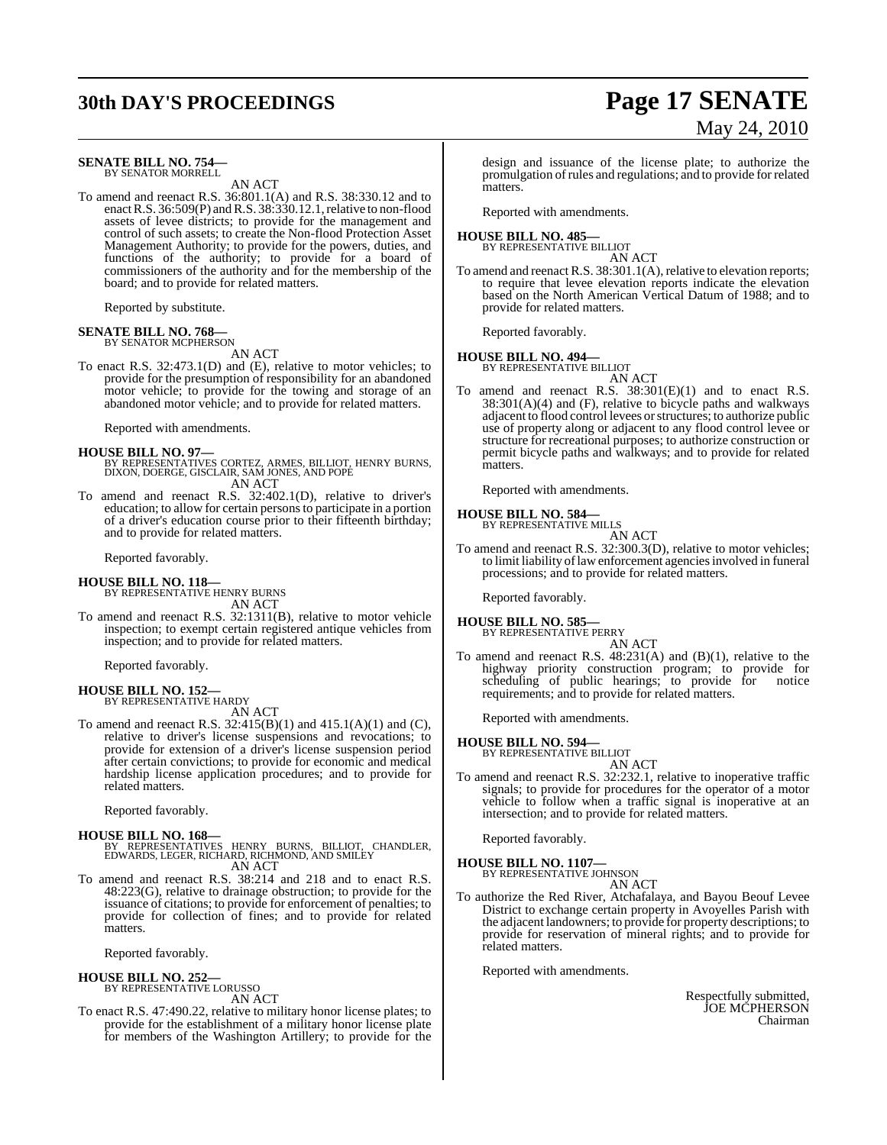# **30th DAY'S PROCEEDINGS Page 17 SENATE**

#### **SENATE BILL NO. 754—** BY SENATOR MORRELL

AN ACT

To amend and reenact R.S. 36:801.1(A) and R.S. 38:330.12 and to enact R.S. 36:509(P) and R.S. 38:330.12.1, relative to non-flood assets of levee districts; to provide for the management and control of such assets; to create the Non-flood Protection Asset Management Authority; to provide for the powers, duties, and functions of the authority; to provide for a board of commissioners of the authority and for the membership of the board; and to provide for related matters.

Reported by substitute.

#### **SENATE BILL NO. 768—** BY SENATOR MCPHERSON

AN ACT

To enact R.S. 32:473.1(D) and (E), relative to motor vehicles; to provide for the presumption of responsibility for an abandoned motor vehicle; to provide for the towing and storage of an abandoned motor vehicle; and to provide for related matters.

Reported with amendments.

- **HOUSE BILL NO. 97—** BY REPRESENTATIVES CORTEZ, ARMES, BILLIOT, HENRY BURNS, DIXON, DOERGE, GISCLAIR, SAM JONES, AND POPE AN ACT
- To amend and reenact R.S. 32:402.1(D), relative to driver's education; to allow for certain persons to participate in a portion of a driver's education course prior to their fifteenth birthday; and to provide for related matters.

Reported favorably.

#### **HOUSE BILL NO. 118—**

BY REPRESENTATIVE HENRY BURNS AN ACT

To amend and reenact R.S. 32:1311(B), relative to motor vehicle inspection; to exempt certain registered antique vehicles from inspection; and to provide for related matters.

Reported favorably.

#### **HOUSE BILL NO. 152—** BY REPRESENTATIVE HARDY

AN ACT

To amend and reenact R.S. 32:415(B)(1) and 415.1(A)(1) and (C), relative to driver's license suspensions and revocations; to provide for extension of a driver's license suspension period after certain convictions; to provide for economic and medical hardship license application procedures; and to provide for related matters.

Reported favorably.

#### **HOUSE BILL NO. 168—**

BY REPRESENTATIVES HENRY BURNS, BILLIOT, CHANDLER, EDWARDS, LEGER, RICHARD, RICHMOND, AND SMILEY AN ACT

To amend and reenact R.S. 38:214 and 218 and to enact R.S. 48:223(G), relative to drainage obstruction; to provide for the issuance of citations; to provide for enforcement of penalties; to provide for collection of fines; and to provide for related matters.

Reported favorably.

#### **HOUSE BILL NO. 252—**

BY REPRESENTATIVE LORUSSO AN ACT

To enact R.S. 47:490.22, relative to military honor license plates; to provide for the establishment of a military honor license plate for members of the Washington Artillery; to provide for the

design and issuance of the license plate; to authorize the promulgation ofrules and regulations; and to provide for related matters<sup>'</sup>

Reported with amendments.

# **HOUSE BILL NO. 485—** BY REPRESENTATIVE BILLIOT

AN ACT

To amend and reenact R.S. 38:301.1(A), relative to elevation reports; to require that levee elevation reports indicate the elevation based on the North American Vertical Datum of 1988; and to provide for related matters.

Reported favorably.

# **HOUSE BILL NO. 494—** BY REPRESENTATIVE BILLIOT

AN ACT

To amend and reenact R.S. 38:301(E)(1) and to enact R.S. 38:301(A)(4) and (F), relative to bicycle paths and walkways adjacent to flood control levees orstructures; to authorize public use of property along or adjacent to any flood control levee or structure for recreational purposes; to authorize construction or permit bicycle paths and walkways; and to provide for related matters.

Reported with amendments.

#### **HOUSE BILL NO. 584—**

BY REPRESENTATIVE MILLS AN ACT

To amend and reenact R.S. 32:300.3(D), relative to motor vehicles; to limit liability of law enforcement agencies involved in funeral processions; and to provide for related matters.

Reported favorably.

#### **HOUSE BILL NO. 585—**

BY REPRESENTATIVE PERRY AN ACT

To amend and reenact R.S. 48:231(A) and (B)(1), relative to the highway priority construction program; to provide for scheduling of public hearings; to provide for notice requirements; and to provide for related matters.

Reported with amendments.

# **HOUSE BILL NO. 594—** BY REPRESENTATIVE BILLIOT

AN ACT

To amend and reenact R.S. 32:232.1, relative to inoperative traffic signals; to provide for procedures for the operator of a motor vehicle to follow when a traffic signal is inoperative at an intersection; and to provide for related matters.

Reported favorably.

#### **HOUSE BILL NO. 1107—**

BY REPRESENTATIVE JOHNSON

## AN ACT

To authorize the Red River, Atchafalaya, and Bayou Beouf Levee District to exchange certain property in Avoyelles Parish with the adjacent landowners; to provide for property descriptions; to provide for reservation of mineral rights; and to provide for related matters.

Reported with amendments.

Respectfully submitted, JOE MCPHERSON Chairman

# May 24, 2010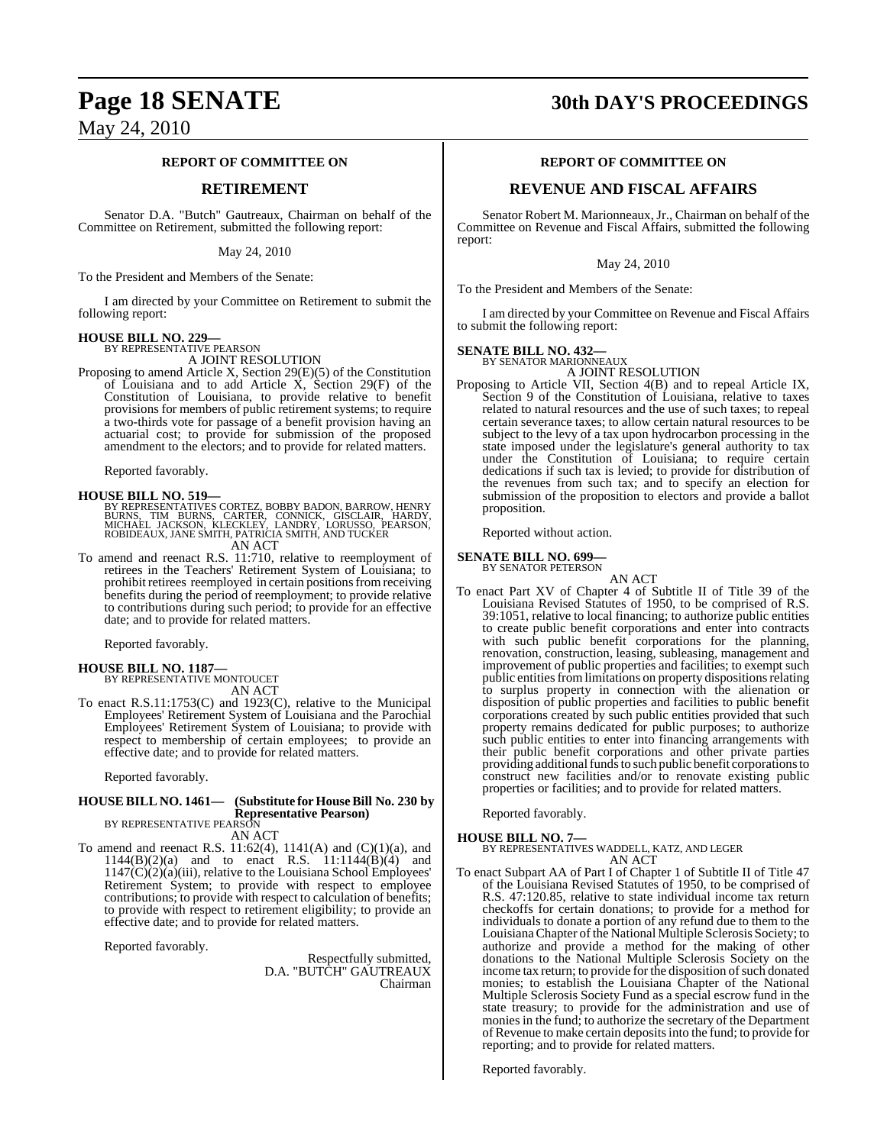#### **REPORT OF COMMITTEE ON**

#### **RETIREMENT**

Senator D.A. "Butch" Gautreaux, Chairman on behalf of the Committee on Retirement, submitted the following report:

May 24, 2010

To the President and Members of the Senate:

I am directed by your Committee on Retirement to submit the following report:

# **HOUSE BILL NO. 229—** BY REPRESENTATIVE PEARSON

A JOINT RESOLUTION

Proposing to amend Article X, Section 29(E)(5) of the Constitution of Louisiana and to add Article  $\overrightarrow{X}$ , Section 29(F) of the Constitution of Louisiana, to provide relative to benefit provisions for members of public retirement systems; to require a two-thirds vote for passage of a benefit provision having an actuarial cost; to provide for submission of the proposed amendment to the electors; and to provide for related matters.

Reported favorably.

#### **HOUSE BILL NO. 519—**

BY REPRESENTATIVES CORTEZ, BOBBY BADON, BARROW, HENRY<br>BURNS, TIM BURNS, CARTER, CONNICK, GISCLAIR, HARDY,<br>MICHAEL JACKSON, KLECKLEY, LANDRY, LORUSSO, PEARSON,<br>ROBIDEAUX, JANE SMITH, PATRICIA SMITH, AND TU

AN ACT

To amend and reenact R.S. 11:710, relative to reemployment of retirees in the Teachers' Retirement System of Louisiana; to prohibit retirees reemployed in certain positions from receiving benefits during the period of reemployment; to provide relative to contributions during such period; to provide for an effective date; and to provide for related matters.

Reported favorably.

**HOUSE BILL NO. 1187—** BY REPRESENTATIVE MONTOUCET

AN ACT

To enact R.S.11:1753(C) and 1923(C), relative to the Municipal Employees' Retirement System of Louisiana and the Parochial Employees' Retirement System of Louisiana; to provide with respect to membership of certain employees; to provide an effective date; and to provide for related matters.

Reported favorably.

#### **HOUSE BILL NO. 1461— (Substitute for HouseBill No. 230 by Representative Pearson)** BY REPRESENTATIVE PEARSON

AN ACT

To amend and reenact R.S.  $11:62(4)$ ,  $1141(A)$  and  $(C)(1)(a)$ , and  $1144(B)(2)(a)$  and to enact R.S.  $11:1144(B)(4)$  and 1147(C)(2)(a)(iii), relative to the Louisiana School Employees' Retirement System; to provide with respect to employee contributions; to provide with respect to calculation of benefits; to provide with respect to retirement eligibility; to provide an effective date; and to provide for related matters.

Reported favorably.

Respectfully submitted, D.A. "BUTCH" GAUTREAUX Chairman

# **Page 18 SENATE 30th DAY'S PROCEEDINGS**

#### **REPORT OF COMMITTEE ON**

#### **REVENUE AND FISCAL AFFAIRS**

Senator Robert M. Marionneaux, Jr., Chairman on behalf of the Committee on Revenue and Fiscal Affairs, submitted the following report:

May 24, 2010

To the President and Members of the Senate:

I am directed by your Committee on Revenue and Fiscal Affairs to submit the following report:

#### **SENATE BILL NO. 432—**

BY SENATOR MARIONNEAUX A JOINT RESOLUTION

Proposing to Article VII, Section 4(B) and to repeal Article IX, Section 9 of the Constitution of Louisiana, relative to taxes related to natural resources and the use of such taxes; to repeal certain severance taxes; to allow certain natural resources to be subject to the levy of a tax upon hydrocarbon processing in the state imposed under the legislature's general authority to tax under the Constitution of Louisiana; to require certain dedications if such tax is levied; to provide for distribution of the revenues from such tax; and to specify an election for submission of the proposition to electors and provide a ballot proposition.

Reported without action.

#### **SENATE BILL NO. 699—** BY SENATOR PETERSON

AN ACT To enact Part XV of Chapter 4 of Subtitle II of Title 39 of the Louisiana Revised Statutes of 1950, to be comprised of R.S. 39:1051, relative to local financing; to authorize public entities to create public benefit corporations and enter into contracts with such public benefit corporations for the planning, renovation, construction, leasing, subleasing, management and improvement of public properties and facilities; to exempt such public entities from limitations on property dispositions relating to surplus property in connection with the alienation or disposition of public properties and facilities to public benefit corporations created by such public entities provided that such property remains dedicated for public purposes; to authorize such public entities to enter into financing arrangements with their public benefit corporations and other private parties providing additional funds to such public benefit corporations to construct new facilities and/or to renovate existing public properties or facilities; and to provide for related matters.

Reported favorably.

**HOUSE BILL NO. 7—** BY REPRESENTATIVES WADDELL, KATZ, AND LEGER AN ACT

To enact Subpart AA of Part I of Chapter 1 of Subtitle II of Title 47 of the Louisiana Revised Statutes of 1950, to be comprised of R.S. 47:120.85, relative to state individual income tax return checkoffs for certain donations; to provide for a method for individuals to donate a portion of any refund due to them to the Louisiana Chapter of the National Multiple Sclerosis Society; to authorize and provide a method for the making of other donations to the National Multiple Sclerosis Society on the income tax return; to provide for the disposition of such donated monies; to establish the Louisiana Chapter of the National Multiple Sclerosis Society Fund as a special escrow fund in the state treasury; to provide for the administration and use of monies in the fund; to authorize the secretary of the Department of Revenue to make certain deposits into the fund; to provide for reporting; and to provide for related matters.

Reported favorably.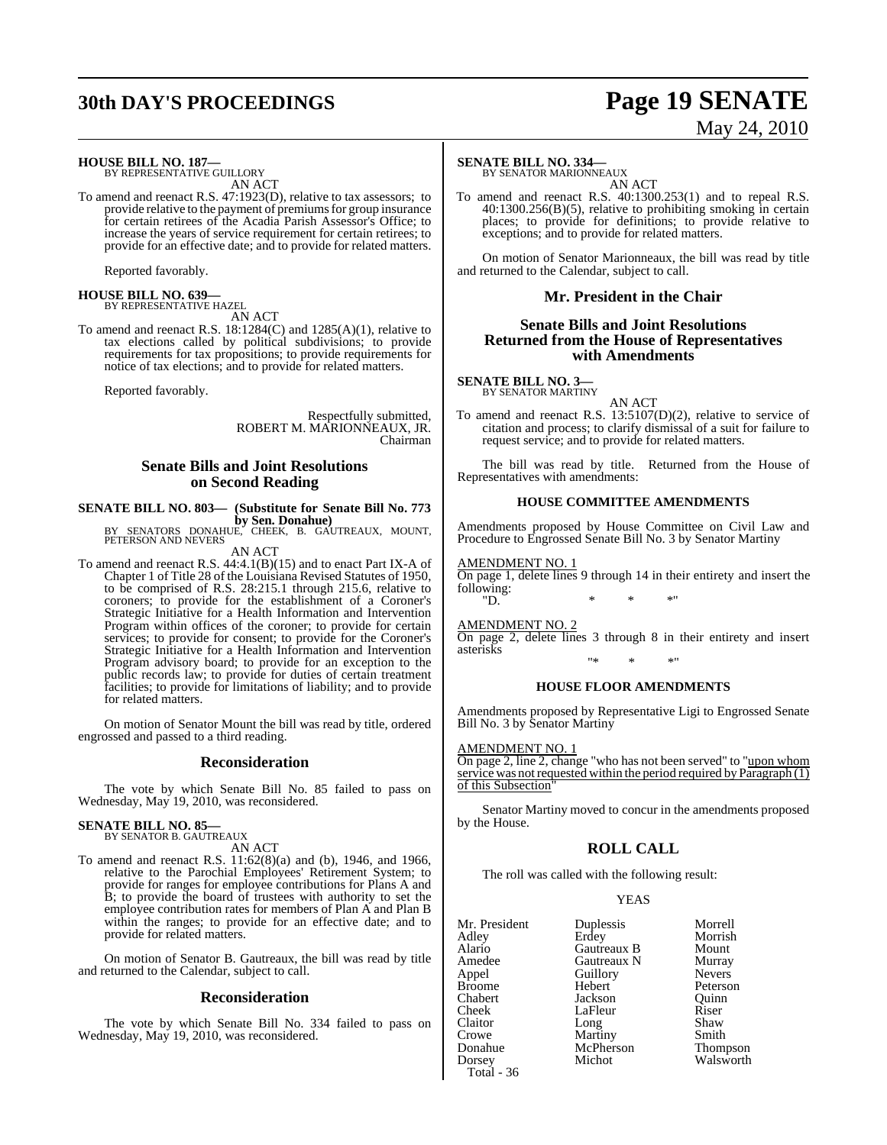# **30th DAY'S PROCEEDINGS Page 19 SENATE**

# May 24, 2010

# **HOUSE BILL NO. 187—** BY REPRESENTATIVE GUILLORY

AN ACT

To amend and reenact R.S. 47:1923(D), relative to tax assessors; to provide relative to the payment of premiums for group insurance for certain retirees of the Acadia Parish Assessor's Office; to increase the years of service requirement for certain retirees; to provide for an effective date; and to provide for related matters.

Reported favorably.

# **HOUSE BILL NO. 639—** BY REPRESENTATIVE HAZEL

AN ACT

To amend and reenact R.S. 18:1284(C) and 1285(A)(1), relative to tax elections called by political subdivisions; to provide requirements for tax propositions; to provide requirements for notice of tax elections; and to provide for related matters.

Reported favorably.

Respectfully submitted, ROBERT M. MARIONNEAUX, JR. Chairman

#### **Senate Bills and Joint Resolutions on Second Reading**

#### **SENATE BILL NO. 803— (Substitute for Senate Bill No. 773 by Sen. Donahue)**

BY SENATORS DONAHUE, CHEEK, B. GAUTREAUX, MOUNT, PETERSON AND NEVERS AN ACT

To amend and reenact R.S. 44:4.1(B)(15) and to enact Part IX-A of Chapter 1 of Title 28 of the Louisiana Revised Statutes of 1950, to be comprised of R.S. 28:215.1 through 215.6, relative to coroners; to provide for the establishment of a Coroner's Strategic Initiative for a Health Information and Intervention Program within offices of the coroner; to provide for certain services; to provide for consent; to provide for the Coroner's Strategic Initiative for a Health Information and Intervention Program advisory board; to provide for an exception to the public records law; to provide for duties of certain treatment facilities; to provide for limitations of liability; and to provide for related matters.

On motion of Senator Mount the bill was read by title, ordered engrossed and passed to a third reading.

#### **Reconsideration**

The vote by which Senate Bill No. 85 failed to pass on Wednesday, May 19, 2010, was reconsidered.

# **SENATE BILL NO. 85—** BY SENATOR B. GAUTREAUX

AN ACT

To amend and reenact R.S. 11:62(8)(a) and (b), 1946, and 1966, relative to the Parochial Employees' Retirement System; to provide for ranges for employee contributions for Plans A and B; to provide the board of trustees with authority to set the employee contribution rates for members of Plan A and Plan B within the ranges; to provide for an effective date; and to provide for related matters.

On motion of Senator B. Gautreaux, the bill was read by title and returned to the Calendar, subject to call.

#### **Reconsideration**

The vote by which Senate Bill No. 334 failed to pass on Wednesday, May 19, 2010, was reconsidered.

#### **SENATE BILL NO. 334—**

BY SENATOR MARIONNEAUX AN ACT

To amend and reenact R.S. 40:1300.253(1) and to repeal R.S. 40:1300.256(B)(5), relative to prohibiting smoking in certain places; to provide for definitions; to provide relative to exceptions; and to provide for related matters.

On motion of Senator Marionneaux, the bill was read by title and returned to the Calendar, subject to call.

#### **Mr. President in the Chair**

#### **Senate Bills and Joint Resolutions Returned from the House of Representatives with Amendments**

#### **SENATE BILL NO. 3—**

BY SENATOR MARTINY AN ACT

To amend and reenact R.S. 13:5107(D)(2), relative to service of citation and process; to clarify dismissal of a suit for failure to request service; and to provide for related matters.

The bill was read by title. Returned from the House of Representatives with amendments:

#### **HOUSE COMMITTEE AMENDMENTS**

Amendments proposed by House Committee on Civil Law and Procedure to Engrossed Senate Bill No. 3 by Senator Martiny

#### AMENDMENT NO. 1

On page 1, delete lines 9 through 14 in their entirety and insert the following:<br>"D. "D.  $*$  \* \* \*"

AMENDMENT NO. 2

On page 2, delete lines 3 through 8 in their entirety and insert asterisks "\* \* \*"

#### **HOUSE FLOOR AMENDMENTS**

Amendments proposed by Representative Ligi to Engrossed Senate Bill No. 3 by Senator Martiny

#### AMENDMENT NO. 1

On page 2, line 2, change "who has not been served" to "upon whom service was not requested within the period required by  $\overline{Paragnah(1)}$ of this Subsection"

Senator Martiny moved to concur in the amendments proposed by the House.

#### **ROLL CALL**

The roll was called with the following result:

| Mr. President | Duplessis   | Morrell         |
|---------------|-------------|-----------------|
| Adley         | Erdey       | Morrish         |
| Alario        | Gautreaux B | Mount           |
| Amedee        | Gautreaux N | Murray          |
| Appel         | Guillory    | <b>Nevers</b>   |
| Broome        | Hebert      | Peterson        |
| Chabert       | Jackson     | Ouinn           |
| Cheek         | LaFleur     | Riser           |
| Claitor       | Long        | Shaw            |
| Crowe         | Martiny     | Smith           |
| Donahue       | McPherson   | <b>Thompson</b> |
| Dorsey        | Michot      | Walsworth       |
| Total - 36    |             |                 |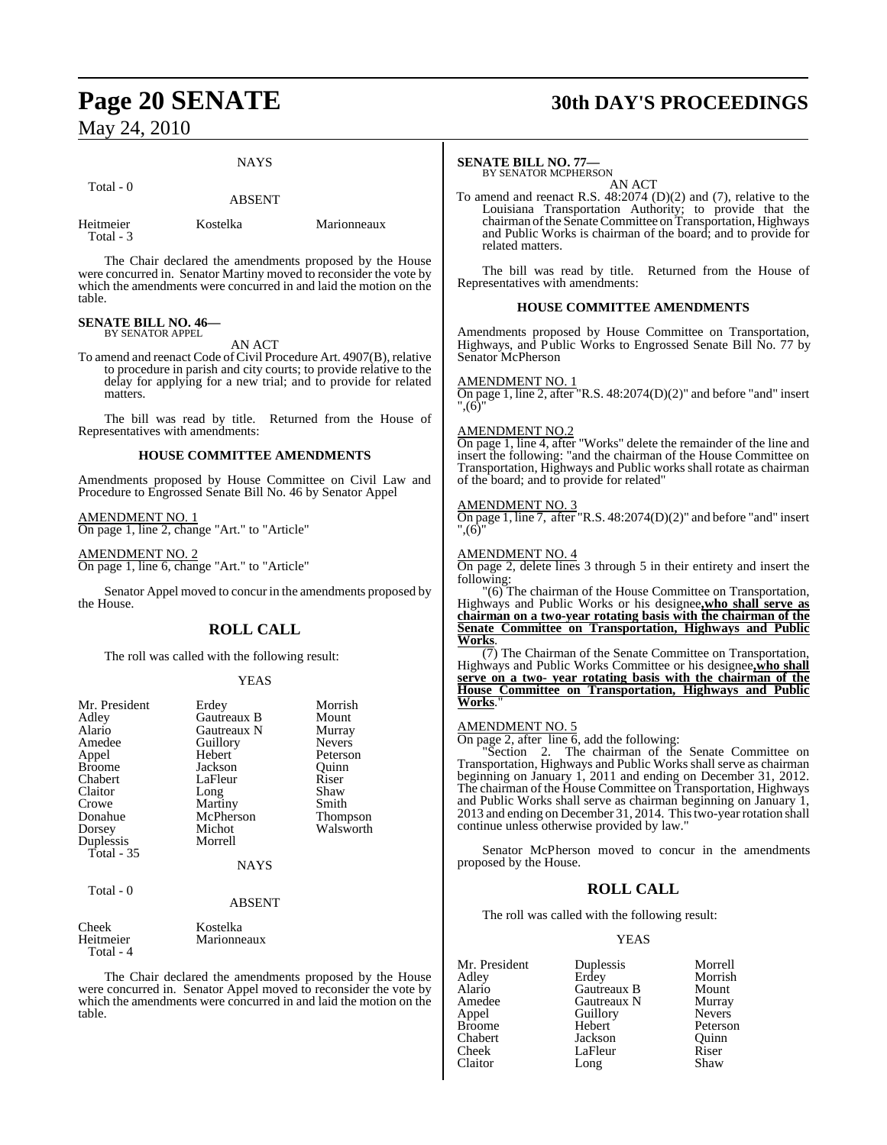Total - 0

# **NAYS** ABSENT

**Marionneaux** 

| Heitmeier | Kostelka |
|-----------|----------|
| Total - 3 |          |

The Chair declared the amendments proposed by the House were concurred in. Senator Martiny moved to reconsider the vote by which the amendments were concurred in and laid the motion on the table.

#### **SENATE BILL NO. 46—** BY SENATOR APPEL

AN ACT

To amend and reenact Code of Civil Procedure Art. 4907(B), relative to procedure in parish and city courts; to provide relative to the delay for applying for a new trial; and to provide for related matters.

The bill was read by title. Returned from the House of Representatives with amendments:

#### **HOUSE COMMITTEE AMENDMENTS**

Amendments proposed by House Committee on Civil Law and Procedure to Engrossed Senate Bill No. 46 by Senator Appel

## AMENDMENT NO. 1

On page 1, line 2, change "Art." to "Article"

AMENDMENT NO. 2 On page 1, line 6, change "Art." to "Article"

Senator Appel moved to concur in the amendments proposed by the House.

## **ROLL CALL**

The roll was called with the following result:

#### YEAS

| Mr. President<br>Adley<br>Alario<br>Amedee<br>Appel<br><b>Broome</b><br>Chabert<br>Claitor<br>Crowe<br>Donahue<br>Dorsey | Erdey<br>Gautreaux B<br>Gautreaux N<br>Guillory<br>Hebert<br>Jackson<br>LaFleur<br>Long<br>Martiny<br>McPherson<br>Michot | Morrish<br>Mount<br>Murray<br><b>Nevers</b><br>Peterson<br>Quinn<br>Riser<br>Shaw<br>Smith<br>Thompson<br>Walsworth |
|--------------------------------------------------------------------------------------------------------------------------|---------------------------------------------------------------------------------------------------------------------------|---------------------------------------------------------------------------------------------------------------------|
| Duplessis<br>Total $-35$<br>Total - 0                                                                                    | Morrell<br>NAYS<br><b>ABSENT</b>                                                                                          |                                                                                                                     |
| Cheek                                                                                                                    | Kostelka                                                                                                                  |                                                                                                                     |

Heitmeier Marionneaux Total - 4

The Chair declared the amendments proposed by the House were concurred in. Senator Appel moved to reconsider the vote by which the amendments were concurred in and laid the motion on the table.

# **Page 20 SENATE 30th DAY'S PROCEEDINGS**

#### **SENATE BILL NO. 77—**

BY SENATOR MCPHERSON AN ACT

To amend and reenact R.S. 48:2074 (D)(2) and (7), relative to the Louisiana Transportation Authority; to provide that the chairman of the Senate Committee on Transportation, Highways and Public Works is chairman of the board; and to provide for related matters.

The bill was read by title. Returned from the House of Representatives with amendments:

#### **HOUSE COMMITTEE AMENDMENTS**

Amendments proposed by House Committee on Transportation, Highways, and Public Works to Engrossed Senate Bill No. 77 by Senator McPherson

#### AMENDMENT NO

On page 1, line 2, after "R.S. 48:2074(D)(2)" and before "and" insert  $^{\prime}$ .(6)

#### AMENDMENT NO.2

On page 1, line 4, after "Works" delete the remainder of the line and insert the following: "and the chairman of the House Committee on Transportation, Highways and Public works shall rotate as chairman of the board; and to provide for related"

#### AMENDMENT NO. 3

On page 1, line 7, after "R.S. 48:2074(D)(2)" and before "and" insert  $(6)$ 

#### AMENDMENT NO. 4

On page 2, delete lines 3 through 5 in their entirety and insert the following:

"(6) The chairman of the House Committee on Transportation, Highways and Public Works or his designee**,who shall serve as chairman on a two-year rotating basis with the chairman of the Senate Committee on Transportation, Highways and Public Works**.

(7) The Chairman of the Senate Committee on Transportation, Highways and Public Works Committee or his designee, who shall **serve on a two- year rotating basis with the chairman of the House Committee on Transportation, Highways and Public Works**."

#### AMENDMENT NO. 5

On page 2, after line  $\overline{6}$ , add the following:

"Section 2. The chairman of the Senate Committee on Transportation, Highways and Public Works shall serve as chairman beginning on January 1, 2011 and ending on December 31, 2012. The chairman of the House Committee on Transportation, Highways and Public Works shall serve as chairman beginning on January 1, 2013 and ending on December 31, 2014. This two-year rotation shall continue unless otherwise provided by law."

Senator McPherson moved to concur in the amendments proposed by the House.

#### **ROLL CALL**

The roll was called with the following result:

| Mr. President | Duplessis   | Morrell       |
|---------------|-------------|---------------|
| Adley         | Erdey       | Morrish       |
| Alario        | Gautreaux B | Mount         |
| Amedee        | Gautreaux N | Murray        |
| Appel         | Guillory    | <b>Nevers</b> |
| <b>Broome</b> | Hebert      | Peterson      |
| Chabert       | Jackson     | Ouinn         |
| Cheek         | LaFleur     | Riser         |
| Claitor       | Long        | Shaw          |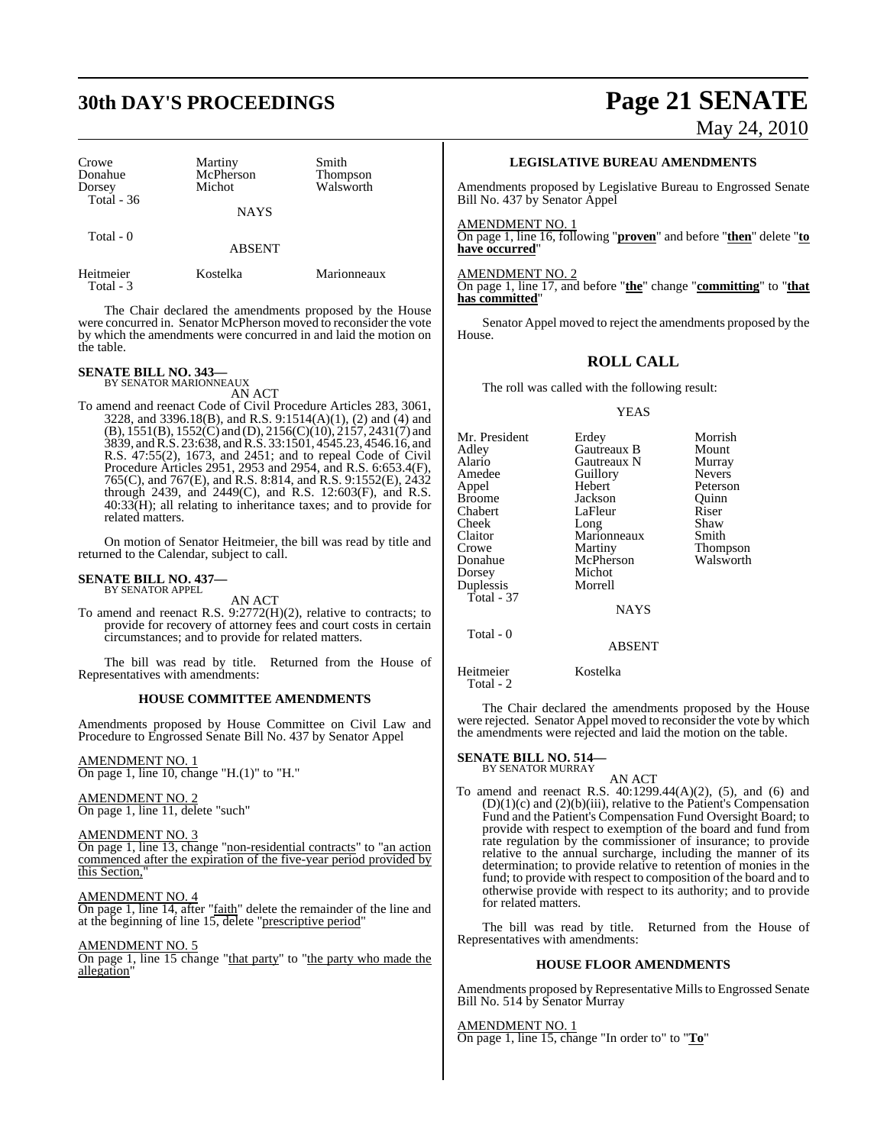# **30th DAY'S PROCEEDINGS Page 21 SENATE**

| Crowe<br>Donahue<br>Dorsey<br>Total $-36$ | Martiny<br>McPherson<br>Michot | Smith<br><b>Thompson</b><br>Walsworth |
|-------------------------------------------|--------------------------------|---------------------------------------|
|                                           | <b>NAYS</b>                    |                                       |
| Total $-0$                                | <b>ABSENT</b>                  |                                       |
| Heitmeier                                 | Kostelka                       | Marionneaux                           |

The Chair declared the amendments proposed by the House were concurred in. Senator McPherson moved to reconsider the vote by which the amendments were concurred in and laid the motion on the table.

# **SENATE BILL NO. 343—** BY SENATOR MARIONNEAUX

Total - 3

AN ACT

To amend and reenact Code of Civil Procedure Articles 283, 3061, 3228, and 3396.18(B), and R.S. 9:1514(A)(1), (2) and (4) and (B), 1551(B), 1552(C) and (D), 2156(C)(10), 2157, 2431(7) and 3839, andR.S. 23:638, and R.S. 33:1501, 4545.23, 4546.16, and R.S. 47:55(2), 1673, and 2451; and to repeal Code of Civil Procedure Articles 2951, 2953 and 2954, and R.S. 6:653.4(F), 765(C), and 767(E), and R.S. 8:814, and R.S. 9:1552(E), 2432 through 2439, and 2449(C), and R.S. 12:603(F), and R.S. 40:33(H); all relating to inheritance taxes; and to provide for related matters.

On motion of Senator Heitmeier, the bill was read by title and returned to the Calendar, subject to call.

#### **SENATE BILL NO. 437—** BY SENATOR APPEL

AN ACT

To amend and reenact R.S. 9:2772(H)(2), relative to contracts; to provide for recovery of attorney fees and court costs in certain circumstances; and to provide for related matters.

The bill was read by title. Returned from the House of Representatives with amendments:

#### **HOUSE COMMITTEE AMENDMENTS**

Amendments proposed by House Committee on Civil Law and Procedure to Engrossed Senate Bill No. 437 by Senator Appel

AMENDMENT NO. 1 On page 1, line 10, change "H.(1)" to "H."

#### AMENDMENT NO. 2

On page 1, line 11, delete "such"

#### AMENDMENT NO. 3

On page 1, line 13, change "non-residential contracts" to "an action commenced after the expiration of the five-year period provided by this Section,"

#### AMENDMENT NO. 4

On page 1, line 14, after "faith" delete the remainder of the line and at the beginning of line 15, delete "prescriptive period"

#### AMENDMENT NO. 5

On page 1, line 15 change "that party" to "the party who made the allegation"

May 24, 2010

#### **LEGISLATIVE BUREAU AMENDMENTS**

Amendments proposed by Legislative Bureau to Engrossed Senate Bill No. 437 by Senator Appel

AMENDMENT NO. 1

On page 1, line 16, following "**proven**" and before "**then**" delete "**to have occurred**"

AMENDMENT NO. 2 On page 1, line 17, and before "**the**" change "**committing**" to "**that has committed**"

Senator Appel moved to reject the amendments proposed by the House.

#### **ROLL CALL**

The roll was called with the following result:

#### YEAS

Mr. President Erdey Morrish<br>Adley Gautreaux B Mount Adley Gautreaux B Mount Alario Gautreaux N Murray Amedeuthory<br>
Hebert Peterson Appel Hebert Peterson Broome **Jackson** Quinn<br>
Chabert LaFleur Riser Chabert LaFleur Riser<br>Cheek Long Shaw Cheek Long Shaw<br>Claitor Marionneaux Smith Claitor Marionneaux<br>Crowe Martiny Crowe Martiny Thompson McPherson<br>Michot Dorsey Michot<br>Duplessis Morrell Duplessis Total - 37 NAYS

Total - 0

Heitmeier Kostelka

Total - 2

The Chair declared the amendments proposed by the House were rejected. Senator Appel moved to reconsider the vote by which the amendments were rejected and laid the motion on the table.

ABSENT

# **SENATE BILL NO. 514—** BY SENATOR MURRAY

AN ACT

To amend and reenact R.S. 40:1299.44(A)(2), (5), and (6) and  $(D)(1)(c)$  and  $(2)(b)(iii)$ , relative to the Patient's Compensation Fund and the Patient's Compensation Fund Oversight Board; to provide with respect to exemption of the board and fund from rate regulation by the commissioner of insurance; to provide relative to the annual surcharge, including the manner of its determination; to provide relative to retention of monies in the fund; to provide with respect to composition of the board and to otherwise provide with respect to its authority; and to provide for related matters.

The bill was read by title. Returned from the House of Representatives with amendments:

#### **HOUSE FLOOR AMENDMENTS**

Amendments proposed by Representative Mills to Engrossed Senate Bill No. 514 by Senator Murray

AMENDMENT NO. 1 On page 1, line 15, change "In order to" to "**To**"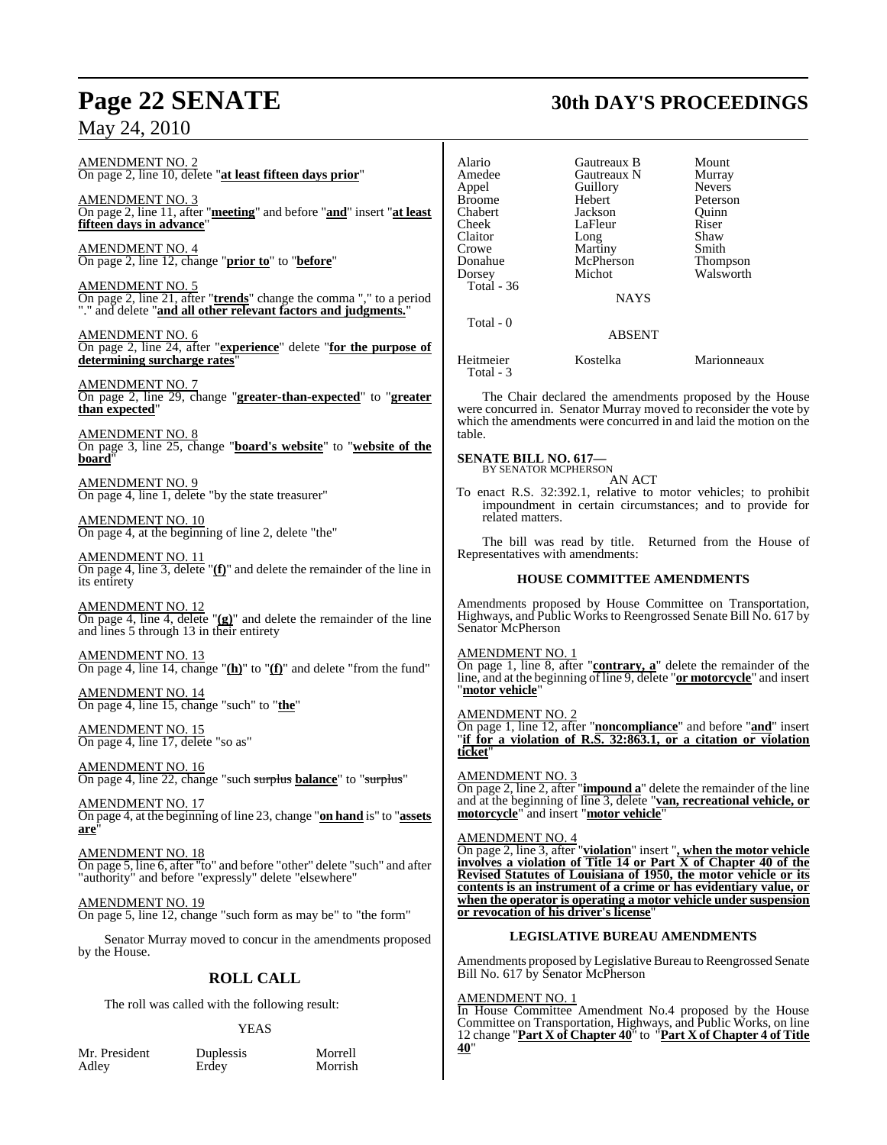# **Page 22 SENATE 30th DAY'S PROCEEDINGS**

## May 24, 2010

In House Committee Amendment No.4 proposed by the House Committee on Transportation, Highways, and Public Works, on line 12 change "**Part X of Chapter 40**" to "**Part X of Chapter 4 of Title**

| AMENDMENT NO. 2<br>On page 2, line 10, delete "at least fifteen days prior"                                                                                                    | Alario<br>Amedee                                    | Gautreaux B<br>Gautreaux N<br>Guillory | Mount<br>Murray<br><b>Nevers</b>                                                                                                              |
|--------------------------------------------------------------------------------------------------------------------------------------------------------------------------------|-----------------------------------------------------|----------------------------------------|-----------------------------------------------------------------------------------------------------------------------------------------------|
| $\frac{\text{AMENDMENT NO. 3}}{\text{On page 2, line 11, after "meeting'' and before "and" insert "at least}$<br>fifteen days in advance"                                      | Appel<br><b>Broome</b><br>Chabert<br>Cheek          | Hebert<br>Jackson<br>LaFleur           | Peterson<br>Quinn<br>Riser                                                                                                                    |
| AMENDMENT NO. 4<br>On page 2, line 12, change " <b>prior to</b> " to " <b>before</b> "                                                                                         | Claitor<br>Crowe                                    | Long<br>Martiny                        | Shaw<br>Smith                                                                                                                                 |
|                                                                                                                                                                                | Donahue<br>Dorsey                                   | McPherson<br>Michot                    | Thompson<br>Walsworth                                                                                                                         |
| <b>AMENDMENT NO. 5</b><br>On page 2, line 21, after " <b>trends</b> " change the comma "," to a period "." and delete " <b>and all other relevant factors and judgments.</b> " | Total - 36                                          | <b>NAYS</b>                            |                                                                                                                                               |
| <b>AMENDMENT NO. 6</b><br>On page 2, line 24, after "experience" delete "for the purpose of                                                                                    | Total - 0                                           | <b>ABSENT</b>                          |                                                                                                                                               |
| determining surcharge rates'                                                                                                                                                   | Heitmeier<br>Total - 3                              | Kostelka                               | Marionneaux                                                                                                                                   |
| <u>AMENDMENT NO. 7</u><br>On page 2, line 29, change "greater-than-expected" to "greater<br>than expected"                                                                     |                                                     |                                        | The Chair declared the amendments proposed by the House<br>were concurred in. Senator Murray moved to reconsider the vote by                  |
| <b>AMENDMENT NO. 8</b><br>On page 3, line 25, change "board's website" to "website of the                                                                                      | table.                                              |                                        | which the amendments were concurred in and laid the motion on the                                                                             |
| board"                                                                                                                                                                         | <b>SENATE BILL NO. 617—</b><br>BY SENATOR MCPHERSON |                                        |                                                                                                                                               |
| <b>AMENDMENT NO. 9</b><br>On page 4, line 1, delete "by the state treasurer"                                                                                                   |                                                     | AN ACT                                 | To enact R.S. 32:392.1, relative to motor vehicles; to prohibit<br>impoundment in certain circumstances; and to provide for                   |
| <b>AMENDMENT NO. 10</b><br>On page 4, at the beginning of line 2, delete "the"                                                                                                 | related matters.                                    |                                        | The bill was read by title. Returned from the House of                                                                                        |
| AMENDMENT NO. 11<br>On page 4, line 3, delete " $(f)$ " and delete the remainder of the line in<br>its entirety                                                                | Representatives with amendments:                    | <b>HOUSE COMMITTEE AMENDMENTS</b>      |                                                                                                                                               |
|                                                                                                                                                                                |                                                     |                                        | Amendments proposed by House Committee on Transportation,                                                                                     |
| <b>AMENDMENT NO. 12</b><br>On page 4, line 4, delete " $(g)$ " and delete the remainder of the line<br>and lines 5 through 13 in their entirety                                | Senator McPherson                                   |                                        | Highways, and Public Works to Reengrossed Senate Bill No. 617 by                                                                              |
| <b>AMENDMENT NO. 13</b><br>On page 4, line 14, change " $(h)$ " to " $(f)$ " and delete "from the fund"                                                                        | <b>AMENDMENT NO. 1</b>                              |                                        | On page 1, line 8, after "contrary, a" delete the remainder of the<br>line, and at the beginning of line 9, delete "or motorcycle" and insert |
| <b>AMENDMENT NO. 14</b><br>On page 4, line 15, change "such" to "the"                                                                                                          | "motor vehicle"                                     |                                        |                                                                                                                                               |
| AMENDMENT NO. 15<br>On page 4, line 17, delete "so as"                                                                                                                         | <b>AMENDMENT NO. 2</b><br>ticket"                   |                                        | On page 1, line 12, after "noncompliance" and before "and" insert<br>"if for a violation of R.S. 32:863.1, or a citation or violation         |
| <b>AMENDMENT NO. 16</b><br>On page 4, line 22, change "such surplus balance" to "surplus"                                                                                      | <b>AMENDMENT NO. 3</b>                              |                                        | On page 2, line 2, after "impound a" delete the remainder of the line                                                                         |
| <b>AMENDMENT NO. 17</b><br>On page 4, at the beginning of line 23, change "on hand is" to "assets<br>are <sup><i>n</i></sup>                                                   | motorcycle" and insert "motor vehicle"              |                                        | and at the beginning of line 3, delete "van, recreational vehicle, or                                                                         |
| <b>AMENDMENT NO. 18</b>                                                                                                                                                        | <u>AMENDMENT NO. 4</u>                              |                                        | On page 2, line 3, after "violation" insert ", when the motor vehicle                                                                         |
| On page 5, line 6, after "to" and before "other" delete "such" and after<br>"authority" and before "expressly" delete "elsewhere"                                              |                                                     |                                        | involves a violation of Title 14 or Part X of Chapter 40 of the<br>Revised Statutes of Louisiana of 1950, the motor vehicle or its            |
| <b>AMENDMENT NO. 19</b><br>On page 5, line 12, change "such form as may be" to "the form"                                                                                      | or revocation of his driver's license"              |                                        | contents is an instrument of a crime or has evidentiary value, or<br>when the operator is operating a motor vehicle under suspension          |
| Senator Murray moved to concur in the amendments proposed<br>by the House.                                                                                                     |                                                     | <b>LEGISLATIVE BUREAU AMENDMENTS</b>   |                                                                                                                                               |
| <b>ROLL CALL</b>                                                                                                                                                               | Bill No. 617 by Senator McPherson                   |                                        | Amendments proposed by Legislative Bureau to Reengrossed Senate                                                                               |
| The roll was called with the following result:                                                                                                                                 | <b>AMENDMENT NO. 1</b>                              |                                        | House Committee Amendment No. 4 proposed by the House                                                                                         |

## YEAS

Mr. President Duplessis Morrell<br>Adley Erdey Morrish

Duplessis<br>Erdey

**40**"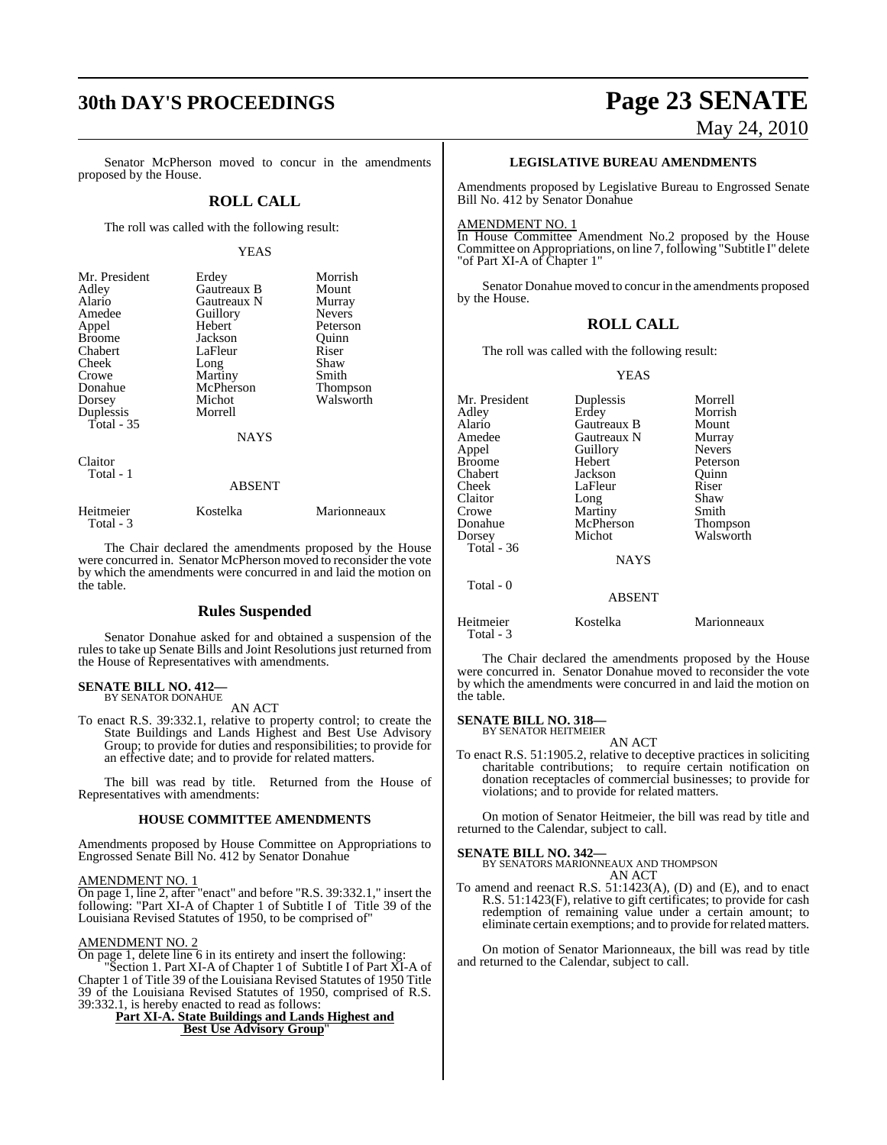# **30th DAY'S PROCEEDINGS Page 23 SENATE**

Senator McPherson moved to concur in the amendments proposed by the House.

#### **ROLL CALL**

The roll was called with the following result:

#### YEAS

| Mr. President | Erdey         | Morrish         |
|---------------|---------------|-----------------|
| Adley         | Gautreaux B   | Mount           |
| Alario        | Gautreaux N   | Murray          |
| Amedee        | Guillory      | <b>Nevers</b>   |
| Appel         | Hebert        | Peterson        |
| <b>Broome</b> | Jackson       | Quinn           |
| Chabert       | LaFleur       | Riser           |
| Cheek         | Long          | Shaw            |
| Crowe         | Martiny       | Smith           |
| Donahue       | McPherson     | <b>Thompson</b> |
| Dorsey        | Michot        | Walsworth       |
| Duplessis     | Morrell       |                 |
| Total - 35    |               |                 |
|               | <b>NAYS</b>   |                 |
| Claitor       |               |                 |
| Total - 1     |               |                 |
|               | <b>ABSENT</b> |                 |
| Heitmeier     | Kostelka      | Marionneaux     |

The Chair declared the amendments proposed by the House were concurred in. Senator McPherson moved to reconsider the vote by which the amendments were concurred in and laid the motion on the table.

#### **Rules Suspended**

Senator Donahue asked for and obtained a suspension of the rules to take up Senate Bills and Joint Resolutions just returned from the House of Representatives with amendments.

#### **SENATE BILL NO. 412—** BY SENATOR DONAHUE

Total - 3

AN ACT

To enact R.S. 39:332.1, relative to property control; to create the State Buildings and Lands Highest and Best Use Advisory Group; to provide for duties and responsibilities; to provide for an effective date; and to provide for related matters.

The bill was read by title. Returned from the House of Representatives with amendments:

#### **HOUSE COMMITTEE AMENDMENTS**

Amendments proposed by House Committee on Appropriations to Engrossed Senate Bill No. 412 by Senator Donahue

#### AMENDMENT NO. 1

On page 1, line 2, after "enact" and before "R.S. 39:332.1," insert the following: "Part XI-A of Chapter 1 of Subtitle I of Title 39 of the Louisiana Revised Statutes of 1950, to be comprised of"

#### AMENDMENT NO. 2

On page 1, delete line 6 in its entirety and insert the following: "Section 1. Part XI-A of Chapter 1 of Subtitle I of Part XI-A of Chapter 1 of Title 39 of the Louisiana Revised Statutes of 1950 Title 39 of the Louisiana Revised Statutes of 1950, comprised of R.S. 39:332.1, is hereby enacted to read as follows:

**Part XI-A. State Buildings and Lands Highest and Best Use Advisory Group**"

# May 24, 2010

#### **LEGISLATIVE BUREAU AMENDMENTS**

Amendments proposed by Legislative Bureau to Engrossed Senate Bill No. 412 by Senator Donahue

#### AMENDMENT NO. 1

In House Committee Amendment No.2 proposed by the House Committee on Appropriations, on line 7, following "Subtitle I" delete "of Part XI-A of Chapter 1"

Senator Donahue moved to concur in the amendments proposed by the House.

#### **ROLL CALL**

The roll was called with the following result:

YEAS

| Mr. President | Duplessis     | Morrell       |
|---------------|---------------|---------------|
| Adley         | Erdey         | Morrish       |
| Alario        | Gautreaux B   | Mount         |
| Amedee        | Gautreaux N   | Murray        |
| Appel         | Guillory      | <b>Nevers</b> |
| <b>Broome</b> | Hebert        | Peterson      |
| Chabert       | Jackson       | Ouinn         |
| Cheek         | LaFleur       | Riser         |
| Claitor       | Long          | Shaw          |
| Crowe         | Martiny       | Smith         |
| Donahue       | McPherson     | Thompson      |
| Dorsey        | Michot        | Walsworth     |
| Total $-36$   |               |               |
|               | <b>NAYS</b>   |               |
| Total - 0     |               |               |
|               | <b>ABSENT</b> |               |
| Heitmeier     | Kostelka      | Marionneaux   |

The Chair declared the amendments proposed by the House were concurred in. Senator Donahue moved to reconsider the vote by which the amendments were concurred in and laid the motion on the table.

#### **SENATE BILL NO. 318—**

Total - 3

BY SENATOR HEITMEIER AN ACT

To enact R.S. 51:1905.2, relative to deceptive practices in soliciting charitable contributions; to require certain notification on donation receptacles of commercial businesses; to provide for violations; and to provide for related matters.

On motion of Senator Heitmeier, the bill was read by title and returned to the Calendar, subject to call.

**SENATE BILL NO. 342—** BY SENATORS MARIONNEAUX AND THOMPSON AN ACT

To amend and reenact R.S. 51:1423(A), (D) and (E), and to enact R.S. 51:1423(F), relative to gift certificates; to provide for cash redemption of remaining value under a certain amount; to eliminate certain exemptions; and to provide for related matters.

On motion of Senator Marionneaux, the bill was read by title and returned to the Calendar, subject to call.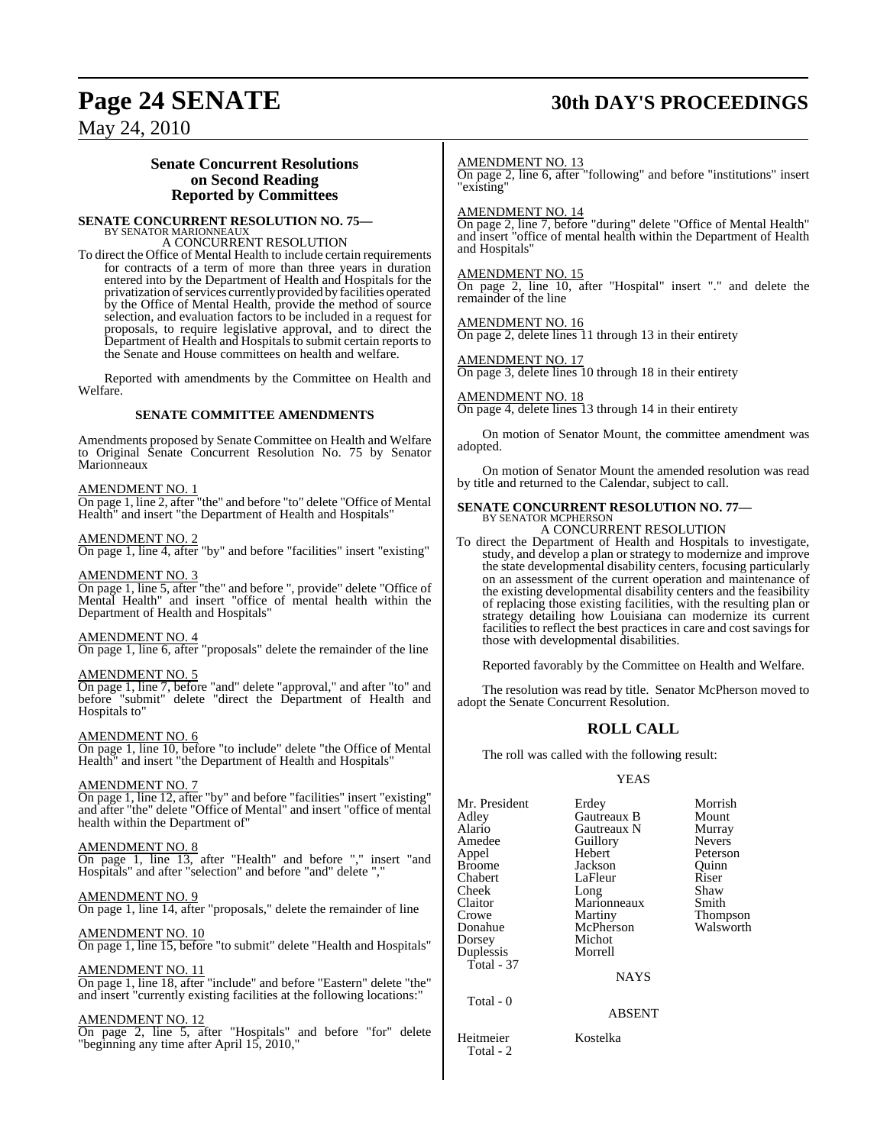# **Page 24 SENATE 30th DAY'S PROCEEDINGS**

## May 24, 2010

### **Senate Concurrent Resolutions on Second Reading Reported by Committees**

# **SENATE CONCURRENT RESOLUTION NO. 75—** BY SENATOR MARIONNEAUX

A CONCURRENT RESOLUTION

To direct the Office of Mental Health to include certain requirements for contracts of a term of more than three years in duration entered into by the Department of Health and Hospitals for the privatization of services currently provided by facilities operated by the Office of Mental Health, provide the method of source selection, and evaluation factors to be included in a request for proposals, to require legislative approval, and to direct the Department of Health and Hospitals to submit certain reports to the Senate and House committees on health and welfare.

Reported with amendments by the Committee on Health and Welfare.

#### **SENATE COMMITTEE AMENDMENTS**

Amendments proposed by Senate Committee on Health and Welfare to Original Senate Concurrent Resolution No. 75 by Senator Marionneaux

#### AMENDMENT NO. 1

On page 1, line 2, after "the" and before "to" delete "Office of Mental Health" and insert "the Department of Health and Hospitals"

#### AMENDMENT NO. 2

On page 1, line 4, after "by" and before "facilities" insert "existing"

#### AMENDMENT NO. 3

On page 1, line 5, after "the" and before ", provide" delete "Office of Mental Health" and insert "office of mental health within the Department of Health and Hospitals"

#### AMENDMENT NO. 4

On page 1, line 6, after "proposals" delete the remainder of the line

#### AMENDMENT NO. 5

On page 1, line 7, before "and" delete "approval," and after "to" and before "submit" delete "direct the Department of Health and Hospitals to"

#### AMENDMENT NO. 6

On page 1, line 10, before "to include" delete "the Office of Mental Health" and insert "the Department of Health and Hospitals"

#### AMENDMENT NO. 7

On page 1, line 12, after "by" and before "facilities" insert "existing" and after "the" delete "Office of Mental" and insert "office of mental health within the Department of"

#### AMENDMENT NO. 8

On page 1, line 13, after "Health" and before "," insert "and Hospitals" and after "selection" and before "and" delete ","

#### AMENDMENT NO. 9

On page 1, line 14, after "proposals," delete the remainder of line

#### AMENDMENT NO. 10

On page 1, line 15, before "to submit" delete "Health and Hospitals"

#### AMENDMENT NO. 11

On page 1, line 18, after "include" and before "Eastern" delete "the" and insert "currently existing facilities at the following locations:"

#### AM<u>ENDMENT NO. 12</u>

On page 2, line 5, after "Hospitals" and before "for" delete "beginning any time after April 15, 2010,"

#### AMENDMENT NO. 13

On page 2, line 6, after "following" and before "institutions" insert "existing"

#### AMENDMENT NO. 14

On page 2, line 7, before "during" delete "Office of Mental Health" and insert "office of mental health within the Department of Health and Hospitals"

#### AMENDMENT NO. 15

On page 2, line 10, after "Hospital" insert "." and delete the remainder of the line

#### AMENDMENT NO. 16

On page 2, delete lines 11 through 13 in their entirety

#### AMENDMENT NO. 17

On page 3, delete lines 10 through 18 in their entirety

#### AMENDMENT NO. 18

On page 4, delete lines 13 through 14 in their entirety

On motion of Senator Mount, the committee amendment was adopted.

On motion of Senator Mount the amended resolution was read by title and returned to the Calendar, subject to call.

## **SENATE CONCURRENT RESOLUTION NO. 77—** BY SENATOR MCPHERSON A CONCURRENT RESOLUTION

To direct the Department of Health and Hospitals to investigate, study, and develop a plan or strategy to modernize and improve the state developmental disability centers, focusing particularly on an assessment of the current operation and maintenance of the existing developmental disability centers and the feasibility of replacing those existing facilities, with the resulting plan or strategy detailing how Louisiana can modernize its current facilities to reflect the best practices in care and cost savings for those with developmental disabilities.

Reported favorably by the Committee on Health and Welfare.

The resolution was read by title. Senator McPherson moved to adopt the Senate Concurrent Resolution.

#### **ROLL CALL**

The roll was called with the following result:

#### YEAS

| Mr. President<br>Adlev<br>Alario<br>Amedee<br>Appel<br>Broome<br>Chabert<br>Cheek<br>Claitor<br>Crowe<br>Donahue | Erdey<br>Gautreaux B<br>Gautreaux N<br>Guillory<br>Hebert<br>Jackson<br>LaFleur<br>Long<br>Marionneaux<br>Martiny<br>McPherson | Morrish<br>Mount<br>Murray<br><b>Nevers</b><br>Peterson<br>Quinn<br>Riser<br>Shaw<br>Smith<br>Thompson<br>Walsworth |
|------------------------------------------------------------------------------------------------------------------|--------------------------------------------------------------------------------------------------------------------------------|---------------------------------------------------------------------------------------------------------------------|
| Duplessis<br>Total - 37                                                                                          | Morrell<br><b>NAYS</b>                                                                                                         |                                                                                                                     |
| Total - 0                                                                                                        | <b>ABSENT</b>                                                                                                                  |                                                                                                                     |
| Heitmeier                                                                                                        | Kostelka                                                                                                                       |                                                                                                                     |

Total - 2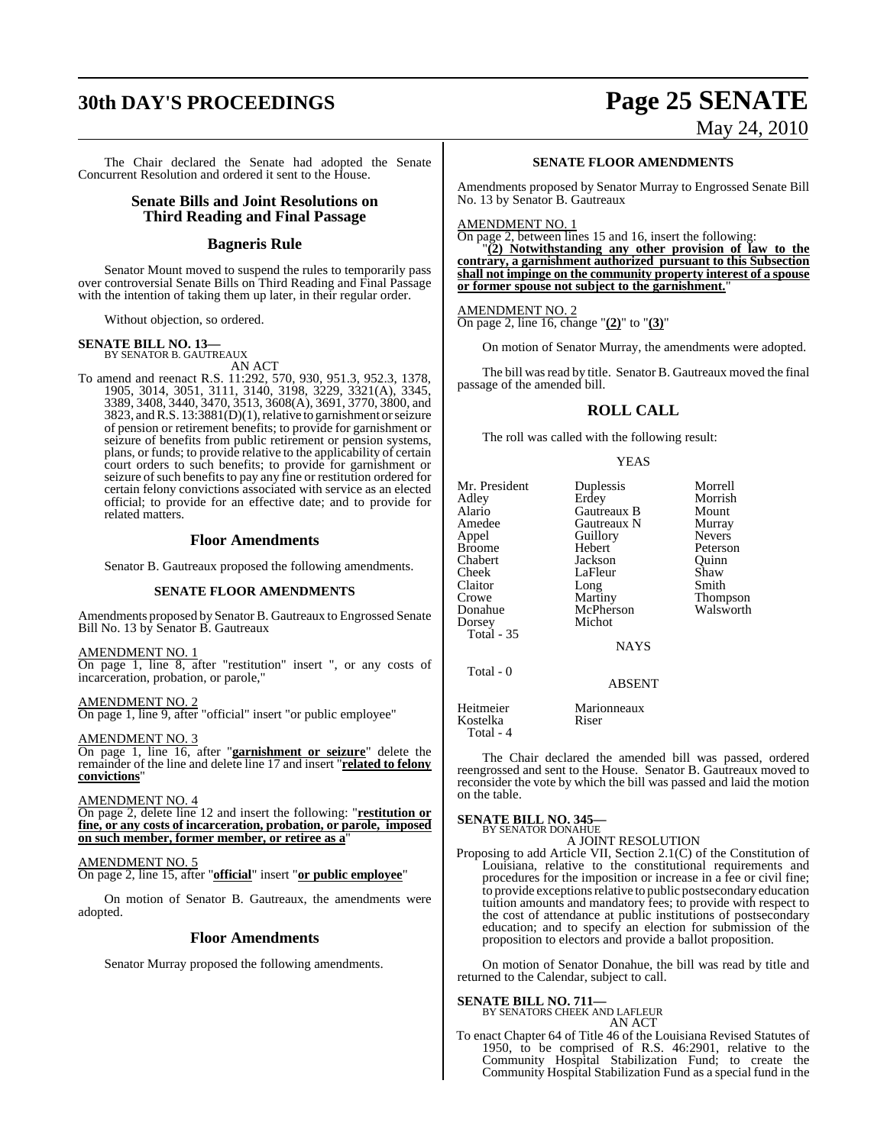# **30th DAY'S PROCEEDINGS Page 25 SENATE**

The Chair declared the Senate had adopted the Senate Concurrent Resolution and ordered it sent to the House.

#### **Senate Bills and Joint Resolutions on Third Reading and Final Passage**

### **Bagneris Rule**

Senator Mount moved to suspend the rules to temporarily pass over controversial Senate Bills on Third Reading and Final Passage with the intention of taking them up later, in their regular order.

Without objection, so ordered.

# **SENATE BILL NO. 13—** BY SENATOR B. GAUTREAUX

AN ACT

To amend and reenact R.S. 11:292, 570, 930, 951.3, 952.3, 1378, 1905, 3014, 3051, 3111, 3140, 3198, 3229, 3321(A), 3345, 3389, 3408, 3440, 3470, 3513, 3608(A), 3691, 3770, 3800, and 3823, andR.S. 13:3881(D)(1), relative to garnishment or seizure of pension or retirement benefits; to provide for garnishment or seizure of benefits from public retirement or pension systems, plans, or funds; to provide relative to the applicability of certain court orders to such benefits; to provide for garnishment or seizure of such benefits to pay any fine or restitution ordered for certain felony convictions associated with service as an elected official; to provide for an effective date; and to provide for related matters.

#### **Floor Amendments**

Senator B. Gautreaux proposed the following amendments.

#### **SENATE FLOOR AMENDMENTS**

Amendments proposed by Senator B. Gautreaux to Engrossed Senate Bill No. 13 by Senator B. Gautreaux

AMENDMENT NO. 1

On page 1, line 8, after "restitution" insert ", or any costs of incarceration, probation, or parole,"

AMENDMENT NO. 2 On page 1, line 9, after "official" insert "or public employee"

AMENDMENT NO. 3

On page 1, line 16, after "**garnishment or seizure**" delete the remainder of the line and delete line 17 and insert "**related to felony convictions**"

#### AMENDMENT NO. 4

On page 2, delete line 12 and insert the following: "**restitution or fine, or any costs of incarceration, probation, or parole, imposed on such member, former member, or retiree as a**"

#### AMENDMENT NO. 5

On page 2, line 15, after "**official**" insert "**or public employee**"

On motion of Senator B. Gautreaux, the amendments were adopted.

#### **Floor Amendments**

Senator Murray proposed the following amendments.

# May 24, 2010

**SENATE FLOOR AMENDMENTS**

Amendments proposed by Senator Murray to Engrossed Senate Bill No. 13 by Senator B. Gautreaux

#### AMENDMENT NO. 1

On page 2, between lines 15 and 16, insert the following:

"**(2) Notwithstanding any other provision of law to the contrary, a garnishment authorized pursuant to this Subsection shall not impinge on the community property interest of a spouse** or former spouse not subject to the garnishment.

#### AMENDMENT NO. 2

On page 2, line 16, change "**(2)**" to "**(3)**"

On motion of Senator Murray, the amendments were adopted.

The bill was read by title. Senator B. Gautreaux moved the final passage of the amended bill.

#### **ROLL CALL**

The roll was called with the following result:

#### YEAS

| Mr. President<br>Adlev<br>Alario<br>Amedee<br>Appel<br>Broome<br>Chabert<br>Cheek<br>Claitor<br>Crowe<br>Donahue<br>Dorsey<br><b>Total - 35</b><br>Total - 0 | Duplessis<br>Erdey<br>Gautreaux B<br>Gautreaux N<br>Guillory<br>Hebert<br>Jackson<br>LaFleur<br>Long<br>Martiny<br>McPherson<br>Michot<br><b>NAYS</b><br><b>ABSENT</b> | Morrell<br>Morrish<br>Mount<br>Murray<br><b>Nevers</b><br>Peterson<br>Ouinn<br>Shaw<br>Smith<br>Thompson<br>Walsworth |
|--------------------------------------------------------------------------------------------------------------------------------------------------------------|------------------------------------------------------------------------------------------------------------------------------------------------------------------------|-----------------------------------------------------------------------------------------------------------------------|
| Heitmeier<br>Kostelka                                                                                                                                        | Marionneaux<br>Riser                                                                                                                                                   |                                                                                                                       |

The Chair declared the amended bill was passed, ordered reengrossed and sent to the House. Senator B. Gautreaux moved to reconsider the vote by which the bill was passed and laid the motion on the table.

# **SENATE BILL NO. 345—** BY SENATOR DONAHUE

Total - 4

A JOINT RESOLUTION

Proposing to add Article VII, Section 2.1(C) of the Constitution of Louisiana, relative to the constitutional requirements and procedures for the imposition or increase in a fee or civil fine; to provide exceptions relative to public postsecondary education tuition amounts and mandatory fees; to provide with respect to the cost of attendance at public institutions of postsecondary education; and to specify an election for submission of the proposition to electors and provide a ballot proposition.

On motion of Senator Donahue, the bill was read by title and returned to the Calendar, subject to call.

**SENATE BILL NO. 711—**<br>BY SENATORS CHEEK AND LAFLEUR

AN ACT

To enact Chapter 64 of Title 46 of the Louisiana Revised Statutes of 1950, to be comprised of R.S. 46:2901, relative to the Community Hospital Stabilization Fund; to create the Community Hospital Stabilization Fund as a special fund in the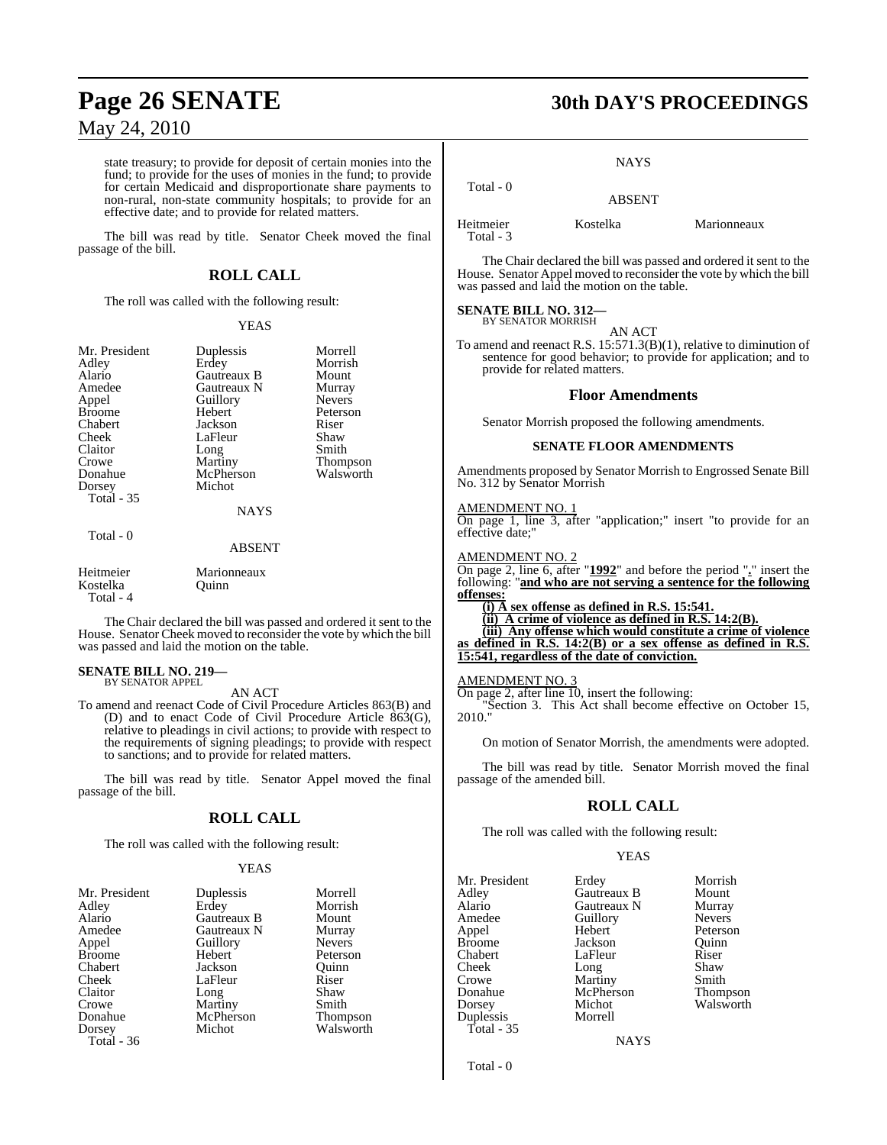state treasury; to provide for deposit of certain monies into the fund; to provide for the uses of monies in the fund; to provide for certain Medicaid and disproportionate share payments to non-rural, non-state community hospitals; to provide for an effective date; and to provide for related matters.

The bill was read by title. Senator Cheek moved the final passage of the bill.

## **ROLL CALL**

The roll was called with the following result:

#### YEAS

| Mr. President<br>Adley<br>Alario<br>Amedee<br>Appel<br><b>Broome</b><br>Chabert<br>Cheek<br>Claitor<br>Crowe<br>Donahue<br>Dorsey<br><b>Total - 35</b> | Duplessis<br>Erdey<br>Gautreaux B<br>Gautreaux N<br>Guillory<br>Hebert<br>Jackson<br>LaFleur<br>Long<br>Martiny<br>McPherson<br>Michot<br><b>NAYS</b> | Morrell<br>Morrish<br>Mount<br>Murray<br><b>Nevers</b><br>Peterson<br>Riser<br>Shaw<br>Smith<br><b>Thompson</b><br>Walsworth |
|--------------------------------------------------------------------------------------------------------------------------------------------------------|-------------------------------------------------------------------------------------------------------------------------------------------------------|------------------------------------------------------------------------------------------------------------------------------|
|                                                                                                                                                        |                                                                                                                                                       |                                                                                                                              |
| Total - 0                                                                                                                                              | <b>ABSENT</b>                                                                                                                                         |                                                                                                                              |

| Heitmeier | Marionneaux |
|-----------|-------------|
| Kostelka  | Ouinn       |
| Total - 4 |             |

The Chair declared the bill was passed and ordered it sent to the House. Senator Cheek moved to reconsider the vote by which the bill was passed and laid the motion on the table.

#### **SENATE BILL NO. 219—** BY SENATOR APPEL

AN ACT

To amend and reenact Code of Civil Procedure Articles 863(B) and (D) and to enact Code of Civil Procedure Article 863(G), relative to pleadings in civil actions; to provide with respect to the requirements of signing pleadings; to provide with respect to sanctions; and to provide for related matters.

The bill was read by title. Senator Appel moved the final passage of the bill.

#### **ROLL CALL**

The roll was called with the following result:

#### YEAS

| Mr. President | Duplessis   | Morrell         |
|---------------|-------------|-----------------|
| Adley         | Erdey       | Morrish         |
| Alario        | Gautreaux B | Mount           |
| Amedee        | Gautreaux N | Murray          |
| Appel         | Guillory    | <b>Nevers</b>   |
| <b>Broome</b> | Hebert      | Peterson        |
| Chabert       | Jackson     | Ouinn           |
| Cheek         | LaFleur     | Riser           |
| Claitor       | Long        | Shaw            |
| Crowe         | Martiny     | Smith           |
| Donahue       | McPherson   | <b>Thompson</b> |
| Dorsey        | Michot      | Walsworth       |
| Total - 36    |             |                 |

# **Page 26 SENATE 30th DAY'S PROCEEDINGS**

**NAYS** 

 Total - 0 ABSENT

Heitmeier Kostelka Marionneaux Total - 3

The Chair declared the bill was passed and ordered it sent to the House. Senator Appel moved to reconsider the vote by which the bill was passed and laid the motion on the table.

#### **SENATE BILL NO. 312—** BY SENATOR MORRISH

AN ACT

To amend and reenact R.S. 15:571.3(B)(1), relative to diminution of sentence for good behavior; to provide for application; and to provide for related matters.

#### **Floor Amendments**

Senator Morrish proposed the following amendments.

#### **SENATE FLOOR AMENDMENTS**

Amendments proposed by Senator Morrish to Engrossed Senate Bill No. 312 by Senator Morrish

#### AMENDMENT NO. 1

On page 1, line 3, after "application;" insert "to provide for an effective date;"

#### AMENDMENT NO. 2

On page 2, line 6, after "**1992**" and before the period "**.**" insert the following: "**and who are not serving a sentence for the following offenses:**

**(i) A sex offense as defined in R.S. 15:541. (ii) A crime of violence as defined in R.S. 14:2(B). (iii) Any offense which would constitute a crime of violence as defined in R.S. 14:2(B) or a sex offense as defined in R.S. 15:541, regardless of the date of conviction.**

## AMENDMENT NO. 3

On page 2, after line 10, insert the following: "Section 3. This Act shall become effective on October 15, 2010."

On motion of Senator Morrish, the amendments were adopted.

The bill was read by title. Senator Morrish moved the final passage of the amended bill.

### **ROLL CALL**

The roll was called with the following result:

#### YEAS

| Mr. President | Erdey       | Morrish         |
|---------------|-------------|-----------------|
| Adley         | Gautreaux B | Mount           |
| Alario        | Gautreaux N | Murray          |
| Amedee        | Guillory    | <b>Nevers</b>   |
| Appel         | Hebert      | Peterson        |
| <b>Broome</b> | Jackson     | Ouinn           |
| Chabert       | LaFleur     | Riser           |
| Cheek         | Long        | Shaw            |
| Crowe         | Martiny     | Smith           |
| Donahue       | McPherson   | <b>Thompson</b> |
| Dorsey        | Michot      | Walsworth       |
| Duplessis     | Morrell     |                 |
| Total - $35$  |             |                 |

**NAYS** 

Total - 0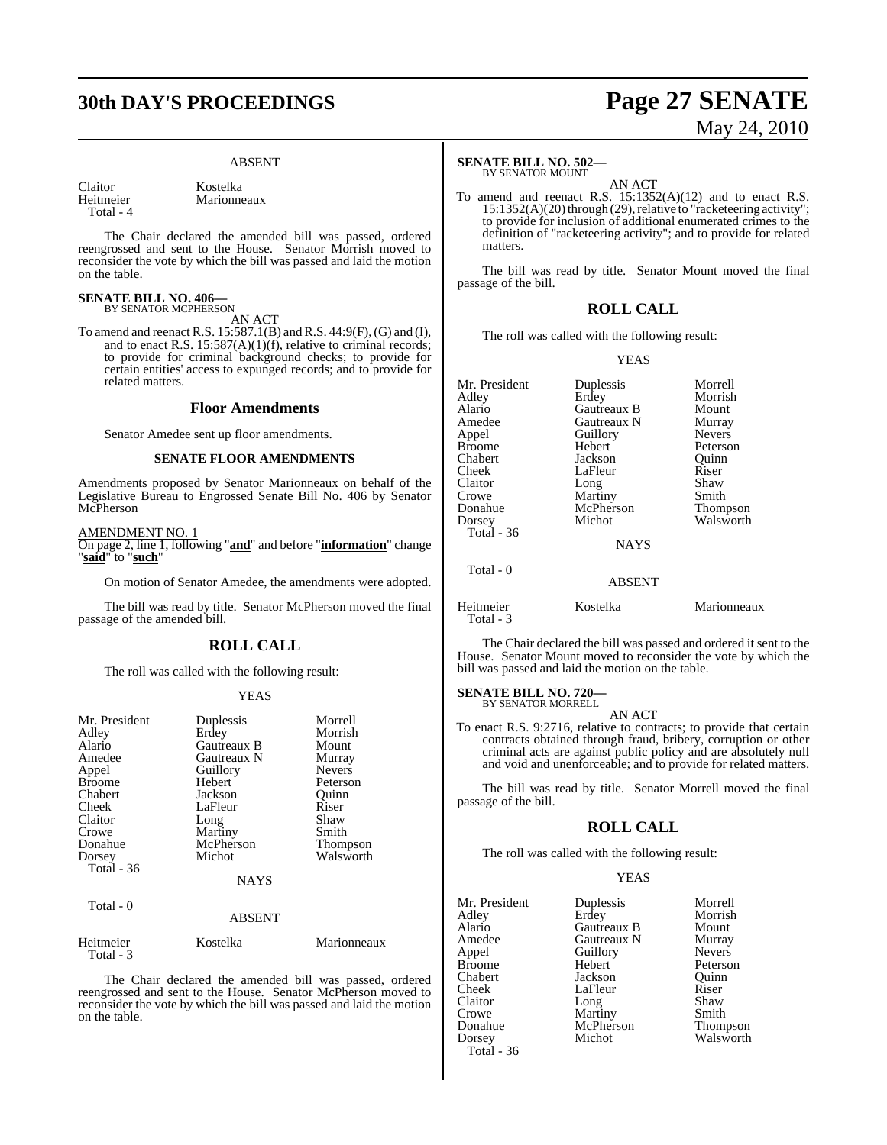# **30th DAY'S PROCEEDINGS Page 27 SENATE**

#### ABSENT

Claitor Kostelka<br>
Heitmeier Marionne Total - 4

Marionneaux

The Chair declared the amended bill was passed, ordered reengrossed and sent to the House. Senator Morrish moved to reconsider the vote by which the bill was passed and laid the motion on the table.

# **SENATE BILL NO. 406—**<br>BY SENATOR MCPHERSON

AN ACT

To amend and reenact R.S. 15:587.1(B) and R.S. 44:9(F), (G) and (I), and to enact R.S.  $15:587(A)(1)(f)$ , relative to criminal records; to provide for criminal background checks; to provide for certain entities' access to expunged records; and to provide for related matters.

#### **Floor Amendments**

Senator Amedee sent up floor amendments.

#### **SENATE FLOOR AMENDMENTS**

Amendments proposed by Senator Marionneaux on behalf of the Legislative Bureau to Engrossed Senate Bill No. 406 by Senator McPherson

AMENDMENT NO. 1

On page 2, line 1, following "**and**" and before "**information**" change "**said**" to "**such**"

On motion of Senator Amedee, the amendments were adopted.

The bill was read by title. Senator McPherson moved the final passage of the amended bill.

#### **ROLL CALL**

The roll was called with the following result:

#### YEAS

| Mr. President<br>Adley<br>Alario<br>Amedee<br>Appel<br><b>Broome</b><br>Chabert<br>Cheek<br>Claitor<br>Crowe<br>Donahue<br>Dorsey<br><b>Total</b> - 36 | Duplessis<br>Erdey<br>Gautreaux B<br>Gautreaux N<br>Guillory<br><b>Hebert</b><br>Jackson<br>LaFleur<br>Long<br>Martiny<br>McPherson<br>Michot<br><b>NAYS</b> | Morrell<br>Morrish<br>Mount<br>Murray<br><b>Nevers</b><br>Peterson<br>Ouinn<br>Riser<br>Shaw<br>Smith<br>Thompson<br>Walsworth |
|--------------------------------------------------------------------------------------------------------------------------------------------------------|--------------------------------------------------------------------------------------------------------------------------------------------------------------|--------------------------------------------------------------------------------------------------------------------------------|
| Total - 0                                                                                                                                              | <b>ABSENT</b>                                                                                                                                                |                                                                                                                                |
| Heitmeier                                                                                                                                              | Kostelka                                                                                                                                                     | Marionneaux                                                                                                                    |

Total - 3

The Chair declared the amended bill was passed, ordered reengrossed and sent to the House. Senator McPherson moved to reconsider the vote by which the bill was passed and laid the motion on the table.

#### **SENATE BILL NO. 502—**

BY SENATOR MOUNT AN ACT

To amend and reenact R.S. 15:1352(A)(12) and to enact R.S. 15:1352(A)(20) through (29), relative to "racketeering activity"; to provide for inclusion of additional enumerated crimes to the definition of "racketeering activity"; and to provide for related matters.

The bill was read by title. Senator Mount moved the final passage of the bill.

#### **ROLL CALL**

The roll was called with the following result:

#### YEAS

| Mr. President<br>Adley<br>Alario<br>Amedee<br>Appel<br><b>Broome</b><br>Chabert<br>Cheek<br>Claitor<br>Crowe<br>Donahue<br>Dorsey | Duplessis<br>Erdey<br>Gautreaux B<br>Gautreaux N<br>Guillory<br>Hebert<br>Jackson<br>LaFleur<br>Long<br>Martiny<br>McPherson<br>Michot | Morrell<br>Morrish<br>Mount<br>Murray<br><b>Nevers</b><br>Peterson<br>Ouinn<br>Riser<br>Shaw<br>Smith<br><b>Thompson</b><br>Walsworth |
|-----------------------------------------------------------------------------------------------------------------------------------|----------------------------------------------------------------------------------------------------------------------------------------|---------------------------------------------------------------------------------------------------------------------------------------|
| Total $-36$                                                                                                                       | <b>NAYS</b>                                                                                                                            |                                                                                                                                       |
| Total $-0$                                                                                                                        | ABSENT                                                                                                                                 |                                                                                                                                       |
| Heitmeier<br>Total - 3                                                                                                            | Kostelka                                                                                                                               | Marionneaux                                                                                                                           |

The Chair declared the bill was passed and ordered it sent to the House. Senator Mount moved to reconsider the vote by which the bill was passed and laid the motion on the table.

# **SENATE BILL NO. 720—** BY SENATOR MORRELL

AN ACT

To enact R.S. 9:2716, relative to contracts; to provide that certain contracts obtained through fraud, bribery, corruption or other criminal acts are against public policy and are absolutely null and void and unenforceable; and to provide for related matters.

The bill was read by title. Senator Morrell moved the final passage of the bill.

#### **ROLL CALL**

The roll was called with the following result:

#### YEAS

| Mr. President | Duplessis   | Morrell         |
|---------------|-------------|-----------------|
| Adley         | Erdey       | Morrish         |
| Alario        | Gautreaux B | Mount           |
| Amedee        | Gautreaux N | Murray          |
| Appel         | Guillory    | <b>Nevers</b>   |
| <b>Broome</b> | Hebert      | Peterson        |
| Chabert       | Jackson     | Ouinn           |
| Cheek         | LaFleur     | Riser           |
| Claitor       | Long        | Shaw            |
| Crowe         | Martiny     | Smith           |
| Donahue       | McPherson   | <b>Thompson</b> |
| Dorsey        | Michot      | Walsworth       |
| Total - 36    |             |                 |

# May 24, 2010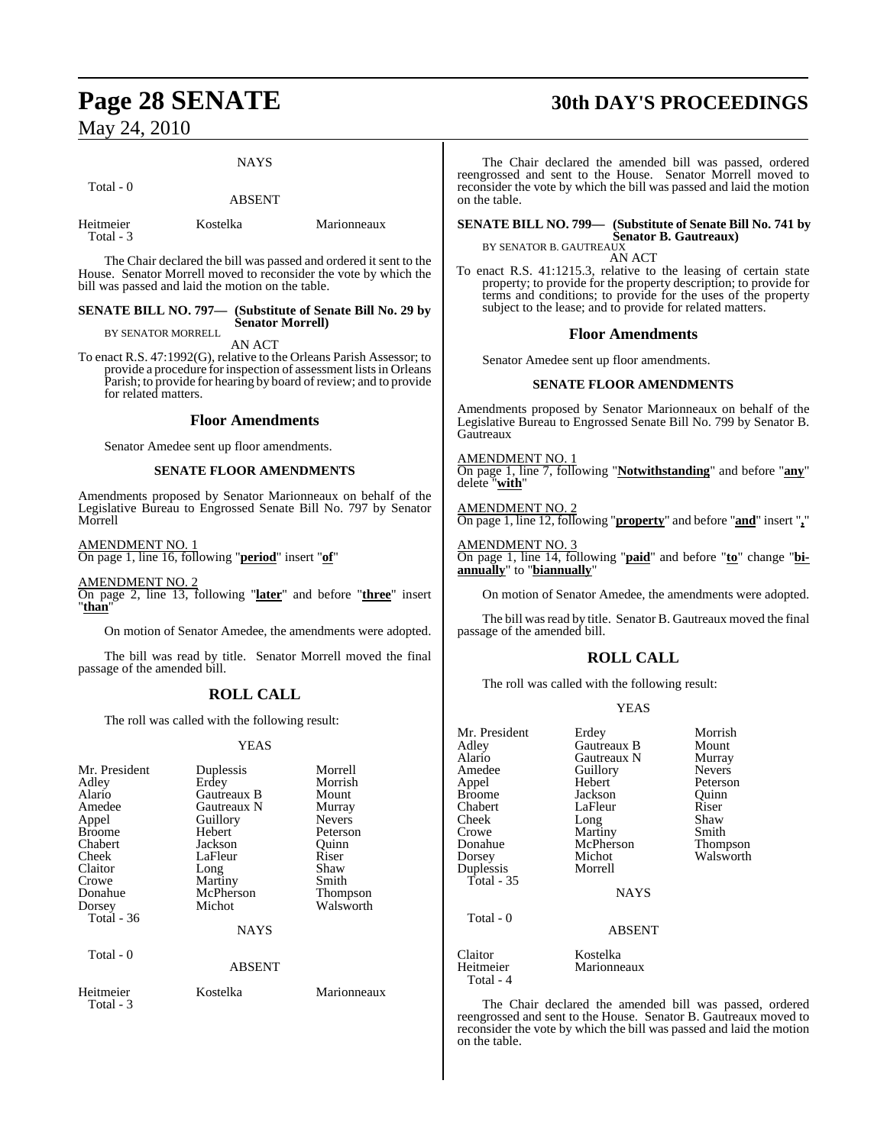#### **NAYS**

Total - 0

ABSENT

| Heitmeier | Kostelka | Marionneaux |
|-----------|----------|-------------|
| Total - 3 |          |             |

The Chair declared the bill was passed and ordered it sent to the House. Senator Morrell moved to reconsider the vote by which the bill was passed and laid the motion on the table.

#### **SENATE BILL NO. 797— (Substitute of Senate Bill No. 29 by Senator Morrell)** BY SENATOR MORRELL

AN ACT

To enact R.S. 47:1992(G), relative to the Orleans Parish Assessor; to provide a procedure for inspection of assessment lists in Orleans Parish; to provide for hearing by board of review; and to provide for related matters.

#### **Floor Amendments**

Senator Amedee sent up floor amendments.

#### **SENATE FLOOR AMENDMENTS**

Amendments proposed by Senator Marionneaux on behalf of the Legislative Bureau to Engrossed Senate Bill No. 797 by Senator Morrell

AMENDMENT NO. 1 On page 1, line 16, following "**period**" insert "**of**"

AMENDMENT NO. 2 On page 2, line 13, following "**later**" and before "**three**" insert "**than**"

On motion of Senator Amedee, the amendments were adopted.

The bill was read by title. Senator Morrell moved the final passage of the amended bill.

## **ROLL CALL**

The roll was called with the following result:

#### YEAS

| Heitmeier<br>Kostelka<br>Marionneaux | Mr. President<br>Adley<br>Alario<br>Amedee<br>Appel<br><b>Broome</b><br>Chabert<br>Cheek<br>Claitor<br>Crowe<br>Donahue<br>Dorsey<br>Total $-36$<br>Total - 0 | Duplessis<br>Erdey<br>Gautreaux B<br>Gautreaux N<br>Guillory<br>Hebert<br>Jackson<br>LaFleur<br>Long<br>Martiny<br>McPherson<br>Michot<br><b>NAYS</b><br><b>ABSENT</b> | Morrell<br>Morrish<br>Mount<br>Murray<br><b>Nevers</b><br>Peterson<br>Quinn<br>Riser<br>Shaw<br>Smith<br><b>Thompson</b><br>Walsworth |
|--------------------------------------|---------------------------------------------------------------------------------------------------------------------------------------------------------------|------------------------------------------------------------------------------------------------------------------------------------------------------------------------|---------------------------------------------------------------------------------------------------------------------------------------|
| Total - 3                            |                                                                                                                                                               |                                                                                                                                                                        |                                                                                                                                       |

# **Page 28 SENATE 30th DAY'S PROCEEDINGS**

The Chair declared the amended bill was passed, ordered reengrossed and sent to the House. Senator Morrell moved to reconsider the vote by which the bill was passed and laid the motion on the table.

**SENATE BILL NO. 799— (Substitute of Senate Bill No. 741 by Senator B. Gautreaux)** BY SENATOR B. GAUTREAUX

AN ACT

To enact R.S. 41:1215.3, relative to the leasing of certain state property; to provide for the property description; to provide for terms and conditions; to provide for the uses of the property subject to the lease; and to provide for related matters.

#### **Floor Amendments**

Senator Amedee sent up floor amendments.

#### **SENATE FLOOR AMENDMENTS**

Amendments proposed by Senator Marionneaux on behalf of the Legislative Bureau to Engrossed Senate Bill No. 799 by Senator B. **Gautreaux** 

AMENDMENT NO. 1 On page 1, line 7, following "**Notwithstanding**" and before "**any**" delete "**with**"

AMENDMENT NO. 2 On page 1, line 12, following "**property**" and before "**and**" insert "**,**"

AMENDMENT NO. 3 On page 1, line 14, following "**paid**" and before "**to**" change "**biannually**" to "**biannually**"

On motion of Senator Amedee, the amendments were adopted.

The bill was read by title. Senator B. Gautreaux moved the final passage of the amended bill.

### **ROLL CALL**

The roll was called with the following result:

#### YEAS

| Mr. President<br>Adley<br>Alario<br>Amedee<br>Appel<br><b>Broome</b><br>Chabert<br>Cheek<br>Crowe<br>Donahue | Erdey<br>Gautreaux B<br>Gautreaux N<br>Guillory<br>Hebert<br>Jackson<br>LaFleur<br>Long<br>Martiny<br>McPherson | Morrish<br>Mount<br>Murray<br><b>Nevers</b><br>Peterson<br>Ouinn<br>Riser<br>Shaw<br>Smith<br>Thompson |
|--------------------------------------------------------------------------------------------------------------|-----------------------------------------------------------------------------------------------------------------|--------------------------------------------------------------------------------------------------------|
| Dorsey                                                                                                       | Michot                                                                                                          | Walsworth                                                                                              |
| Duplessis<br><b>Total</b> - 35                                                                               | Morrell                                                                                                         |                                                                                                        |
|                                                                                                              | NAYS                                                                                                            |                                                                                                        |
| Total - 0                                                                                                    | <b>ABSENT</b>                                                                                                   |                                                                                                        |
| Claitor<br>Heitmeier<br>Total - 4                                                                            | Kostelka<br>Marionneaux                                                                                         |                                                                                                        |

The Chair declared the amended bill was passed, ordered reengrossed and sent to the House. Senator B. Gautreaux moved to reconsider the vote by which the bill was passed and laid the motion on the table.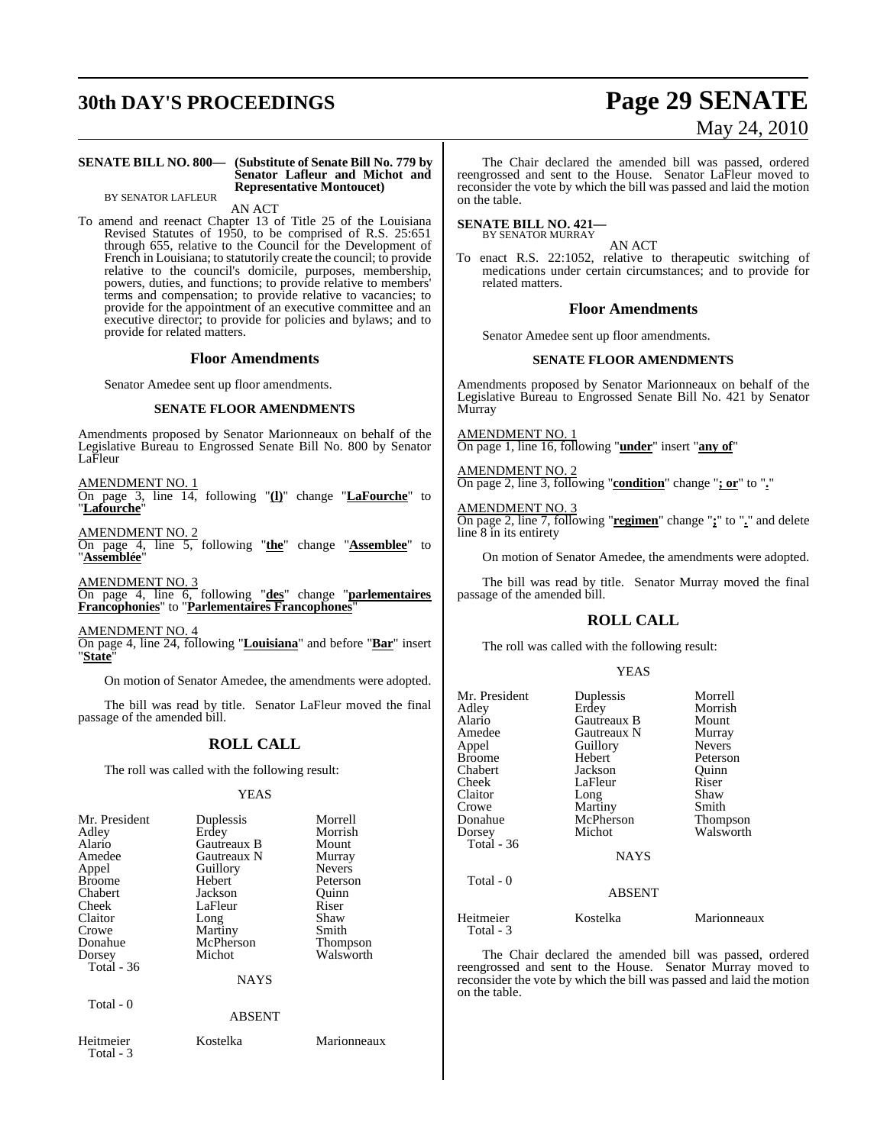# **30th DAY'S PROCEEDINGS Page 29 SENATE**

#### **SENATE BILL NO. 800— (Substitute of Senate Bill No. 779 by Senator Lafleur and Michot and Representative Montoucet)**

BY SENATOR LAFLEUR

AN ACT

To amend and reenact Chapter 13 of Title 25 of the Louisiana Revised Statutes of 1950, to be comprised of R.S. 25:651 through 655, relative to the Council for the Development of French in Louisiana; to statutorily create the council; to provide relative to the council's domicile, purposes, membership, powers, duties, and functions; to provide relative to members' terms and compensation; to provide relative to vacancies; to provide for the appointment of an executive committee and an executive director; to provide for policies and bylaws; and to provide for related matters.

#### **Floor Amendments**

Senator Amedee sent up floor amendments.

#### **SENATE FLOOR AMENDMENTS**

Amendments proposed by Senator Marionneaux on behalf of the Legislative Bureau to Engrossed Senate Bill No. 800 by Senator LaFleur

AMENDMENT NO. 1

On page 3, line 14, following "**(l)**" change "**LaFourche**" to "**Lafourche**"

AMENDMENT NO. 2

On page 4, line 5, following "**the**" change "**Assemblee**" to "**Assemblée**"

AMENDMENT NO. 3

On page 4, line 6, following "**des**" change "**parlementaires Francophonies**" to "**Parlementaires Francophones**"

AMENDMENT NO. 4 On page 4, line 24, following "**Louisiana**" and before "**Bar**" insert "**State**"

On motion of Senator Amedee, the amendments were adopted.

The bill was read by title. Senator LaFleur moved the final passage of the amended bill.

### **ROLL CALL**

The roll was called with the following result:

#### YEAS

| Mr. President<br>Adley<br>Alario<br>Amedee<br>Appel<br><b>Broome</b><br>Chabert<br>Cheek<br>Claitor<br>Crowe<br>Donahue<br>Dorsey<br>Total $-36$<br>Total - 0 | Duplessis<br>Erdey<br>Gautreaux B<br>Gautreaux N<br>Guillory<br>Hebert<br>Jackson<br>LaFleur<br>Long<br>Martiny<br>McPherson<br>Michot<br><b>NAYS</b> | Morrell<br>Morrish<br>Mount<br>Murray<br><b>Nevers</b><br>Peterson<br>Ouinn<br>Riser<br>Shaw<br>Smith<br><b>Thompson</b><br>Walsworth |
|---------------------------------------------------------------------------------------------------------------------------------------------------------------|-------------------------------------------------------------------------------------------------------------------------------------------------------|---------------------------------------------------------------------------------------------------------------------------------------|
|                                                                                                                                                               | <b>ABSENT</b>                                                                                                                                         |                                                                                                                                       |
| Heitmeier<br>Total - 3                                                                                                                                        | Kostelka                                                                                                                                              | Marionneaux                                                                                                                           |

The Chair declared the amended bill was passed, ordered reengrossed and sent to the House. Senator LaFleur moved to reconsider the vote by which the bill was passed and laid the motion on the table.

#### **SENATE BILL NO. 421—** BY SENATOR MURRAY

AN ACT

To enact R.S. 22:1052, relative to therapeutic switching of medications under certain circumstances; and to provide for related matters.

#### **Floor Amendments**

Senator Amedee sent up floor amendments.

#### **SENATE FLOOR AMENDMENTS**

Amendments proposed by Senator Marionneaux on behalf of the Legislative Bureau to Engrossed Senate Bill No. 421 by Senator Murray

AMENDMENT NO. 1 On page 1, line 16, following "**under**" insert "**any of**"

AMENDMENT NO. 2 On page 2, line 3, following "**condition**" change "**; or**" to "**.**"

#### AMENDMENT NO. 3

On page 2, line 7, following "**regimen**" change "**;**" to "**.**" and delete line 8 in its entirety

On motion of Senator Amedee, the amendments were adopted.

The bill was read by title. Senator Murray moved the final passage of the amended bill.

#### **ROLL CALL**

The roll was called with the following result:

#### YEAS

| Mr. President<br>Adlev<br>Alario<br>Amedee<br>Appel<br>Broome<br>Chabert<br>Cheek<br>Claitor<br>Crowe<br>Donahue<br>Dorsey<br>Total - 36<br>Total - 0 | Duplessis<br>Erdey<br>Gautreaux B<br>Gautreaux N<br>Guillory<br>Hebert<br>Jackson<br>LaFleur<br>Long<br>Martiny<br>McPherson<br>Michot<br><b>NAYS</b> | Morrell<br>Morrish<br>Mount<br>Murray<br><b>Nevers</b><br>Peterson<br>Ouinn<br>Riser<br>Shaw<br>Smith<br>Thompson<br>Walsworth |
|-------------------------------------------------------------------------------------------------------------------------------------------------------|-------------------------------------------------------------------------------------------------------------------------------------------------------|--------------------------------------------------------------------------------------------------------------------------------|
|                                                                                                                                                       | <b>ABSENT</b>                                                                                                                                         |                                                                                                                                |
| Heitmeier<br>Total - 3                                                                                                                                | Kostelka                                                                                                                                              | Marionneaux                                                                                                                    |

The Chair declared the amended bill was passed, ordered reengrossed and sent to the House. Senator Murray moved to reconsider the vote by which the bill was passed and laid the motion on the table.

# May 24, 2010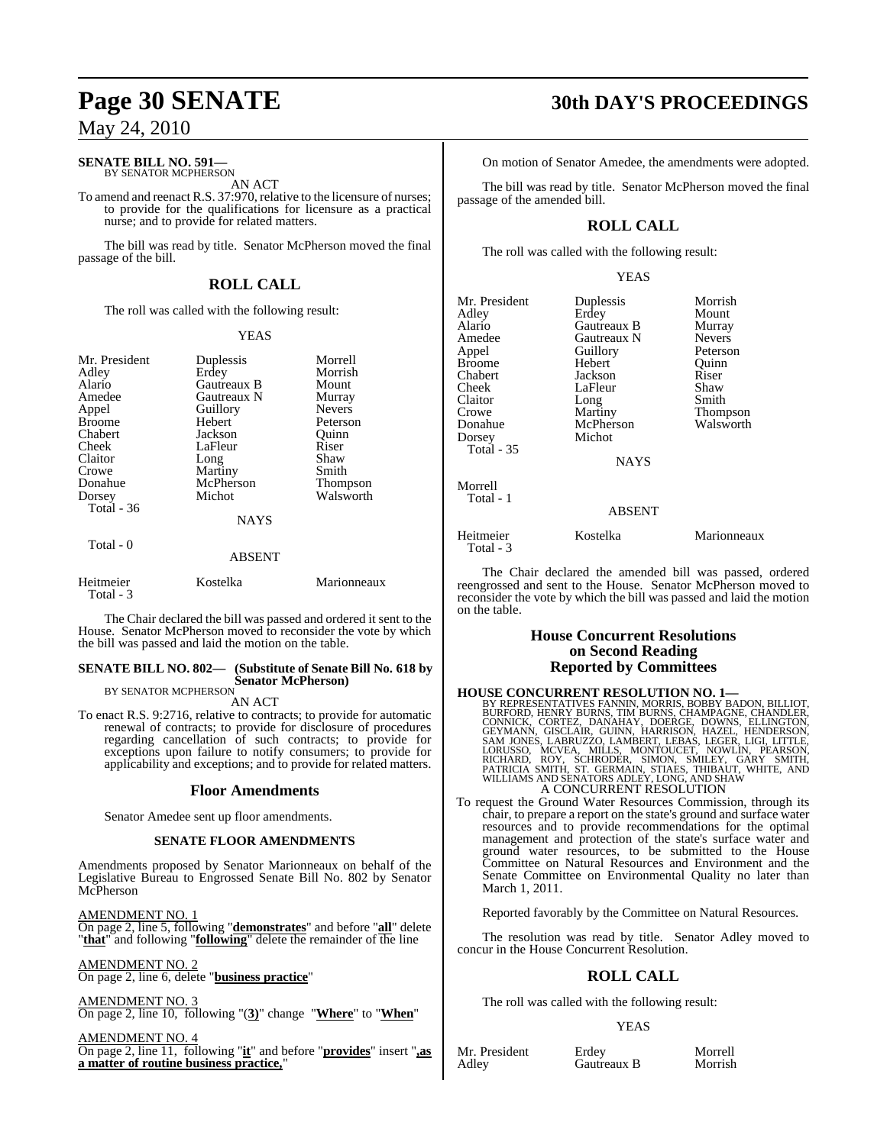## **SENATE BILL NO. 591—**

BY SENATOR MCPHERSON AN ACT

To amend and reenact R.S. 37:970, relative to the licensure of nurses; to provide for the qualifications for licensure as a practical nurse; and to provide for related matters.

The bill was read by title. Senator McPherson moved the final passage of the bill.

## **ROLL CALL**

The roll was called with the following result:

#### YEAS

| Mr. President<br>Adley<br>Alario<br>Amedee<br>Appel<br><b>Broome</b><br>Chabert<br>Cheek<br>Claitor<br>Crowe<br>Donahue<br>Dorsey<br>Total - 36 | Duplessis<br>Erdey<br><b>Gautreaux B</b><br>Gautreaux N<br>Guillory<br>Hebert<br>Jackson<br>LaFleur<br>Long<br>Martiny<br>McPherson<br>Michot<br><b>NAYS</b> | Morrell<br>Morrish<br>Mount<br>Murray<br><b>Nevers</b><br>Peterson<br>Ouinn<br>Riser<br>Shaw<br>Smith<br>Thompson<br>Walsworth |
|-------------------------------------------------------------------------------------------------------------------------------------------------|--------------------------------------------------------------------------------------------------------------------------------------------------------------|--------------------------------------------------------------------------------------------------------------------------------|
| Total $-0$                                                                                                                                      | <b>ABSENT</b>                                                                                                                                                |                                                                                                                                |

| Heitmeier<br>Total - 3 | Kostelka | Marionneaux |
|------------------------|----------|-------------|

The Chair declared the bill was passed and ordered it sent to the House. Senator McPherson moved to reconsider the vote by which the bill was passed and laid the motion on the table.

#### **SENATE BILL NO. 802— (Substitute of Senate Bill No. 618 by Senator McPherson)** BY SENATOR MCPHERSON

AN ACT

To enact R.S. 9:2716, relative to contracts; to provide for automatic renewal of contracts; to provide for disclosure of procedures regarding cancellation of such contracts; to provide for exceptions upon failure to notify consumers; to provide for applicability and exceptions; and to provide for related matters.

### **Floor Amendments**

Senator Amedee sent up floor amendments.

#### **SENATE FLOOR AMENDMENTS**

Amendments proposed by Senator Marionneaux on behalf of the Legislative Bureau to Engrossed Senate Bill No. 802 by Senator McPherson

AMENDMENT NO. 1 On page 2, line 5, following "**demonstrates**" and before "**all**" delete "**that**" and following "**following**" delete the remainder of the line

AMENDMENT NO. 2 On page 2, line 6, delete "**business practice**"

AMENDMENT NO. 3 On page 2, line 10, following "(**3)**" change "**Where**" to "**When**"

AMENDMENT NO. 4 On page 2, line 11, following "**it**" and before "**provides**" insert "**,as a matter of routine business practice,**"

# **Page 30 SENATE 30th DAY'S PROCEEDINGS**

On motion of Senator Amedee, the amendments were adopted.

The bill was read by title. Senator McPherson moved the final passage of the amended bill.

## **ROLL CALL**

The roll was called with the following result:

#### YEAS

| Mr. President | Duplessis     | Morrish       |
|---------------|---------------|---------------|
| Adley         | Erdey         | Mount         |
| Alario        | Gautreaux B   | Murray        |
| Amedee        | Gautreaux N   | <b>Nevers</b> |
| Appel         | Guillory      | Peterson      |
| Broome        | Hebert        | Ouinn         |
| Chabert       | Jackson       | Riser         |
| Cheek         | LaFleur       | Shaw          |
| Claitor       | Long          | Smith         |
| Crowe         | Martiny       | Thompson      |
| Donahue       | McPherson     | Walsworth     |
| Dorsey        | Michot        |               |
| Total - 35    |               |               |
|               | <b>NAYS</b>   |               |
| Morrell       |               |               |
| Total - 1     |               |               |
|               | <b>ABSENT</b> |               |
| Heitmeier     | Kostelka      | Marionneaux   |
| Total - 3     |               |               |

The Chair declared the amended bill was passed, ordered reengrossed and sent to the House. Senator McPherson moved to reconsider the vote by which the bill was passed and laid the motion on the table.

#### **House Concurrent Resolutions on Second Reading Reported by Committees**

**HOUSE CONCURRENT RESOLUTION NO. 1—**<br>BY REPRESENTATIVES FANNIN, MORRIS, BOBBY BADON, BILLIOT,<br>BURFORD, HENRY BURNS, TIM BURNS, CHAMPAGNE, CHANDLER,<br>CONNICK, CORTEZ, DANAHAY, DOERGE, DOWNS, ELLINGTON,<br>GEYMANN, GISCLAIR, GUI A CONCURRENT RESOLUTION

To request the Ground Water Resources Commission, through its chair, to prepare a report on the state's ground and surface water resources and to provide recommendations for the optimal management and protection of the state's surface water and ground water resources, to be submitted to the House Committee on Natural Resources and Environment and the Senate Committee on Environmental Quality no later than March 1, 2011.

Reported favorably by the Committee on Natural Resources.

The resolution was read by title. Senator Adley moved to concur in the House Concurrent Resolution.

### **ROLL CALL**

The roll was called with the following result:

#### YEAS

Mr. President Erdey Morrell<br>Adley Gautreaux B Morrish

Gautreaux B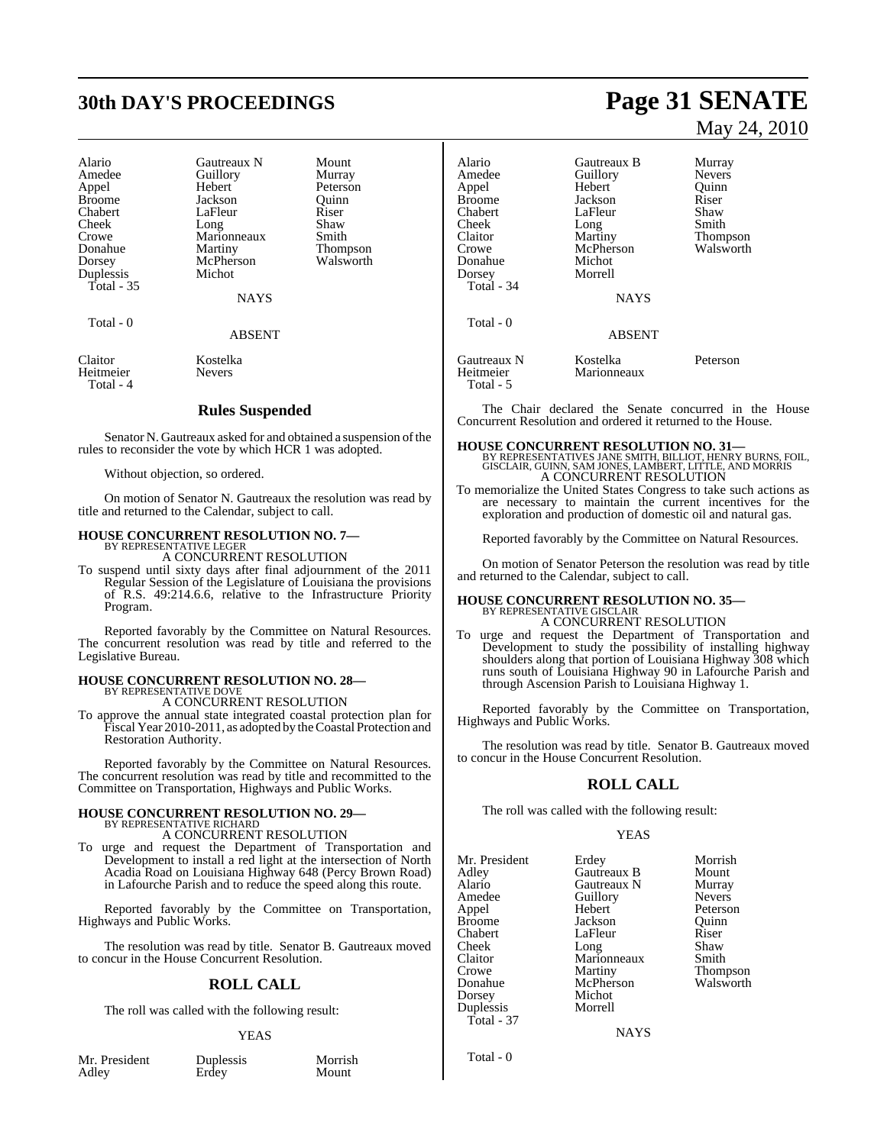# **30th DAY'S PROCEEDINGS Page 31 SENATE**

| Alario        | <b>Gautreaux N</b> | Mount           |
|---------------|--------------------|-----------------|
| Amedee        | Guillory           | Murray          |
| Appel         | Hebert             | Peterson        |
| <b>Broome</b> | Jackson            | Ouinn           |
| Chabert       | LaFleur            | Riser           |
| Cheek         | Long               | Shaw            |
| Crowe         | Marionneaux        | Smith           |
| Donahue       | Martiny            | <b>Thompson</b> |
| Dorsey        | McPherson          | Walsworth       |
| Duplessis     | Michot             |                 |
| Total $-35$   |                    |                 |
|               | NAYS               |                 |
| Total - 0     |                    |                 |
|               | <b>ABSENT</b>      |                 |
| Claitor       | Kostelka           |                 |

Heitmeier Nevers Total - 4

#### **Rules Suspended**

Senator N. Gautreaux asked for and obtained a suspension of the rules to reconsider the vote by which HCR 1 was adopted.

#### Without objection, so ordered.

On motion of Senator N. Gautreaux the resolution was read by title and returned to the Calendar, subject to call.

# **HOUSE CONCURRENT RESOLUTION NO. 7—** BY REPRESENTATIVE LEGER

A CONCURRENT RESOLUTION

To suspend until sixty days after final adjournment of the 2011 Regular Session of the Legislature of Louisiana the provisions of R.S. 49:214.6.6, relative to the Infrastructure Priority Program.

Reported favorably by the Committee on Natural Resources. The concurrent resolution was read by title and referred to the Legislative Bureau.

# **HOUSE CONCURRENT RESOLUTION NO. 28—** BY REPRESENTATIVE DOVE

A CONCURRENT RESOLUTION

To approve the annual state integrated coastal protection plan for Fiscal Year 2010-2011, as adopted by the Coastal Protection and Restoration Authority.

Reported favorably by the Committee on Natural Resources. The concurrent resolution was read by title and recommitted to the Committee on Transportation, Highways and Public Works.

#### **HOUSE CONCURRENT RESOLUTION NO. 29—** BY REPRESENTATIVE RICHARD

A CONCURRENT RESOLUTION

To urge and request the Department of Transportation and Development to install a red light at the intersection of North Acadia Road on Louisiana Highway 648 (Percy Brown Road) in Lafourche Parish and to reduce the speed along this route.

Reported favorably by the Committee on Transportation, Highways and Public Works.

The resolution was read by title. Senator B. Gautreaux moved to concur in the House Concurrent Resolution.

#### **ROLL CALL**

The roll was called with the following result:

#### YEAS

| Mr. President |  |
|---------------|--|
| Adley         |  |

Duplessis **Erdey** 

| Morrish |  |
|---------|--|
| Mount   |  |

# May 24, 2010

| Alario<br>Amedee<br>Appel<br>Broome<br>Chabert<br>Cheek<br>Claitor<br>Crowe<br>Donahue<br>Dorsey<br>Total - 34 | Gautreaux B<br>Guillory<br>Hebert<br>Jackson<br>LaFleur<br>Long<br>Martiny<br>McPherson<br>Michot<br>Morrell<br><b>NAYS</b> | Murray<br><b>Nevers</b><br>Ouinn<br>Riser<br>Shaw<br>Smith<br><b>Thompson</b><br>Walsworth |
|----------------------------------------------------------------------------------------------------------------|-----------------------------------------------------------------------------------------------------------------------------|--------------------------------------------------------------------------------------------|
| Total - 0                                                                                                      | <b>ABSENT</b>                                                                                                               |                                                                                            |
| Gautreaux N<br>Heitmeier<br>Total - 5                                                                          | Kostelka<br>Marionneaux                                                                                                     | Peterson                                                                                   |

The Chair declared the Senate concurred in the House Concurrent Resolution and ordered it returned to the House.

#### **HOUSE CONCURRENT RESOLUTION NO. 31—**

BY REPRESENTATIVES JANE SMITH, BILLIOT, HENRY BURNS, FOIL, GISCLAIR, GUINN, SAM JONES, LAMBERT, LITTLE, AND MORRIS A CONCURRENT RESOLUTION

To memorialize the United States Congress to take such actions as are necessary to maintain the current incentives for the exploration and production of domestic oil and natural gas.

Reported favorably by the Committee on Natural Resources.

On motion of Senator Peterson the resolution was read by title and returned to the Calendar, subject to call.

## **HOUSE CONCURRENT RESOLUTION NO. 35—** BY REPRESENTATIVE GISCLAIR A CONCURRENT RESOLUTION

To urge and request the Department of Transportation and Development to study the possibility of installing highway shoulders along that portion of Louisiana Highway 308 which runs south of Louisiana Highway 90 in Lafourche Parish and through Ascension Parish to Louisiana Highway 1.

Reported favorably by the Committee on Transportation, Highways and Public Works.

The resolution was read by title. Senator B. Gautreaux moved to concur in the House Concurrent Resolution.

#### **ROLL CALL**

The roll was called with the following result:

#### YEAS

Mr. President Erdey Morrish Adley Gautreaux B Mount Alario Gautreaux N Murray Appel Hebert Peterson Broome Jackson Quinn<br>
Chabert LaFleur Riser Chabert LaFleur Riser<br>
Cheek Long Shaw Cheek Long Shaw Claitor Marionneaux Smith Crowe Martiny Thompson<br>
Donahue McPherson Walsworth Dorsey Michot Duplessis Total - 37

Amedeu<br>
Amedeu<br>
Amedeu<br>
Referson<br>
Referson McPherson<br>Michot

**NAYS** 

Total - 0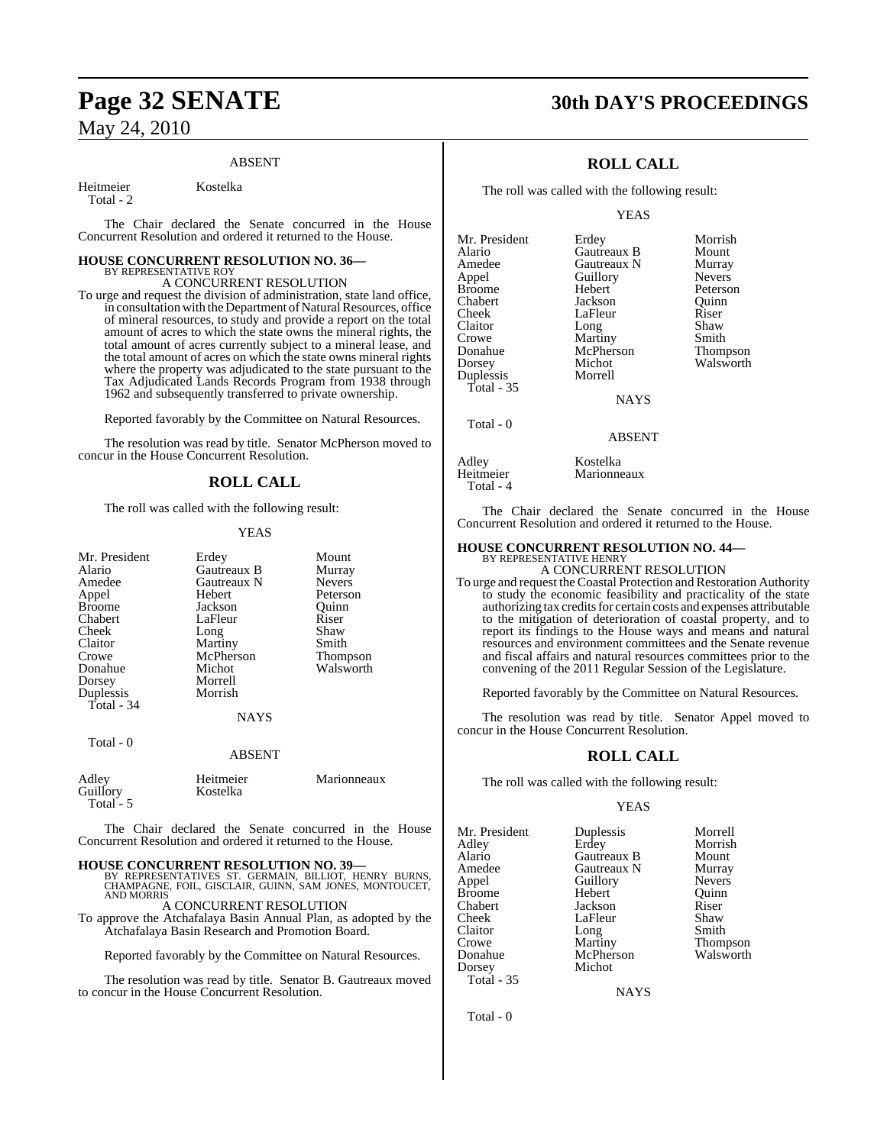#### ABSENT

Heitmeier Kostelka

Total - 2

The Chair declared the Senate concurred in the House Concurrent Resolution and ordered it returned to the House.

# **HOUSE CONCURRENT RESOLUTION NO. 36—** BY REPRESENTATIVE ROY

A CONCURRENT RESOLUTION To urge and request the division of administration, state land office,

in consultation with the Department of Natural Resources, office of mineral resources, to study and provide a report on the total amount of acres to which the state owns the mineral rights, the total amount of acres currently subject to a mineral lease, and the total amount of acres on which the state owns mineral rights where the property was adjudicated to the state pursuant to the Tax Adjudicated Lands Records Program from 1938 through 1962 and subsequently transferred to private ownership.

Reported favorably by the Committee on Natural Resources.

The resolution was read by title. Senator McPherson moved to concur in the House Concurrent Resolution.

### **ROLL CALL**

The roll was called with the following result:

#### YEAS

| Mr. President<br>Alario<br>Amedee<br>Appel<br><b>Broome</b><br>Chabert<br>Cheek<br>Claitor<br>Crowe<br>Donahue<br>Dorsey<br>Duplessis<br>Total - 34 | Erdey<br>Gautreaux B<br>Gautreaux N<br>Hebert<br>Jackson<br>LaFleur<br>Long<br>Martiny<br>McPherson<br>Michot<br>Morrell<br>Morrish | Mount<br>Murray<br><b>Nevers</b><br>Peterson<br>Quinn<br>Riser<br>Shaw<br>Smith<br>Thompson<br>Walsworth |
|-----------------------------------------------------------------------------------------------------------------------------------------------------|-------------------------------------------------------------------------------------------------------------------------------------|----------------------------------------------------------------------------------------------------------|
|                                                                                                                                                     | <b>NAYS</b>                                                                                                                         |                                                                                                          |
| Total - 0                                                                                                                                           | <b>ABSENT</b>                                                                                                                       |                                                                                                          |
| Adley<br>Guillory<br>Total - 5                                                                                                                      | Heitmeier<br>Kostelka                                                                                                               | Marionneaux                                                                                              |

The Chair declared the Senate concurred in the House Concurrent Resolution and ordered it returned to the House.

**HOUSE CONCURRENT RESOLUTION NO. 39—** BY REPRESENTATIVES ST. GERMAIN, BILLIOT, HENRY BURNS, CHAMPAGNE, FOIL, GISCLAIR, GUINN, SAM JONES, MONTOUCET, AND MORRIS

A CONCURRENT RESOLUTION

To approve the Atchafalaya Basin Annual Plan, as adopted by the Atchafalaya Basin Research and Promotion Board.

Reported favorably by the Committee on Natural Resources.

The resolution was read by title. Senator B. Gautreaux moved to concur in the House Concurrent Resolution.

# **Page 32 SENATE 30th DAY'S PROCEEDINGS**

### **ROLL CALL**

The roll was called with the following result:

YEAS

| Erdey       | Morrish       |
|-------------|---------------|
| Gautreaux B | Mount         |
| Gautreaux N | Murray        |
| Guillory    | <b>Nevers</b> |
| Hebert      | Peterson      |
| Jackson     | Ouinn         |
| LaFleur     | Riser         |
| Long        | Shaw          |
| Martiny     | Smith         |
| McPherson   | Thompson      |
| Michot      | Walsworth     |
| Morrell     |               |
|             |               |
| <b>NAYS</b> |               |
|             |               |
|             |               |

Adley Kostelka<br>Heitmeier Marionne Total - 4

Concurrent Resolution and ordered it returned to the House.

#### **HOUSE CONCURRENT RESOLUTION NO. 44—**

BY REPRESENTATIVE HENRY A CONCURRENT RESOLUTION

To urge and request the Coastal Protection and Restoration Authority to study the economic feasibility and practicality of the state authorizing tax credits for certain costs and expenses attributable to the mitigation of deterioration of coastal property, and to report its findings to the House ways and means and natural resources and environment committees and the Senate revenue and fiscal affairs and natural resources committees prior to the convening of the 2011 Regular Session of the Legislature.

Reported favorably by the Committee on Natural Resources.

The resolution was read by title. Senator Appel moved to concur in the House Concurrent Resolution.

### **ROLL CALL**

The roll was called with the following result:

#### YEAS

Mr. President Duplessis Morrell<br>Adley Erdey Morrish Adley Erdey Morrish Alario Gautreaux B Mount Amedee Gautreaux N Murray Broome Hebert Quinn<br>Chabert Jackson Riser Cheek LaFleur Shaw<br>Claitor Long Smith Claitor<br>Crowe Crowe **Martiny** Thompson<br>Donahue McPherson Walsworth Dorsey Total - 35

Jackson McPherson Walsworth<br>Michot

Guillory Nevers<br>
Hebert Ouinn

**NAYS** 

Total - 0

Marionneaux

 Total - 0 ABSENT

The Chair declared the Senate concurred in the House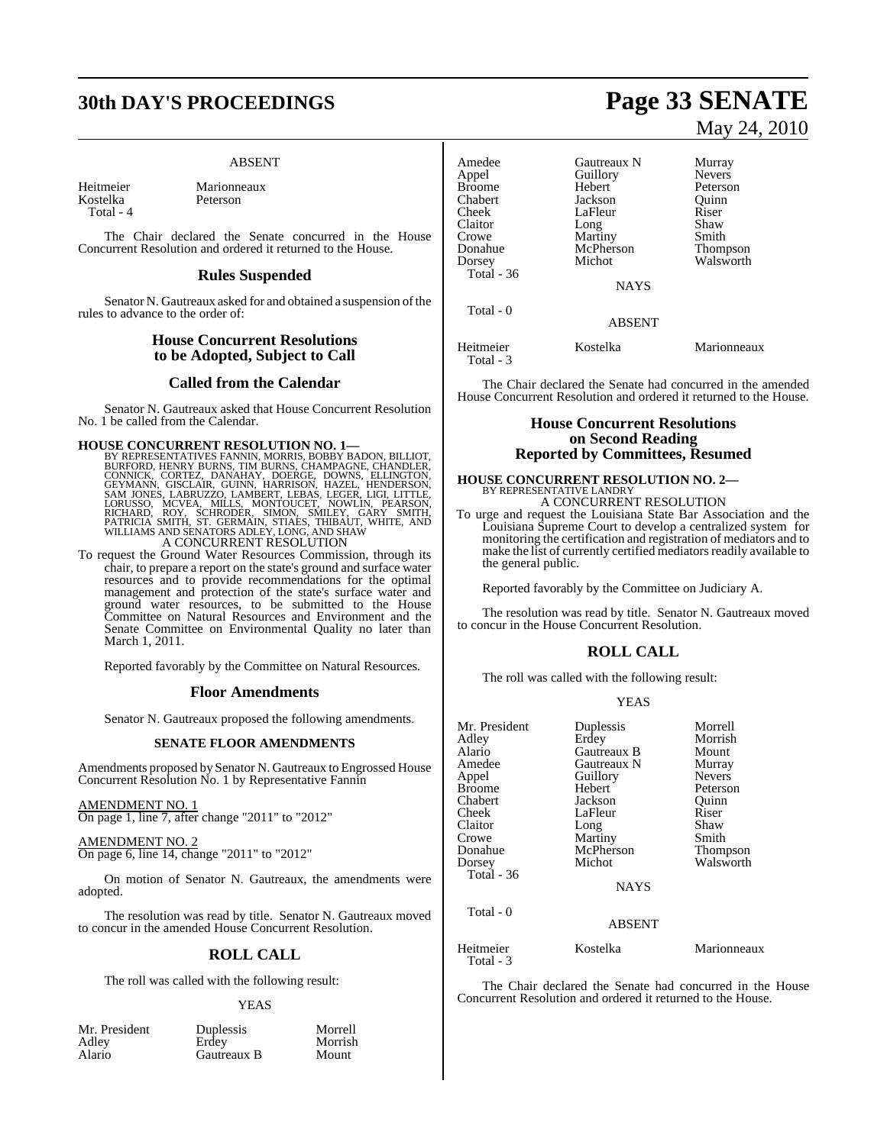# **30th DAY'S PROCEEDINGS Page 33 SENATE**

#### ABSENT

Kostelka Total - 4

Heitmeier Marionneaux<br>Kostelka Peterson

The Chair declared the Senate concurred in the House Concurrent Resolution and ordered it returned to the House.

#### **Rules Suspended**

Senator N. Gautreaux asked for and obtained a suspension of the rules to advance to the order of:

#### **House Concurrent Resolutions to be Adopted, Subject to Call**

#### **Called from the Calendar**

Senator N. Gautreaux asked that House Concurrent Resolution No. 1 be called from the Calendar.

**HOUSE CONCURRENT RESOLUTION NO. 1—**<br>BY REPRESENTATIVES FANNIN, MORRIS, BOBBY BADON, BILLIOT,<br>BURFORD, HENRY BURNS, TIM BURNS, CHAMPAGNE, CHANDLER,<br>CONNICK, CORTEZ, DANAHAY, DOERGE, DOWNS, ELLINGTON,<br>GEYMANN, GISCLAIR, GUI

## A CONCURRENT RESOLUTION

To request the Ground Water Resources Commission, through its chair, to prepare a report on the state's ground and surface water resources and to provide recommendations for the optimal management and protection of the state's surface water and ground water resources, to be submitted to the House Committee on Natural Resources and Environment and the Senate Committee on Environmental Quality no later than March 1, 2011.

Reported favorably by the Committee on Natural Resources.

#### **Floor Amendments**

Senator N. Gautreaux proposed the following amendments.

#### **SENATE FLOOR AMENDMENTS**

Amendments proposed by Senator N. Gautreaux to Engrossed House Concurrent Resolution No. 1 by Representative Fannin

#### AMENDMENT NO. 1

On page 1, line 7, after change "2011" to "2012"

AMENDMENT NO. 2 On page 6, line 14, change "2011" to "2012"

On motion of Senator N. Gautreaux, the amendments were adopted.

The resolution was read by title. Senator N. Gautreaux moved to concur in the amended House Concurrent Resolution.

## **ROLL CALL**

The roll was called with the following result:

#### YEAS

| Mr. President |
|---------------|
| Adley         |
| Alario        |

Gautreaux B

# May 24, 2010

| Amedee     | Gautreaux N   | Murray        |
|------------|---------------|---------------|
| Appel      | Guillory      | <b>Nevers</b> |
| Broome     | Hebert        | Peterson      |
| Chabert    | Jackson       | Quinn         |
| Cheek      | LaFleur       | Riser         |
| Claitor    | Long          | Shaw          |
| Crowe      | Martiny       | Smith         |
| Donahue    | McPherson     | Thompson      |
| Dorsey     | Michot        | Walsworth     |
| Total - 36 |               |               |
|            | <b>NAYS</b>   |               |
| Total - 0  |               |               |
|            | <b>ABSENT</b> |               |
| Heitmeier  | Kostelka      | Marionneaux   |

The Chair declared the Senate had concurred in the amended House Concurrent Resolution and ordered it returned to the House.

#### **House Concurrent Resolutions on Second Reading Reported by Committees, Resumed**

#### **HOUSE CONCURRENT RESOLUTION NO. 2—** BY REPRESENTATIVE LANDRY

Total - 3

A CONCURRENT RESOLUTION

To urge and request the Louisiana State Bar Association and the Louisiana Supreme Court to develop a centralized system for monitoring the certification and registration of mediators and to make the list of currently certified mediators readily available to the general public.

Reported favorably by the Committee on Judiciary A.

The resolution was read by title. Senator N. Gautreaux moved to concur in the House Concurrent Resolution.

### **ROLL CALL**

The roll was called with the following result:

#### YEAS

| Mr. President          | Duplessis      | Morrell       |
|------------------------|----------------|---------------|
| Adley                  | Erdey          | Morrish       |
| Alario                 | Gautreaux B    | Mount         |
| Amedee                 | Gautreaux N    | Murray        |
| Appel                  | Guillory       | <b>Nevers</b> |
| <b>Broome</b>          | Hebert         | Peterson      |
| Chabert                | Jackson        | Ouinn         |
| Cheek                  | LaFleur        | Riser         |
| Claitor                | Long           | Shaw          |
| Crowe                  | <b>Martiny</b> | Smith         |
| Donahue                | McPherson      | Thompson      |
| Dorsey                 | Michot         | Walsworth     |
| Total - 36             |                |               |
|                        | <b>NAYS</b>    |               |
| Total - 0              |                |               |
|                        | <b>ABSENT</b>  |               |
| Heitmeier<br>Total - 3 | Kostelka       | Marionneaux   |

The Chair declared the Senate had concurred in the House Concurrent Resolution and ordered it returned to the House.

Duplessis Morrell<br>Erdev Morrish Morrish<br>Mount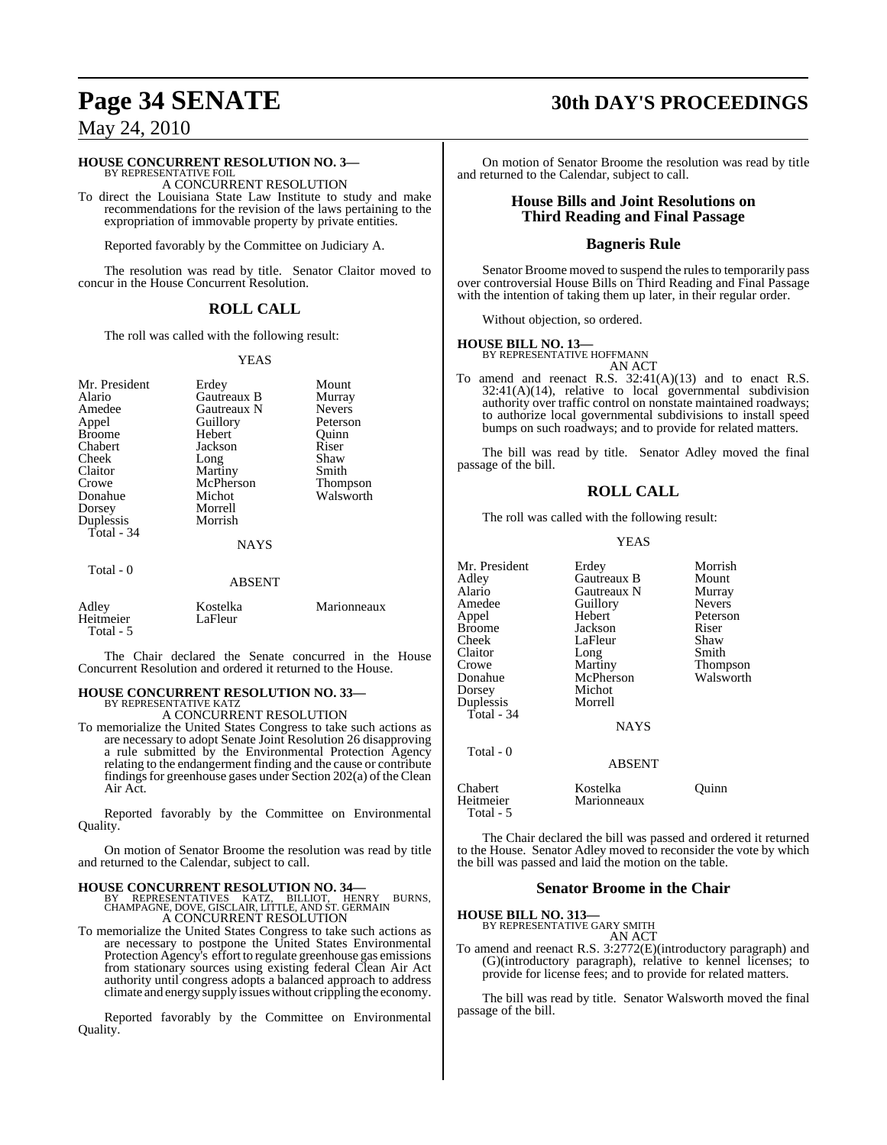#### **HOUSE CONCURRENT RESOLUTION NO. 3—**

BY REPRESENTATIVE FOIL A CONCURRENT RESOLUTION

To direct the Louisiana State Law Institute to study and make recommendations for the revision of the laws pertaining to the expropriation of immovable property by private entities.

Reported favorably by the Committee on Judiciary A.

The resolution was read by title. Senator Claitor moved to concur in the House Concurrent Resolution.

#### **ROLL CALL**

The roll was called with the following result:

#### YEAS

| Mr. President<br>Alario<br>Amedee<br>Appel<br><b>Broome</b><br>Chabert<br>Cheek<br>Claitor<br>Crowe<br>Donahue<br>Dorsey<br>Duplessis<br>Total - 34 | Erdey<br>Gautreaux B<br>Gautreaux N<br>Guillory<br>Hebert<br>Jackson<br>Long<br>Martiny<br>McPherson<br>Michot<br>Morrell<br>Morrish<br><b>NAYS</b> | Mount<br>Murray<br><b>Nevers</b><br>Peterson<br>Ouinn<br>Riser<br>Shaw<br>Smith<br>Thompson<br>Walsworth |
|-----------------------------------------------------------------------------------------------------------------------------------------------------|-----------------------------------------------------------------------------------------------------------------------------------------------------|----------------------------------------------------------------------------------------------------------|
| Total - 0                                                                                                                                           | ABSENT                                                                                                                                              |                                                                                                          |
| Adley<br>Heitmeier<br>Total - 5                                                                                                                     | Kostelka<br>LaFleur                                                                                                                                 | Marionneaux                                                                                              |

The Chair declared the Senate concurred in the House Concurrent Resolution and ordered it returned to the House.

#### **HOUSE CONCURRENT RESOLUTION NO. 33—** BY REPRESENTATIVE KATZ

A CONCURRENT RESOLUTION

To memorialize the United States Congress to take such actions as are necessary to adopt Senate Joint Resolution 26 disapproving a rule submitted by the Environmental Protection Agency relating to the endangerment finding and the cause or contribute findings for greenhouse gases under Section  $202(a)$  of the Clean Air Act.

Reported favorably by the Committee on Environmental Quality.

On motion of Senator Broome the resolution was read by title and returned to the Calendar, subject to call.

**HOUSE CONCURRENT RESOLUTION NO. 34—**<br>BY REPRESENTATIVES KATZ, BILLIOT, HENRY BURNS,<br>CHAMPAGNE, DOVE, GISCLAIR, LITTLE, AND ST. GERMAIN A CONCURRENT RESOLUTION

To memorialize the United States Congress to take such actions as are necessary to postpone the United States Environmental Protection Agency's effort to regulate greenhouse gas emissions from stationary sources using existing federal Clean Air Act authority until congress adopts a balanced approach to address climate and energy supply issueswithout crippling the economy.

Reported favorably by the Committee on Environmental Quality.

# **Page 34 SENATE 30th DAY'S PROCEEDINGS**

On motion of Senator Broome the resolution was read by title and returned to the Calendar, subject to call.

#### **House Bills and Joint Resolutions on Third Reading and Final Passage**

#### **Bagneris Rule**

Senator Broome moved to suspend the rules to temporarily pass over controversial House Bills on Third Reading and Final Passage with the intention of taking them up later, in their regular order.

Without objection, so ordered.

#### **HOUSE BILL NO. 13—**

BY REPRESENTATIVE HOFFMANN AN ACT

To amend and reenact R.S. 32:41(A)(13) and to enact R.S. 32:41(A)(14), relative to local governmental subdivision authority over traffic control on nonstate maintained roadways; to authorize local governmental subdivisions to install speed bumps on such roadways; and to provide for related matters.

The bill was read by title. Senator Adley moved the final passage of the bill.

#### **ROLL CALL**

The roll was called with the following result:

#### YEAS

| Mr. President          | Erdey         | Morrish       |
|------------------------|---------------|---------------|
| Adley                  | Gautreaux B   | Mount         |
| Alario                 | Gautreaux N   | Murray        |
| Amedee                 | Guillory      | <b>Nevers</b> |
| Appel                  | Hebert        | Peterson      |
| Broome                 | Jackson       | Riser         |
| Cheek                  | LaFleur       | Shaw          |
| Claitor                | Long          | Smith         |
| Crowe                  | Martiny       | Thompson      |
| Donahue                | McPherson     | Walsworth     |
| Dorsey                 | Michot        |               |
| Duplessis              | Morrell       |               |
| Total - 34             |               |               |
|                        | <b>NAYS</b>   |               |
| Total - 0              |               |               |
|                        | <b>ABSENT</b> |               |
| Chabert                | Kostelka      | Ouinn         |
| Heitmeier<br>Total - 5 | Marionneaux   |               |

The Chair declared the bill was passed and ordered it returned to the House. Senator Adley moved to reconsider the vote by which the bill was passed and laid the motion on the table.

#### **Senator Broome in the Chair**

**HOUSE BILL NO. 313—** BY REPRESENTATIVE GARY SMITH

AN ACT

To amend and reenact R.S. 3:2772(E)(introductory paragraph) and (G)(introductory paragraph), relative to kennel licenses; to provide for license fees; and to provide for related matters.

The bill was read by title. Senator Walsworth moved the final passage of the bill.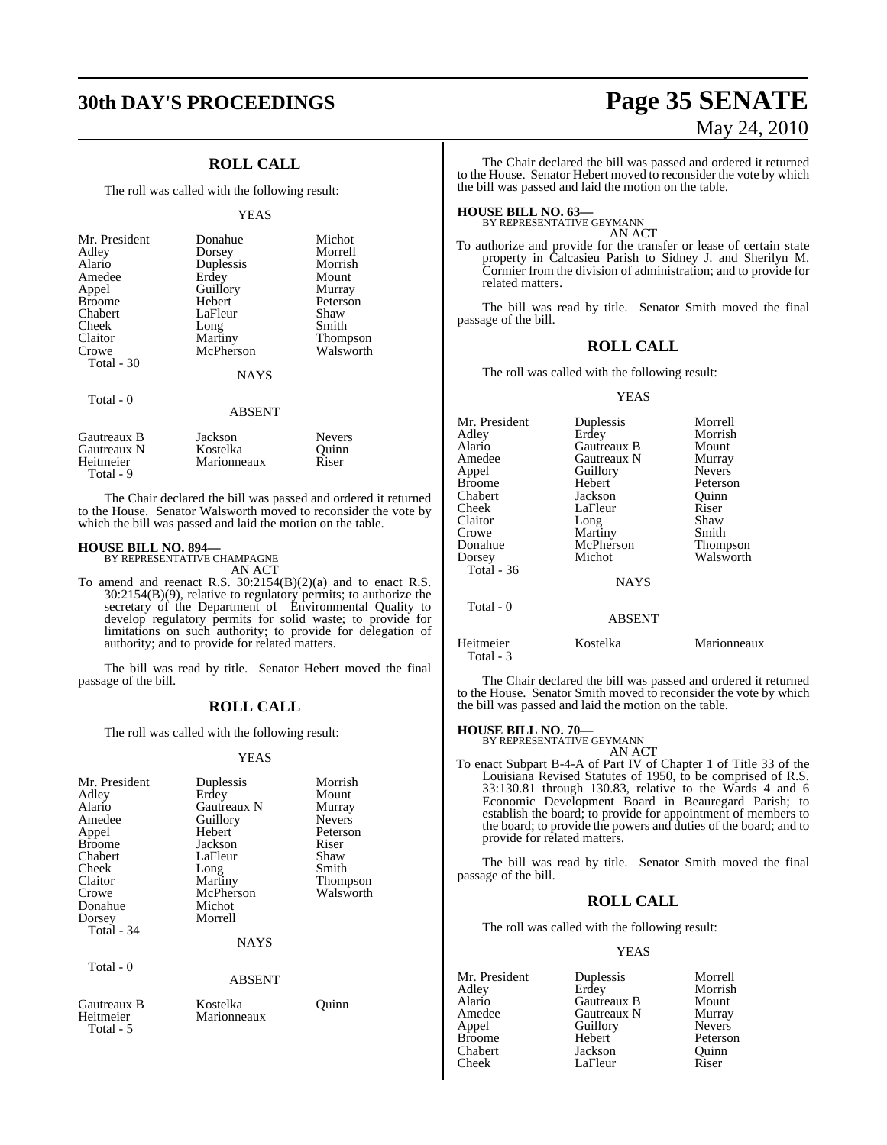## **ROLL CALL**

The roll was called with the following result:

#### YEAS

| Mr. President<br>Adley<br>Alario<br>Amedee<br>Appel<br><b>Broome</b><br>Chabert<br>Cheek<br>Claitor<br>Crowe<br>Total - 30 | Donahue<br>Dorsey<br>Duplessis<br>Erdey<br>Guillory<br>Hebert<br>LaFleur<br>Long<br>Martiny<br>McPherson | Michot<br>Morrell<br>Morrish<br>Mount<br>Murray<br>Peterson<br>Shaw<br>Smith<br><b>Thompson</b><br>Walsworth |
|----------------------------------------------------------------------------------------------------------------------------|----------------------------------------------------------------------------------------------------------|--------------------------------------------------------------------------------------------------------------|
|                                                                                                                            | <b>NAYS</b>                                                                                              |                                                                                                              |
| Total - 0                                                                                                                  |                                                                                                          |                                                                                                              |

#### ABSENT

| Gautreaux B<br>Gautreaux N<br>Heitmeier<br>Total - 9 | Jackson<br>Kostelka<br>Marionneaux | <b>Nevers</b><br>Ouinn<br>Riser |  |
|------------------------------------------------------|------------------------------------|---------------------------------|--|
|                                                      |                                    |                                 |  |

The Chair declared the bill was passed and ordered it returned to the House. Senator Walsworth moved to reconsider the vote by which the bill was passed and laid the motion on the table.

#### **HOUSE BILL NO. 894—**

BY REPRESENTATIVE CHAMPAGNE AN ACT

To amend and reenact R.S. 30:2154(B)(2)(a) and to enact R.S. 30:2154(B)(9), relative to regulatory permits; to authorize the secretary of the Department of Environmental Quality to develop regulatory permits for solid waste; to provide for limitations on such authority; to provide for delegation of authority; and to provide for related matters.

The bill was read by title. Senator Hebert moved the final passage of the bill.

#### **ROLL CALL**

The roll was called with the following result:

#### YEAS

| Mr. President | Duplessis     | Morrish       |
|---------------|---------------|---------------|
| Adley         | Erdey         | Mount         |
| Alario        | Gautreaux N   | Murray        |
| Amedee        | Guillory      | <b>Nevers</b> |
| Appel         | Hebert        | Peterson      |
| <b>Broome</b> | Jackson       | Riser         |
|               |               |               |
| Chabert       | LaFleur       | Shaw          |
| Cheek         | Long          | Smith         |
| Claitor       | Martiny       | Thompson      |
| Crowe         | McPherson     | Walsworth     |
| Donahue       | Michot        |               |
| Dorsey        | Morrell       |               |
| Total - 34    |               |               |
|               | <b>NAYS</b>   |               |
|               |               |               |
| Total - 0     |               |               |
|               | <b>ABSENT</b> |               |
| Gautreaux B   | Kostelka      | Ouinn         |
| Heitmeier     | Marionneaux   |               |
| Total - 5     |               |               |

# **30th DAY'S PROCEEDINGS Page 35 SENATE** May 24, 2010

The Chair declared the bill was passed and ordered it returned to the House. Senator Hebert moved to reconsider the vote by which the bill was passed and laid the motion on the table.

# **HOUSE BILL NO. 63—** BY REPRESENTATIVE GEYMANN

AN ACT

To authorize and provide for the transfer or lease of certain state property in Calcasieu Parish to Sidney J. and Sherilyn M. Cormier from the division of administration; and to provide for related matters.

The bill was read by title. Senator Smith moved the final passage of the bill.

#### **ROLL CALL**

The roll was called with the following result:

#### YEAS

| Mr. President          | Duplessis      | Morrell       |
|------------------------|----------------|---------------|
| Adley                  | Erdey          | Morrish       |
| Alario                 | Gautreaux B    | Mount         |
| Amedee                 | Gautreaux N    | Murray        |
| Appel                  | Guillory       | <b>Nevers</b> |
| Broome                 | Hebert         | Peterson      |
| Chabert                | Jackson        | Quinn         |
| Cheek                  | LaFleur        | Riser         |
| Claitor                | Long           | Shaw          |
| Crowe                  | <b>Martiny</b> | Smith         |
| Donahue                | McPherson      | Thompson      |
| Dorsey                 | Michot         | Walsworth     |
| Total - 36             |                |               |
|                        | <b>NAYS</b>    |               |
| Total - 0              |                |               |
|                        | <b>ABSENT</b>  |               |
| Heitmeier<br>Total - 3 | Kostelka       | Marionneaux   |

The Chair declared the bill was passed and ordered it returned to the House. Senator Smith moved to reconsider the vote by which the bill was passed and laid the motion on the table.

# **HOUSE BILL NO. 70—** BY REPRESENTATIVE GEYMANN

AN ACT

To enact Subpart B-4-A of Part IV of Chapter 1 of Title 33 of the Louisiana Revised Statutes of 1950, to be comprised of R.S. 33:130.81 through 130.83, relative to the Wards 4 and 6 Economic Development Board in Beauregard Parish; to establish the board; to provide for appointment of members to the board; to provide the powers and duties of the board; and to provide for related matters.

The bill was read by title. Senator Smith moved the final passage of the bill.

#### **ROLL CALL**

The roll was called with the following result:

| Mr. President | Duplessis   | Morrell       |
|---------------|-------------|---------------|
| Adley         | Erdey       | Morrish       |
| Alario        | Gautreaux B | Mount         |
| Amedee        | Gautreaux N | Murray        |
| Appel         | Guillory    | <b>Nevers</b> |
| <b>Broome</b> | Hebert      | Peterson      |
| Chabert       | Jackson     | Quinn         |
| Cheek         | LaFleur     | Riser         |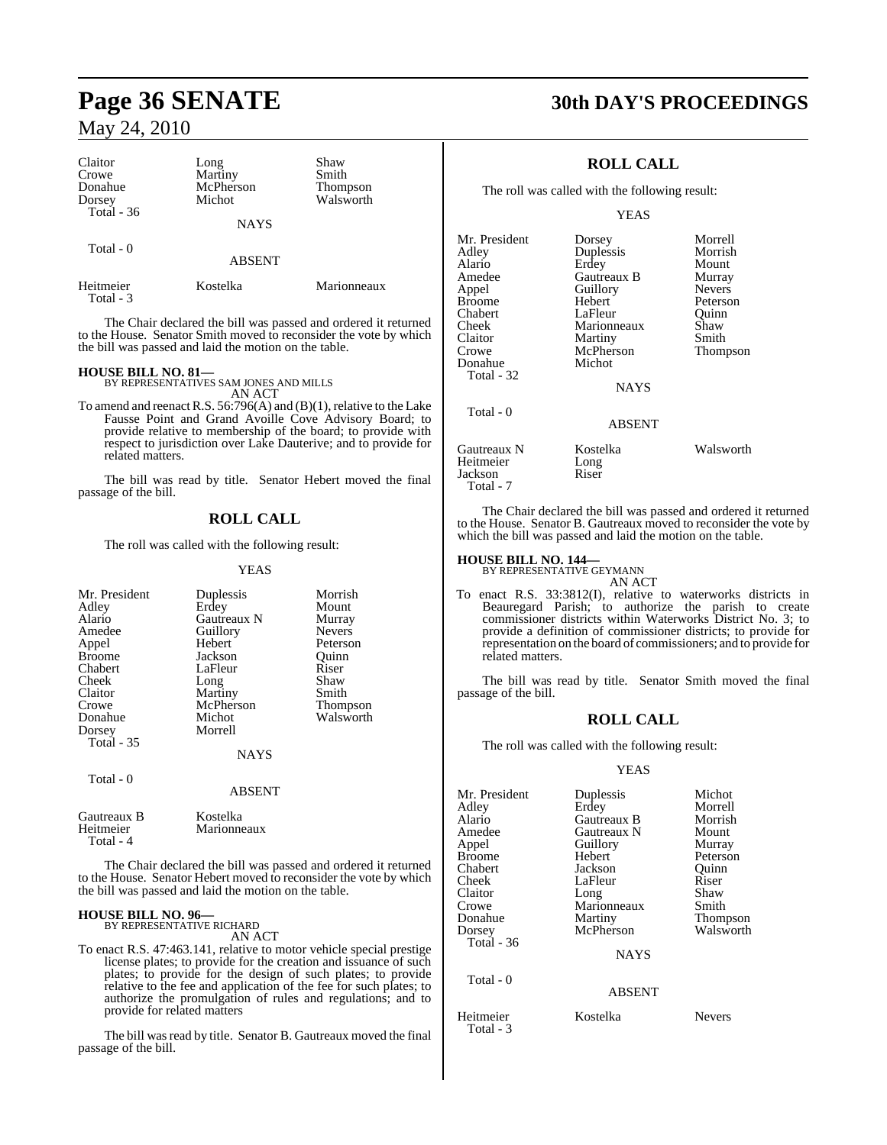| Claitor<br>Crowe<br>Donahue<br>Dorsey<br>Total $-36$ | Long<br>Martiny<br>McPherson<br>Michot | Shaw<br>Smith<br><b>Thompson</b><br>Walsworth |
|------------------------------------------------------|----------------------------------------|-----------------------------------------------|
|                                                      | <b>NAYS</b>                            |                                               |
| Total $-0$                                           | <b>ABSENT</b>                          |                                               |
| Heitmeier<br>Total - 3                               | Kostelka                               | Marionneaux                                   |

The Chair declared the bill was passed and ordered it returned to the House. Senator Smith moved to reconsider the vote by which the bill was passed and laid the motion on the table.

**HOUSE BILL NO. 81—** BY REPRESENTATIVES SAM JONES AND MILLS AN ACT

To amend and reenact R.S.  $56:796(A)$  and  $(B)(1)$ , relative to the Lake Fausse Point and Grand Avoille Cove Advisory Board; to provide relative to membership of the board; to provide with respect to jurisdiction over Lake Dauterive; and to provide for related matters.

The bill was read by title. Senator Hebert moved the final passage of the bill.

## **ROLL CALL**

The roll was called with the following result:

YEAS

| Mr. President<br>Adley<br>Alario<br>Amedee<br>Appel<br><b>Broome</b><br>Chabert<br>Cheek<br>Claitor<br>Crowe | Duplessis<br>Erdey<br>Gautreaux N<br>Guillory<br>Hebert<br>Jackson<br>LaFleur<br>Long<br>Martiny<br>McPherson | Morrish<br>Mount<br>Murray<br><b>Nevers</b><br>Peterson<br>Ouinn<br>Riser<br>Shaw<br>Smith<br>Thompson |
|--------------------------------------------------------------------------------------------------------------|---------------------------------------------------------------------------------------------------------------|--------------------------------------------------------------------------------------------------------|
| Donahue<br>Dorsey<br><b>Total - 35</b>                                                                       | Michot<br>Morrell                                                                                             | Walsworth                                                                                              |
| Total - 0                                                                                                    | <b>NAYS</b><br><b>ABSENT</b>                                                                                  |                                                                                                        |
| Gautreaux B<br>Heitmeier                                                                                     | Kostelka<br>Marionneaux                                                                                       |                                                                                                        |

The Chair declared the bill was passed and ordered it returned to the House. Senator Hebert moved to reconsider the vote by which the bill was passed and laid the motion on the table.

Marionneaux

# **HOUSE BILL NO. 96—** BY REPRESENTATIVE RICHARD

Total - 4

AN ACT

To enact R.S. 47:463.141, relative to motor vehicle special prestige license plates; to provide for the creation and issuance of such plates; to provide for the design of such plates; to provide relative to the fee and application of the fee for such plates; to authorize the promulgation of rules and regulations; and to provide for related matters

The bill was read by title. Senator B. Gautreaux moved the final passage of the bill.

# **Page 36 SENATE 30th DAY'S PROCEEDINGS**

## **ROLL CALL**

The roll was called with the following result:

YEAS

| Mr. President<br>Adlev<br>Alario<br>Amedee<br>Appel<br>Broome<br>Chabert<br>Cheek<br>Claitor<br>Crowe | Dorsey<br>Duplessis<br>Erdey<br>Gautreaux B<br>Guillory<br>Hebert<br>LaFleur<br>Marionneaux<br>Martiny<br>McPherson | Morrell<br>Morrish<br>Mount<br>Murray<br><b>Nevers</b><br>Peterson<br>Ouinn<br>Shaw<br>Smith<br>Thompson |
|-------------------------------------------------------------------------------------------------------|---------------------------------------------------------------------------------------------------------------------|----------------------------------------------------------------------------------------------------------|
| Donahue<br>Total - 32                                                                                 | Michot<br><b>NAYS</b>                                                                                               |                                                                                                          |
| Total - 0                                                                                             | <b>ABSENT</b>                                                                                                       |                                                                                                          |
| Gautreaux N<br>Heitmeier<br>Jackson<br>Total - 7                                                      | Kostelka<br>Long<br>Riser                                                                                           | Walsworth                                                                                                |

The Chair declared the bill was passed and ordered it returned to the House. Senator B. Gautreaux moved to reconsider the vote by which the bill was passed and laid the motion on the table.

# **HOUSE BILL NO. 144—** BY REPRESENTATIVE GEYMANN

AN ACT

To enact R.S. 33:3812(I), relative to waterworks districts in Beauregard Parish; to authorize the parish to create commissioner districts within Waterworks District No. 3; to provide a definition of commissioner districts; to provide for representation on the board of commissioners; and to provide for related matters.

The bill was read by title. Senator Smith moved the final passage of the bill.

### **ROLL CALL**

The roll was called with the following result:

| Mr. President          | Duplessis     | Michot          |
|------------------------|---------------|-----------------|
| Adley                  | Erdey         | Morrell         |
| Alario                 | Gautreaux B   | Morrish         |
| Amedee                 | Gautreaux N   | Mount           |
| Appel                  | Guillory      | Murray          |
| Broome                 | Hebert        | Peterson        |
| Chabert                | Jackson       | Quinn           |
| Cheek                  | LaFleur       | Riser           |
| Claitor                | Long          | Shaw            |
| Crowe                  | Marionneaux   | Smith           |
| Donahue                | Martiny       | <b>Thompson</b> |
| Dorsey                 | McPherson     | Walsworth       |
| Total - 36             |               |                 |
|                        | <b>NAYS</b>   |                 |
| Total - 0              |               |                 |
|                        | <b>ABSENT</b> |                 |
| Heitmeier<br>Total - 3 | Kostelka      | <b>Nevers</b>   |

- 
-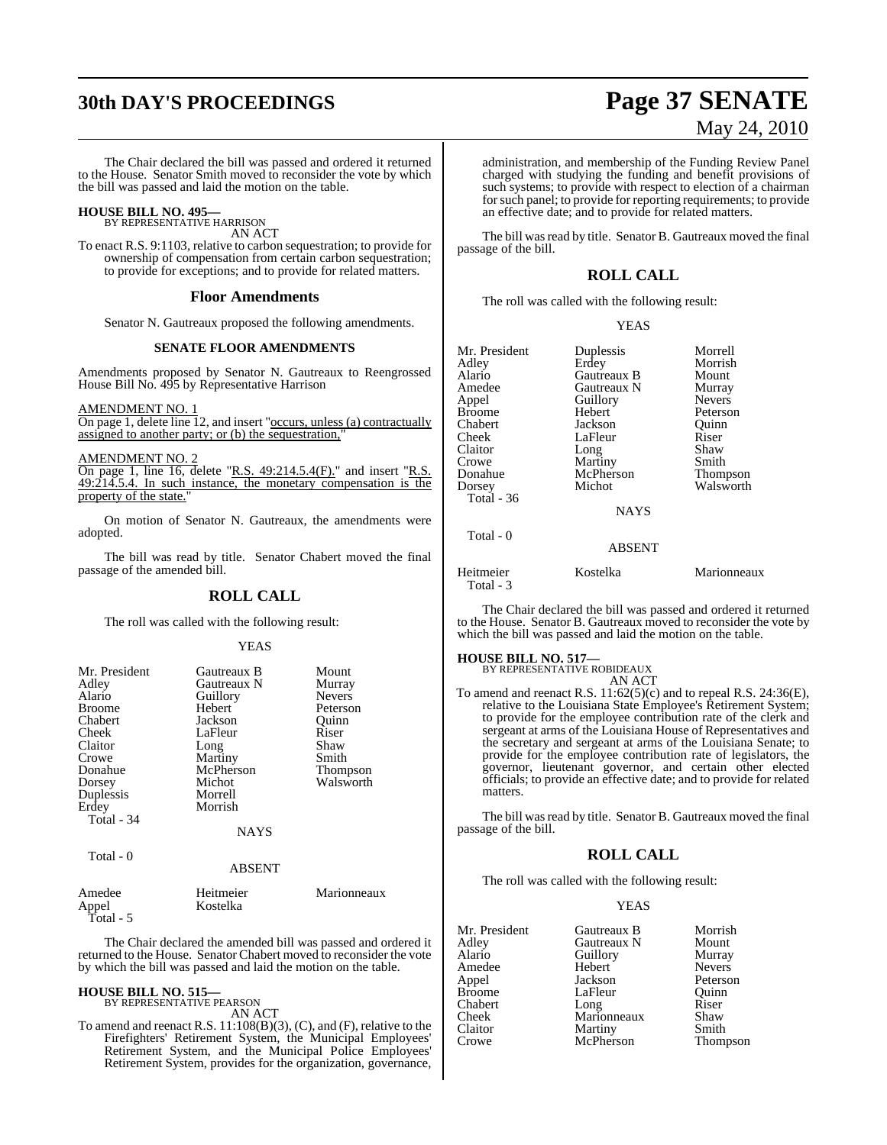# **30th DAY'S PROCEEDINGS Page 37 SENATE**

The Chair declared the bill was passed and ordered it returned to the House. Senator Smith moved to reconsider the vote by which the bill was passed and laid the motion on the table.

# **HOUSE BILL NO. 495—** BY REPRESENTATIVE HARRISON

AN ACT

To enact R.S. 9:1103, relative to carbon sequestration; to provide for ownership of compensation from certain carbon sequestration; to provide for exceptions; and to provide for related matters.

#### **Floor Amendments**

Senator N. Gautreaux proposed the following amendments.

#### **SENATE FLOOR AMENDMENTS**

Amendments proposed by Senator N. Gautreaux to Reengrossed House Bill No. 495 by Representative Harrison

#### AMENDMENT NO. 1

On page 1, delete line 12, and insert "occurs, unless (a) contractually assigned to another party; or (b) the sequestration,

#### AMENDMENT NO. 2

On page 1, line 16, delete "R.S. 49:214.5.4(F)." and insert "R.S. 49:214.5.4. In such instance, the monetary compensation is the property of the state.

On motion of Senator N. Gautreaux, the amendments were adopted.

The bill was read by title. Senator Chabert moved the final passage of the amended bill.

#### **ROLL CALL**

The roll was called with the following result:

#### YEAS

| Mr. President<br>Adley<br>Alario<br><b>Broome</b><br>Chabert<br>Cheek<br>Claitor<br>Crowe<br>Donahue<br>Dorsey<br>Duplessis | Gautreaux B<br>Gautreaux N<br>Guillory<br>Hebert<br>Jackson<br>LaFleur<br>Long<br>Martiny<br>McPherson<br>Michot<br>Morrell | Mount<br>Murray<br><b>Nevers</b><br>Peterson<br>Ouinn<br>Riser<br>Shaw<br>Smith<br><b>Thompson</b><br>Walsworth |
|-----------------------------------------------------------------------------------------------------------------------------|-----------------------------------------------------------------------------------------------------------------------------|-----------------------------------------------------------------------------------------------------------------|
| Erdey                                                                                                                       | Morrish                                                                                                                     |                                                                                                                 |
| Total - 34                                                                                                                  | <b>NAYS</b>                                                                                                                 |                                                                                                                 |
| Total - 0                                                                                                                   | <b>ABSENT</b>                                                                                                               |                                                                                                                 |

| Amedee    | Heitmeier | Marionneaux |
|-----------|-----------|-------------|
| Appel     | Kostelka  |             |
| Total - 5 |           |             |

The Chair declared the amended bill was passed and ordered it returned to the House. Senator Chabert moved to reconsider the vote by which the bill was passed and laid the motion on the table.

#### **HOUSE BILL NO. 515—** BY REPRESENTATIVE PEARSON

AN ACT

To amend and reenact R.S. 11:108(B)(3), (C), and (F), relative to the Firefighters' Retirement System, the Municipal Employees' Retirement System, and the Municipal Police Employees' Retirement System, provides for the organization, governance,

# May 24, 2010

administration, and membership of the Funding Review Panel charged with studying the funding and benefit provisions of such systems; to provide with respect to election of a chairman for such panel; to provide for reporting requirements; to provide an effective date; and to provide for related matters.

The bill was read by title. Senator B. Gautreaux moved the final passage of the bill.

## **ROLL CALL**

The roll was called with the following result:

| v |
|---|
|---|

|             | Morrell                                                     |
|-------------|-------------------------------------------------------------|
|             | Morrish                                                     |
| Gautreaux B | Mount                                                       |
| Gautreaux N | Murray                                                      |
|             | <b>Nevers</b>                                               |
| Hebert      | Peterson                                                    |
| Jackson     | Ouinn                                                       |
| LaFleur     | Riser                                                       |
|             | Shaw                                                        |
|             | Smith                                                       |
| McPherson   | Thompson                                                    |
| Michot      | Walsworth                                                   |
|             |                                                             |
| <b>NAYS</b> |                                                             |
|             |                                                             |
|             |                                                             |
|             | Duplessis<br>Erdey<br>Guillory<br>Long<br>Martiny<br>ABSENT |

Heitmeier Kostelka Marionneaux Total - 3

The Chair declared the bill was passed and ordered it returned to the House. Senator B. Gautreaux moved to reconsider the vote by which the bill was passed and laid the motion on the table.

# **HOUSE BILL NO. 517—** BY REPRESENTATIVE ROBIDEAUX

AN ACT

To amend and reenact R.S. 11:62(5)(c) and to repeal R.S. 24:36(E), relative to the Louisiana State Employee's Retirement System; to provide for the employee contribution rate of the clerk and sergeant at arms of the Louisiana House of Representatives and the secretary and sergeant at arms of the Louisiana Senate; to provide for the employee contribution rate of legislators, the governor, lieutenant governor, and certain other elected officials; to provide an effective date; and to provide for related matters.

The bill was read by title. Senator B. Gautreaux moved the final passage of the bill.

#### **ROLL CALL**

The roll was called with the following result:

| Mr. President | Gautreaux B         | Morrish       |
|---------------|---------------------|---------------|
| Adley         | Gautreaux N         | Mount         |
| Alario        | Guillory            | Murray        |
| Amedee        | Hebert              | <b>Nevers</b> |
| Appel         | Jackson             | Peterson      |
| <b>Broome</b> | LaFleur             | Ouinn         |
| Chabert       |                     | Riser         |
| Cheek         | Long<br>Marionneaux | Shaw          |
| Claitor       | Martiny             | Smith         |
| Crowe         | McPherson           | Thompson      |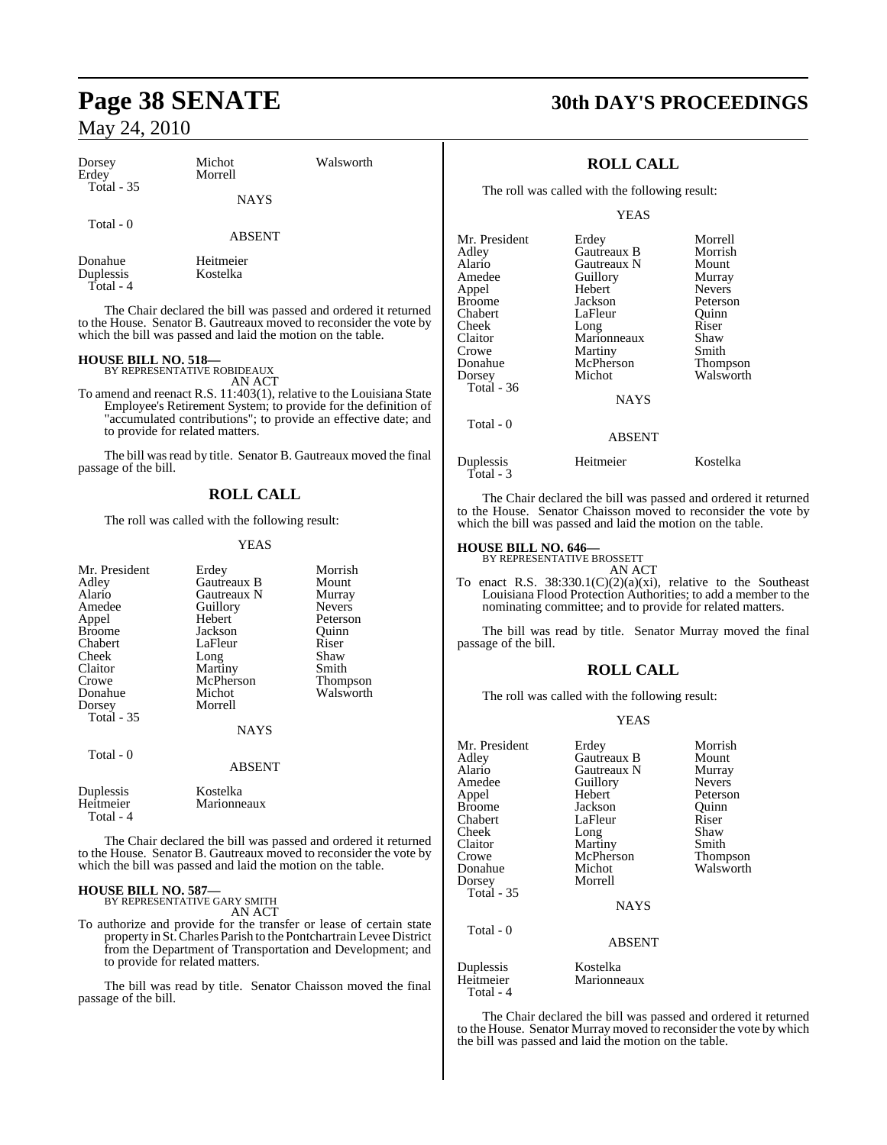| Dorsey<br>Erdey<br><b>Total - 35</b> | Michot<br>Morrell     | Walsworth |    |
|--------------------------------------|-----------------------|-----------|----|
|                                      | <b>NAYS</b>           |           |    |
| Total - 0                            | <b>ABSENT</b>         |           | M  |
| Donahue<br>Duplessis<br>Total - 4    | Heitmeier<br>Kostelka |           | AC |

The Chair declared the bill was passed and ordered it returned to the House. Senator B. Gautreaux moved to reconsider the vote by which the bill was passed and laid the motion on the table.

# **HOUSE BILL NO. 518—** BY REPRESENTATIVE ROBIDEAUX

AN ACT

To amend and reenact R.S. 11:403(1), relative to the Louisiana State Employee's Retirement System; to provide for the definition of "accumulated contributions"; to provide an effective date; and to provide for related matters.

The bill was read by title. Senator B. Gautreaux moved the final passage of the bill.

## **ROLL CALL**

The roll was called with the following result:

#### YEAS

| Mr. President<br>Adley<br>Alario<br>Amedee<br>Appel<br><b>Broome</b><br>Chabert<br>Cheek<br>Claitor<br>Crowe<br>Donahue<br>Dorsey<br><b>Total - 35</b> | Erdey<br>Gautreaux B<br>Gautreaux N<br>Guillory<br>Hebert<br>Jackson<br>LaFleur<br>Long<br>Martiny<br>McPherson<br>Michot<br>Morrell<br><b>NAYS</b> | Morrish<br>Mount<br>Murray<br><b>Nevers</b><br>Peterson<br>Ouinn<br>Riser<br>Shaw<br>Smith<br>Thompson<br>Walsworth |
|--------------------------------------------------------------------------------------------------------------------------------------------------------|-----------------------------------------------------------------------------------------------------------------------------------------------------|---------------------------------------------------------------------------------------------------------------------|
| Total - 0                                                                                                                                              | ABSENT                                                                                                                                              |                                                                                                                     |
| Duplessis<br>Heitmeier<br>Total - 4                                                                                                                    | Kostelka<br>Marionneaux                                                                                                                             |                                                                                                                     |

The Chair declared the bill was passed and ordered it returned to the House. Senator B. Gautreaux moved to reconsider the vote by which the bill was passed and laid the motion on the table.

# **HOUSE BILL NO. 587—** BY REPRESENTATIVE GARY SMITH

AN ACT

To authorize and provide for the transfer or lease of certain state property in St.Charles Parish to the Pontchartrain Levee District from the Department of Transportation and Development; and to provide for related matters.

The bill was read by title. Senator Chaisson moved the final passage of the bill.

# **Page 38 SENATE 30th DAY'S PROCEEDINGS**

## **ROLL CALL**

The roll was called with the following result:

YEAS

| Mr. President | Erdey         | Morrell       |
|---------------|---------------|---------------|
| Adlev         | Gautreaux B   | Morrish       |
| Alario        | Gautreaux N   | Mount         |
| Amedee        | Guillory      | Murray        |
| Appel         | Hebert        | <b>Nevers</b> |
| Broome        | Jackson       | Peterson      |
| Chabert       | LaFleur       | Ouinn         |
| Cheek         | Long          | Riser         |
| Claitor       | Marionneaux   | Shaw          |
| Crowe         | Martiny       | Smith         |
| Donahue       | McPherson     | Thompson      |
| Dorsey        | Michot        | Walsworth     |
| Total - 36    |               |               |
|               | <b>NAYS</b>   |               |
| Total - 0     |               |               |
|               | <b>ABSENT</b> |               |

Duplessis Heitmeier Kostelka Total - 3

The Chair declared the bill was passed and ordered it returned to the House. Senator Chaisson moved to reconsider the vote by which the bill was passed and laid the motion on the table.

# **HOUSE BILL NO. 646—** BY REPRESENTATIVE BROSSETT

AN ACT To enact R.S. 38:330.1(C)(2)(a)(xi), relative to the Southeast Louisiana Flood Protection Authorities; to add a member to the nominating committee; and to provide for related matters.

The bill was read by title. Senator Murray moved the final passage of the bill.

## **ROLL CALL**

The roll was called with the following result:

#### YEAS

| Mr. President<br>Adley<br>Alario<br>Amedee<br>Appel<br><b>Broome</b><br>Chabert<br>Cheek<br>Claitor<br>Crowe<br>Donahue | Erdey<br>Gautreaux B<br>Gautreaux N<br>Guillory<br>Hebert<br>Jackson<br>LaFleur<br>Long<br>Martiny<br>McPherson<br>Michot | Morrish<br>Mount<br>Murray<br><b>Nevers</b><br>Peterson<br>Ouinn<br>Riser<br>Shaw<br>Smith<br>Thompson<br>Walsworth |
|-------------------------------------------------------------------------------------------------------------------------|---------------------------------------------------------------------------------------------------------------------------|---------------------------------------------------------------------------------------------------------------------|
| Dorsey<br><b>Total - 35</b>                                                                                             | Morrell<br><b>NAYS</b>                                                                                                    |                                                                                                                     |
| Total - 0                                                                                                               | <b>ABSENT</b>                                                                                                             |                                                                                                                     |
| Duplessis<br>Heitmeier<br>Total - 4                                                                                     | Kostelka<br>Marionneaux                                                                                                   |                                                                                                                     |

The Chair declared the bill was passed and ordered it returned to the House. Senator Murray moved to reconsider the vote by which the bill was passed and laid the motion on the table.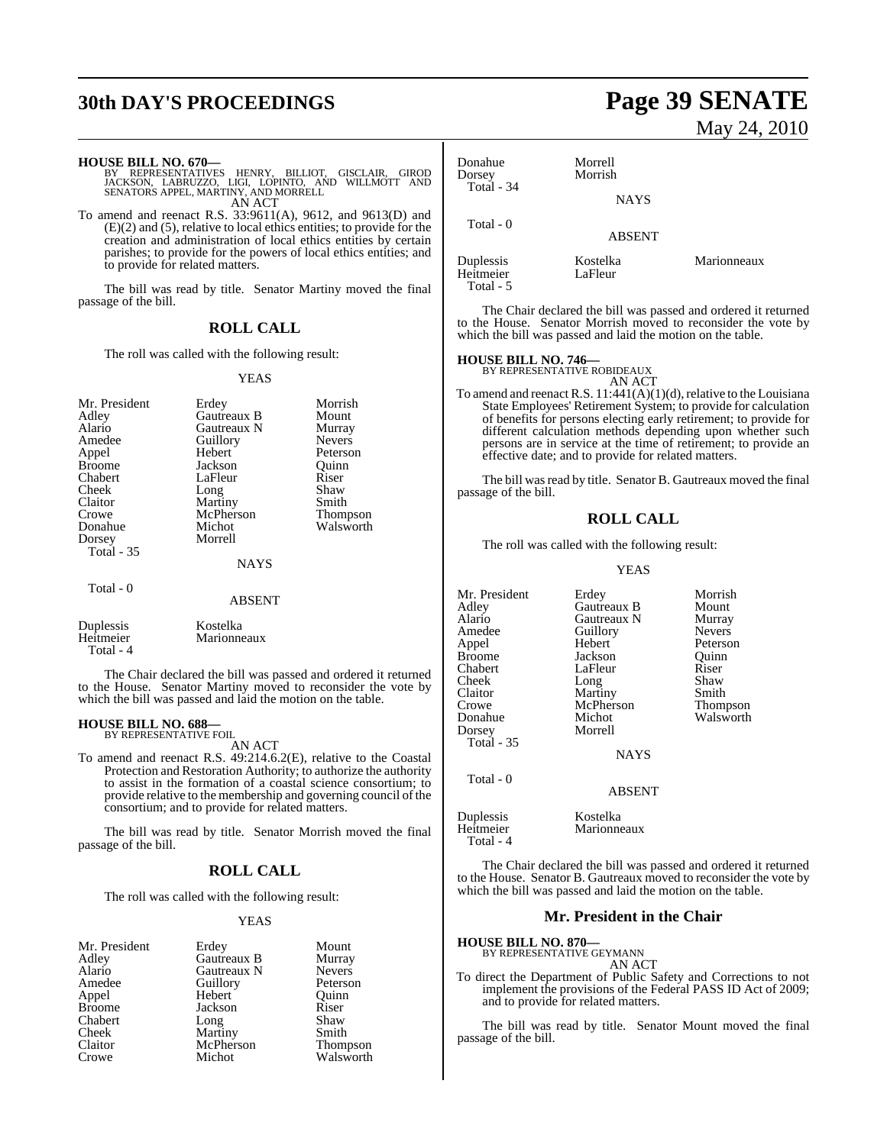# **30th DAY'S PROCEEDINGS Page 39 SENATE**

**HOUSE BILL NO. 670—**

| BY REPRESENTATIVES HENRY, BILLIOT, GISCLAIR, GIROD |        |  |  |
|----------------------------------------------------|--------|--|--|
| JACKSON, LABRUZZO, LIGI, LOPINTO, AND WILLMOTT AND |        |  |  |
| SENATORS APPEL, MARTINY, AND MORRELL               |        |  |  |
|                                                    | AN ACT |  |  |

To amend and reenact R.S. 33:9611(A), 9612, and 9613(D) and (E)(2) and (5), relative to local ethics entities; to provide for the creation and administration of local ethics entities by certain parishes; to provide for the powers of local ethics entities; and to provide for related matters.

The bill was read by title. Senator Martiny moved the final passage of the bill.

#### **ROLL CALL**

The roll was called with the following result:

#### YEAS

| Mr. President<br>Adley<br>Alario<br>Amedee<br>Appel<br><b>Broome</b><br>Chabert<br>Cheek<br>Claitor<br>Crowe<br>Donahue<br>Dorsey<br>Total - 35 | Erdey<br>Gautreaux B<br>Gautreaux N<br>Guillory<br>Hebert<br>Jackson<br>LaFleur<br>Long<br>Martiny<br>McPherson<br>Michot<br>Morrell<br><b>NAYS</b> | Morrish<br>Mount<br>Murray<br><b>Nevers</b><br>Peterson<br>Ouinn<br>Riser<br>Shaw<br>Smith<br>Thompson<br>Walsworth |
|-------------------------------------------------------------------------------------------------------------------------------------------------|-----------------------------------------------------------------------------------------------------------------------------------------------------|---------------------------------------------------------------------------------------------------------------------|
|                                                                                                                                                 |                                                                                                                                                     |                                                                                                                     |
| Total - 0                                                                                                                                       | <b>ABSENT</b>                                                                                                                                       |                                                                                                                     |
| $D_{\text{total}}$                                                                                                                              | $V = -11$                                                                                                                                           |                                                                                                                     |

Duplessis Kostelka<br>
Heitmeier Marionne Marionneaux Total - 4

The Chair declared the bill was passed and ordered it returned to the House. Senator Martiny moved to reconsider the vote by which the bill was passed and laid the motion on the table.

# **HOUSE BILL NO. 688—** BY REPRESENTATIVE FOIL

AN ACT

To amend and reenact R.S. 49:214.6.2(E), relative to the Coastal Protection and Restoration Authority; to authorize the authority to assist in the formation of a coastal science consortium; to provide relative to the membership and governing council of the consortium; and to provide for related matters.

The bill was read by title. Senator Morrish moved the final passage of the bill.

### **ROLL CALL**

The roll was called with the following result:

#### YEAS

| Mr. President | Erdey       | Mount         |
|---------------|-------------|---------------|
| Adley         | Gautreaux B | Murray        |
| Alario        | Gautreaux N | <b>Nevers</b> |
| Amedee        | Guillory    | Peterson      |
| Appel         | Hebert      | Ouinn         |
| Broome        | Jackson     | Riser         |
| Chabert       | Long        | Shaw          |
| Cheek         | Martiny     | Smith         |
| Claitor       | McPherson   | Thompson      |
| Crowe         | Michot      | Walsworth     |

# May 24, 2010

| Donahue<br>Dorsey<br>Total $-34$ | Morrell<br>Morrish           |             |
|----------------------------------|------------------------------|-------------|
| Total - 0                        | <b>NAYS</b><br><b>ABSENT</b> |             |
| Duplessis<br>Heitmeier           | Kostelka<br>LaFleur          | Marionneaux |

The Chair declared the bill was passed and ordered it returned to the House. Senator Morrish moved to reconsider the vote by which the bill was passed and laid the motion on the table.

# **HOUSE BILL NO. 746—** BY REPRESENTATIVE ROBIDEAUX

Total - 5

AN ACT

To amend and reenact R.S.  $11:441(A)(1)(d)$ , relative to the Louisiana State Employees' Retirement System; to provide for calculation of benefits for persons electing early retirement; to provide for different calculation methods depending upon whether such persons are in service at the time of retirement; to provide an effective date; and to provide for related matters.

The bill was read by title. Senator B. Gautreaux moved the final passage of the bill.

### **ROLL CALL**

The roll was called with the following result:

#### YEAS

Walsworth

Mr. President Erdey Morrish<br>Adley Gautreaux B Mount Adley Gautreaux B Mount Alario Gautreaux N Murray Amedee Guillory<br>
Appel Hebert Appel Hebert Peterson Broome Jackson Quinn<br>
Chabert LaFleur Riser LaFleur Riser<br>Long Shaw Cheek Long Shaw<br>Claitor Martiny Smith Claitor Martiny Smith<br>Crowe McPherson Thompson Crowe McPherson<br>Donahue Michot Dorsey Morrell Total - 35 NAYS Total - 0 ABSENT

Duplessis Kostelka Total - 4

The Chair declared the bill was passed and ordered it returned to the House. Senator B. Gautreaux moved to reconsider the vote by which the bill was passed and laid the motion on the table.

Marionneaux

#### **Mr. President in the Chair**

| <b>HOUSE BILL NO. 870—</b>                                                                                                                                              |  |
|-------------------------------------------------------------------------------------------------------------------------------------------------------------------------|--|
| BY REPRESENTATIVE GEYMANN                                                                                                                                               |  |
| AN ACT                                                                                                                                                                  |  |
| To direct the Department of Public Safety and Corrections to not<br>implement the provisions of the Federal PASS ID Act of 2009;<br>and to provide for related matters. |  |

The bill was read by title. Senator Mount moved the final passage of the bill.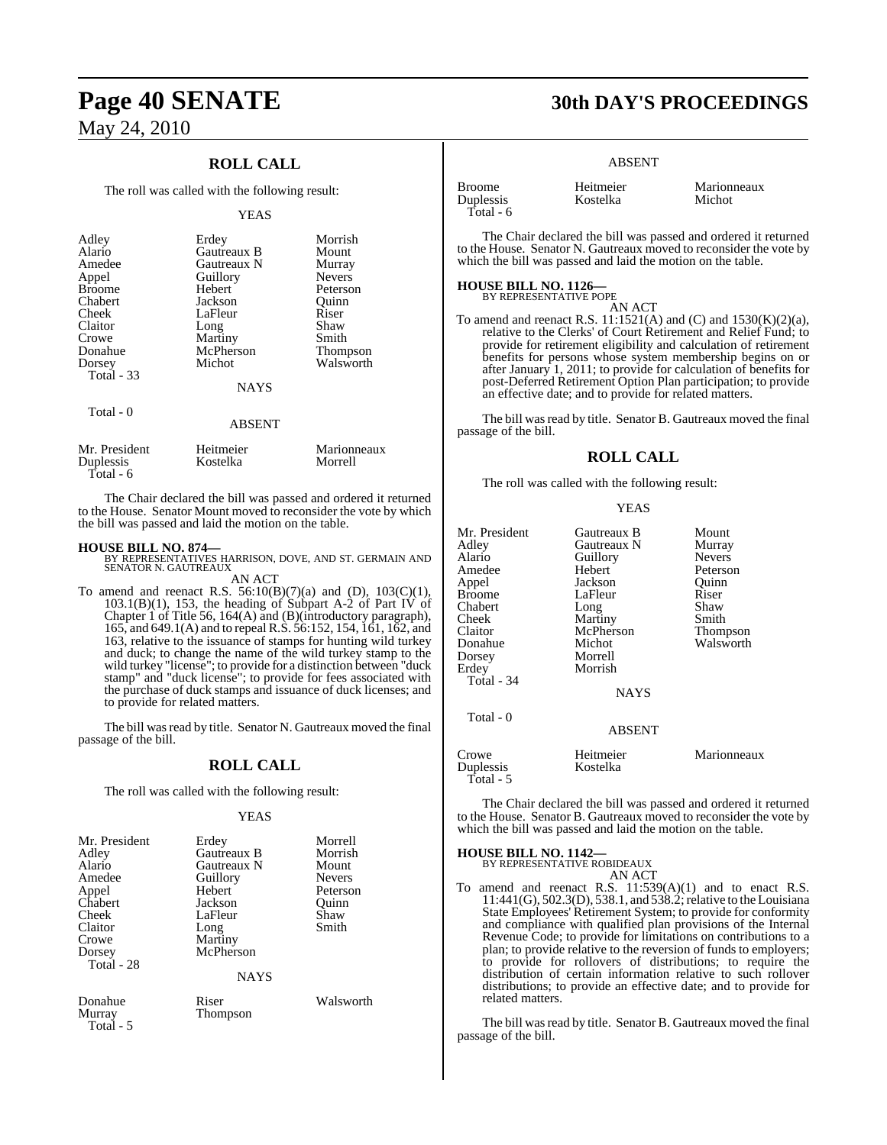## **ROLL CALL**

The roll was called with the following result:

#### YEAS

| Adley<br>Alario<br>Amedee<br>Appel<br><b>Broome</b><br>Chabert<br>Cheek<br>Claitor<br>Crowe<br>Donahue<br>Dorsey<br>Total - 33 | Erdey<br>Gautreaux B<br>Gautreaux N<br>Guillory<br>Hebert<br>Jackson<br>LaFleur<br>Long<br>Martiny<br>McPherson<br>Michot<br><b>NAYS</b> | Morrish<br>Mount<br>Murray<br><b>Nevers</b><br>Peterson<br>Quinn<br>Riser<br>Shaw<br>Smith<br><b>Thompson</b><br>Walsworth |
|--------------------------------------------------------------------------------------------------------------------------------|------------------------------------------------------------------------------------------------------------------------------------------|----------------------------------------------------------------------------------------------------------------------------|
| Total - 0                                                                                                                      | <b>ABSENT</b>                                                                                                                            |                                                                                                                            |
| Mr. President                                                                                                                  | Heitmeier                                                                                                                                | Marionneaux                                                                                                                |

The Chair declared the bill was passed and ordered it returned to the House. Senator Mount moved to reconsider the vote by which the bill was passed and laid the motion on the table.

Duplessis Kostelka Morrell

Total - 6

**HOUSE BILL NO. 874—** BY REPRESENTATIVES HARRISON, DOVE, AND ST. GERMAIN AND SENATOR N. GAUTREAUX AN ACT

To amend and reenact R.S.  $56:10(B)(7)(a)$  and (D),  $103(C)(1)$ , 103.1(B)(1), 153, the heading of Subpart A-2 of Part IV of Chapter 1 of Title 56, 164(A) and (B)(introductory paragraph), 165, and 649.1(A) and to repeal R.S. 56:152, 154, 161, 162, and 163, relative to the issuance of stamps for hunting wild turkey and duck; to change the name of the wild turkey stamp to the wild turkey "license"; to provide for a distinction between "duck stamp" and "duck license"; to provide for fees associated with the purchase of duck stamps and issuance of duck licenses; and to provide for related matters.

The bill was read by title. Senator N. Gautreaux moved the final passage of the bill.

#### **ROLL CALL**

The roll was called with the following result:

#### YEAS

| Mr. President<br>Adley<br>Alario<br>Amedee<br>Appel<br>Chabert<br>Cheek<br>Claitor<br>Crowe<br>Dorsey<br>Total - 28 | Erdey<br>Gautreaux B<br>Gautreaux N<br>Guillory<br>Hebert<br>Jackson<br>LaFleur<br>Long<br>Martiny<br>McPherson | Morrell<br>Morrish<br>Mount<br><b>Nevers</b><br>Peterson<br>Ouinn<br>Shaw<br>Smith |
|---------------------------------------------------------------------------------------------------------------------|-----------------------------------------------------------------------------------------------------------------|------------------------------------------------------------------------------------|
|                                                                                                                     | <b>NAYS</b>                                                                                                     |                                                                                    |
| $D = -1$                                                                                                            | n:                                                                                                              | $117 - 1 - 1 - 1$                                                                  |

Total - 5

Donahue Riser Walsworth<br>
Murray Thompson **Thompson** 

# **Page 40 SENATE 30th DAY'S PROCEEDINGS**

#### ABSENT

Kostelka

| Broome    |  |
|-----------|--|
| Duplessis |  |
| Total - 6 |  |

Broome Heitmeier Marionneaux<br>
Duplessis Kostelka Michot

The Chair declared the bill was passed and ordered it returned to the House. Senator N. Gautreaux moved to reconsider the vote by which the bill was passed and laid the motion on the table.

#### **HOUSE BILL NO. 1126—**

BY REPRESENTATIVE POPE AN ACT

To amend and reenact R.S.  $11:1521(A)$  and  $(C)$  and  $1530(K)(2)(a)$ , relative to the Clerks' of Court Retirement and Relief Fund; to provide for retirement eligibility and calculation of retirement benefits for persons whose system membership begins on or after January 1, 2011; to provide for calculation of benefits for post-Deferred Retirement Option Plan participation; to provide an effective date; and to provide for related matters.

The bill was read by title. Senator B. Gautreaux moved the final passage of the bill.

#### **ROLL CALL**

The roll was called with the following result:

| v |
|---|
|---|

| Mr. President<br>Adlev<br>Alario<br>Amedee<br>Appel<br>Broome<br>Chabert<br>Cheek<br>Claitor<br>Donahue<br>Dorsey<br>Erdev | Gautreaux B<br>Gautreaux N<br>Guillory<br>Hebert<br>Jackson<br>LaFleur<br>Long<br>Martiny<br>McPherson<br>Michot<br>Morrell<br>Morrish | Mount<br>Murray<br><b>Nevers</b><br>Peterson<br>Quinn<br>Riser<br>Shaw<br>Smith<br>Thompson<br>Walsworth |
|----------------------------------------------------------------------------------------------------------------------------|----------------------------------------------------------------------------------------------------------------------------------------|----------------------------------------------------------------------------------------------------------|
| <b>Total - 34</b>                                                                                                          | <b>NAYS</b>                                                                                                                            |                                                                                                          |
| Total - 0                                                                                                                  | <b>ABSENT</b>                                                                                                                          |                                                                                                          |
| Crowe<br>Duplessis<br>Total - 5                                                                                            | Heitmeier<br>Kostelka                                                                                                                  | Marionneaux                                                                                              |

The Chair declared the bill was passed and ordered it returned to the House. Senator B. Gautreaux moved to reconsider the vote by which the bill was passed and laid the motion on the table.

# **HOUSE BILL NO. 1142—** BY REPRESENTATIVE ROBIDEAUX

AN ACT

- To amend and reenact R.S. 11:539(A)(1) and to enact R.S. 11:441(G), 502.3(D), 538.1, and 538.2; relative to the Louisiana State Employees' Retirement System; to provide for conformity
	- and compliance with qualified plan provisions of the Internal Revenue Code; to provide for limitations on contributions to a plan; to provide relative to the reversion of funds to employers; to provide for rollovers of distributions; to require the distribution of certain information relative to such rollover distributions; to provide an effective date; and to provide for related matters.

The bill was read by title. Senator B. Gautreaux moved the final passage of the bill.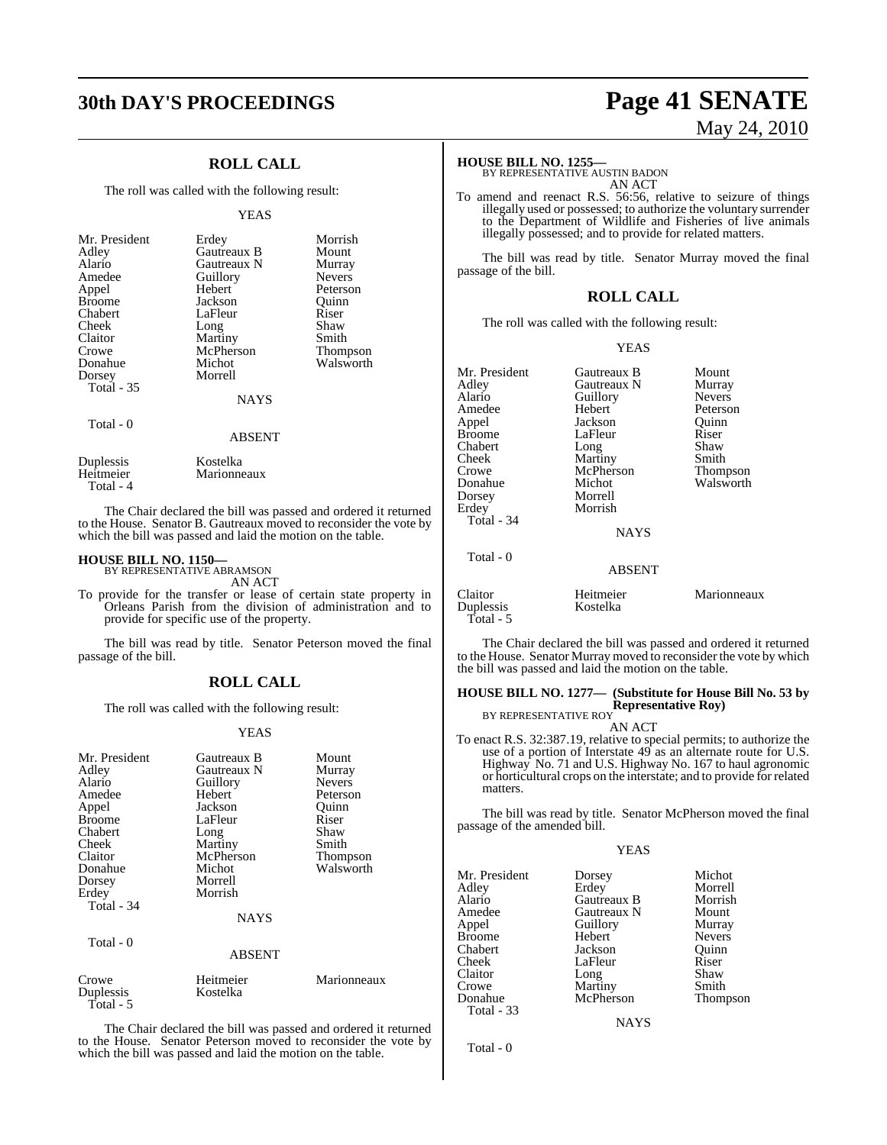# **30th DAY'S PROCEEDINGS Page 41 SENATE**

## **ROLL CALL**

The roll was called with the following result:

#### YEAS

| Mr. President<br>Adley<br>Alario<br>Amedee<br>Appel<br><b>Broome</b><br>Chabert<br>Cheek<br>Claitor<br>Crowe<br>Donahue<br>Dorsey<br><b>Total</b> - 35 | Erdey<br>Gautreaux B<br>Gautreaux N<br>Guillory<br>Hebert<br>Jackson<br>LaFleur<br>Long<br>Martiny<br>McPherson<br>Michot<br>Morrell<br><b>NAYS</b> | Morrish<br>Mount<br>Murray<br><b>Nevers</b><br>Peterson<br>Ouinn<br>Riser<br>Shaw<br>Smith<br><b>Thompson</b><br>Walsworth |
|--------------------------------------------------------------------------------------------------------------------------------------------------------|-----------------------------------------------------------------------------------------------------------------------------------------------------|----------------------------------------------------------------------------------------------------------------------------|
| Total - 0                                                                                                                                              | <b>ABSENT</b>                                                                                                                                       |                                                                                                                            |
| Duplessis                                                                                                                                              | Kostelka                                                                                                                                            |                                                                                                                            |

The Chair declared the bill was passed and ordered it returned to the House. Senator B. Gautreaux moved to reconsider the vote by which the bill was passed and laid the motion on the table.

# **HOUSE BILL NO. 1150—** BY REPRESENTATIVE ABRAMSON

Total - 4

Heitmeier Marionneaux

AN ACT

To provide for the transfer or lease of certain state property in Orleans Parish from the division of administration and to provide for specific use of the property.

The bill was read by title. Senator Peterson moved the final passage of the bill.

#### **ROLL CALL**

The roll was called with the following result:

#### YEAS

| Mr. President | Gautreaux B   | Mount         |
|---------------|---------------|---------------|
| Adley         | Gautreaux N   | Murray        |
| Alario        | Guillory      | <b>Nevers</b> |
| Amedee        | Hebert        | Peterson      |
| Appel         | Jackson       | Quinn         |
| <b>Broome</b> | LaFleur       | Riser         |
| Chabert       | Long          | Shaw          |
| Cheek         | Martiny       | Smith         |
| Claitor       | McPherson     | Thompson      |
| Donahue       | Michot        | Walsworth     |
| Dorsey        | Morrell       |               |
| Erdey         | Morrish       |               |
| Total - 34    |               |               |
|               | <b>NAYS</b>   |               |
| Total - 0     |               |               |
|               | <b>ABSENT</b> |               |
| Crowe         | Heitmeier     | Marionneaux   |
| Duplessis     | Kostelka      |               |
| Total - 5     |               |               |

The Chair declared the bill was passed and ordered it returned to the House. Senator Peterson moved to reconsider the vote by which the bill was passed and laid the motion on the table.

# May 24, 2010

#### **HOUSE BILL NO. 1255—**

BY REPRESENTATIVE AUSTIN BADON AN ACT

To amend and reenact R.S. 56:56, relative to seizure of things illegally used or possessed; to authorize the voluntary surrender to the Department of Wildlife and Fisheries of live animals illegally possessed; and to provide for related matters.

The bill was read by title. Senator Murray moved the final passage of the bill.

#### **ROLL CALL**

The roll was called with the following result:

#### YEAS

| Mr. President        | Gautreaux B           | Mount           |
|----------------------|-----------------------|-----------------|
| Adley                | Gautreaux N           | Murray          |
| Alario               | Guillory              | <b>Nevers</b>   |
| Amedee               | Hebert                | Peterson        |
| Appel                | Jackson               | Quinn           |
| <b>Broome</b>        | LaFleur               | Riser           |
| Chabert              | Long                  | Shaw            |
| Cheek                | Martiny               | Smith           |
| Crowe                | McPherson             | <b>Thompson</b> |
| Donahue              | Michot                | Walsworth       |
| Dorsey               | Morrell               |                 |
| Erdey                | Morrish               |                 |
| Total - $34$         |                       |                 |
|                      | <b>NAYS</b>           |                 |
| Total - 0            |                       |                 |
|                      | <b>ABSENT</b>         |                 |
| Claitor<br>Duplessis | Heitmeier<br>Kostelka | Marionneaux     |

The Chair declared the bill was passed and ordered it returned to the House. Senator Murray moved to reconsider the vote by which the bill was passed and laid the motion on the table.

## **HOUSE BILL NO. 1277— (Substitute for House Bill No. 53 by Representative Roy)** BY REPRESENTATIVE ROY

AN ACT

To enact R.S. 32:387.19, relative to special permits; to authorize the use of a portion of Interstate 49 as an alternate route for U.S. Highway No. 71 and U.S. Highway No. 167 to haul agronomic or horticultural crops on the interstate; and to provide for related matters.

The bill was read by title. Senator McPherson moved the final passage of the amended bill.

YEAS

| Mr. President | Dorsey      | Michot  |
|---------------|-------------|---------|
| Adley         | Erdev       | Morrell |
| Alario        | Gautreaux B | Morrisl |
| Amedee        | Gautreaux N | Mount   |

| Erdey       | Morrell       |
|-------------|---------------|
| Gautreaux B | Morrish       |
| Gautreaux N | Mount         |
| Guillory    | Murray        |
| Hebert      | <b>Nevers</b> |
| Jackson     | Ouinn         |
| LaFleur     | Riser         |
| Long        | Shaw          |
| Martiny     | Smith         |
| McPherson   | Thompson      |

**NAYS** 

Total - 0

Total - 33

Appel Guillory<br>
Broome Hebert

Chabert Jackson<br>Cheek LaFleur

Crowe Martiny<br>Donahue McPher

Broome<br>Chabert

Claitor

Total - 5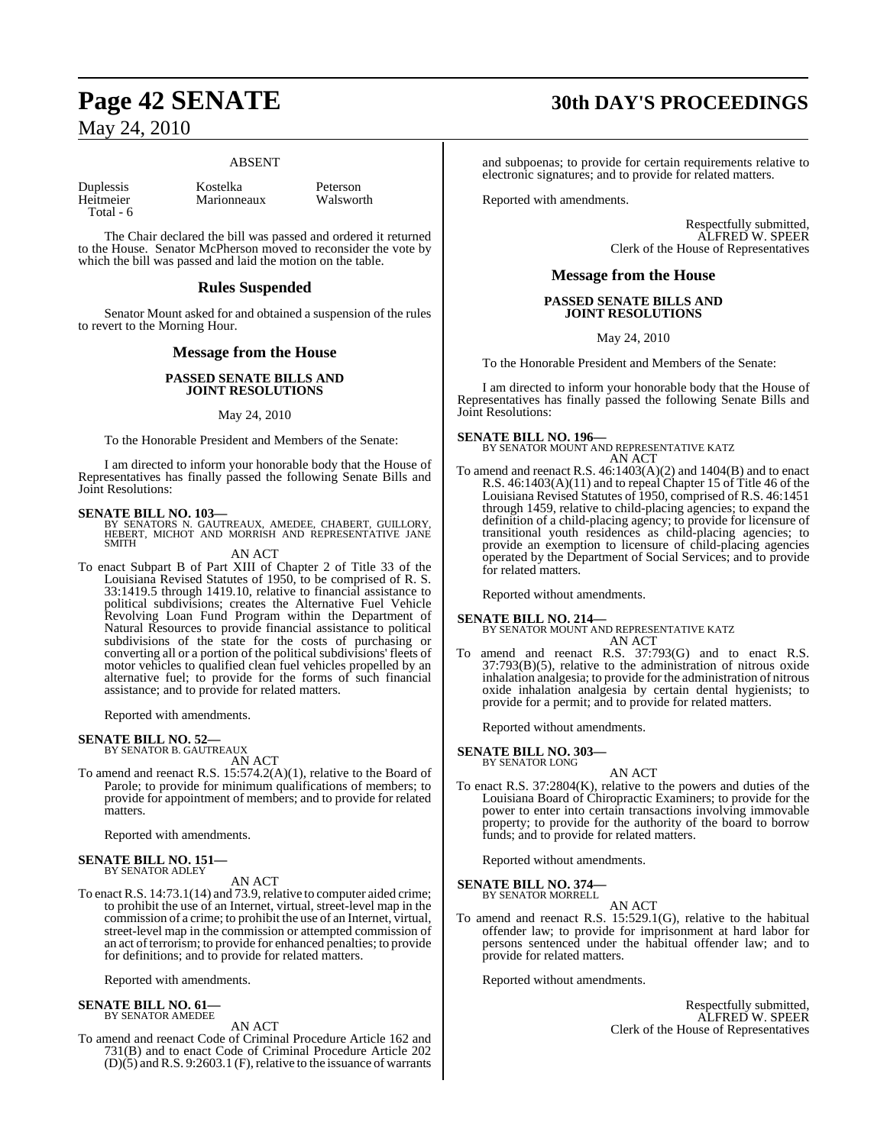#### ABSENT

Total - 6

Duplessis Kostelka Peterson Marionneaux

The Chair declared the bill was passed and ordered it returned to the House. Senator McPherson moved to reconsider the vote by which the bill was passed and laid the motion on the table.

#### **Rules Suspended**

Senator Mount asked for and obtained a suspension of the rules to revert to the Morning Hour.

## **Message from the House**

#### **PASSED SENATE BILLS AND JOINT RESOLUTIONS**

#### May 24, 2010

To the Honorable President and Members of the Senate:

I am directed to inform your honorable body that the House of Representatives has finally passed the following Senate Bills and Joint Resolutions:

**SENATE BILL NO. 103—**<br>BY SENATORS N. GAUTREAUX, AMEDEE, CHABERT, GUILLORY,<br>HEBERT, MICHOT AND MORRISH AND REPRESENTATIVE JANE SMITH

#### AN ACT

To enact Subpart B of Part XIII of Chapter 2 of Title 33 of the Louisiana Revised Statutes of 1950, to be comprised of R. S. 33:1419.5 through 1419.10, relative to financial assistance to political subdivisions; creates the Alternative Fuel Vehicle Revolving Loan Fund Program within the Department of Natural Resources to provide financial assistance to political subdivisions of the state for the costs of purchasing or converting all or a portion of the political subdivisions' fleets of motor vehicles to qualified clean fuel vehicles propelled by an alternative fuel; to provide for the forms of such financial assistance; and to provide for related matters.

Reported with amendments.

# **SENATE BILL NO. 52—** BY SENATOR B. GAUTREAUX

AN ACT

To amend and reenact R.S. 15:574.2(A)(1), relative to the Board of Parole; to provide for minimum qualifications of members; to provide for appointment of members; and to provide for related matters.

Reported with amendments.

# **SENATE BILL NO. 151—** BY SENATOR ADLEY

#### AN ACT

To enact R.S. 14:73.1(14) and 73.9, relative to computer aided crime; to prohibit the use of an Internet, virtual, street-level map in the commission of a crime; to prohibit the use of an Internet, virtual, street-level map in the commission or attempted commission of an act of terrorism; to provide for enhanced penalties; to provide for definitions; and to provide for related matters.

Reported with amendments.

#### **SENATE BILL NO. 61—** BY SENATOR AMEDEE

AN ACT

To amend and reenact Code of Criminal Procedure Article 162 and 731(B) and to enact Code of Criminal Procedure Article 202  $(D)(5)$  and R.S. 9:2603.1 (F), relative to the issuance of warrants

# **Page 42 SENATE 30th DAY'S PROCEEDINGS**

and subpoenas; to provide for certain requirements relative to electronic signatures; and to provide for related matters.

Reported with amendments.

Respectfully submitted, ALFRED W. SPEER Clerk of the House of Representatives

### **Message from the House**

#### **PASSED SENATE BILLS AND JOINT RESOLUTIONS**

May 24, 2010

To the Honorable President and Members of the Senate:

I am directed to inform your honorable body that the House of Representatives has finally passed the following Senate Bills and Joint Resolutions:

**SENATE BILL NO. 196—** BY SENATOR MOUNT AND REPRESENTATIVE KATZ AN ACT

To amend and reenact R.S. 46:1403(A)(2) and 1404(B) and to enact R.S. 46:1403(A)(11) and to repeal Chapter 15 of Title 46 of the Louisiana Revised Statutes of 1950, comprised of R.S. 46:1451 through 1459, relative to child-placing agencies; to expand the definition of a child-placing agency; to provide for licensure of transitional youth residences as child-placing agencies; to provide an exemption to licensure of child-placing agencies operated by the Department of Social Services; and to provide for related matters.

Reported without amendments.

#### **SENATE BILL NO. 214—**

BY SENATOR MOUNT AND REPRESENTATIVE KATZ AN ACT

To amend and reenact R.S. 37:793(G) and to enact R.S.  $37:793(B)(5)$ , relative to the administration of nitrous oxide inhalation analgesia; to provide for the administration of nitrous oxide inhalation analgesia by certain dental hygienists; to provide for a permit; and to provide for related matters.

Reported without amendments.

#### **SENATE BILL NO. 303—** BY SENATOR LONG

AN ACT

To enact R.S. 37:2804(K), relative to the powers and duties of the Louisiana Board of Chiropractic Examiners; to provide for the power to enter into certain transactions involving immovable property; to provide for the authority of the board to borrow funds; and to provide for related matters.

Reported without amendments.

**SENATE BILL NO. 374—**

BY SENATOR MORRELL

AN ACT To amend and reenact R.S. 15:529.1(G), relative to the habitual offender law; to provide for imprisonment at hard labor for persons sentenced under the habitual offender law; and to provide for related matters.

Reported without amendments.

Respectfully submitted, ALFRED W. SPEER Clerk of the House of Representatives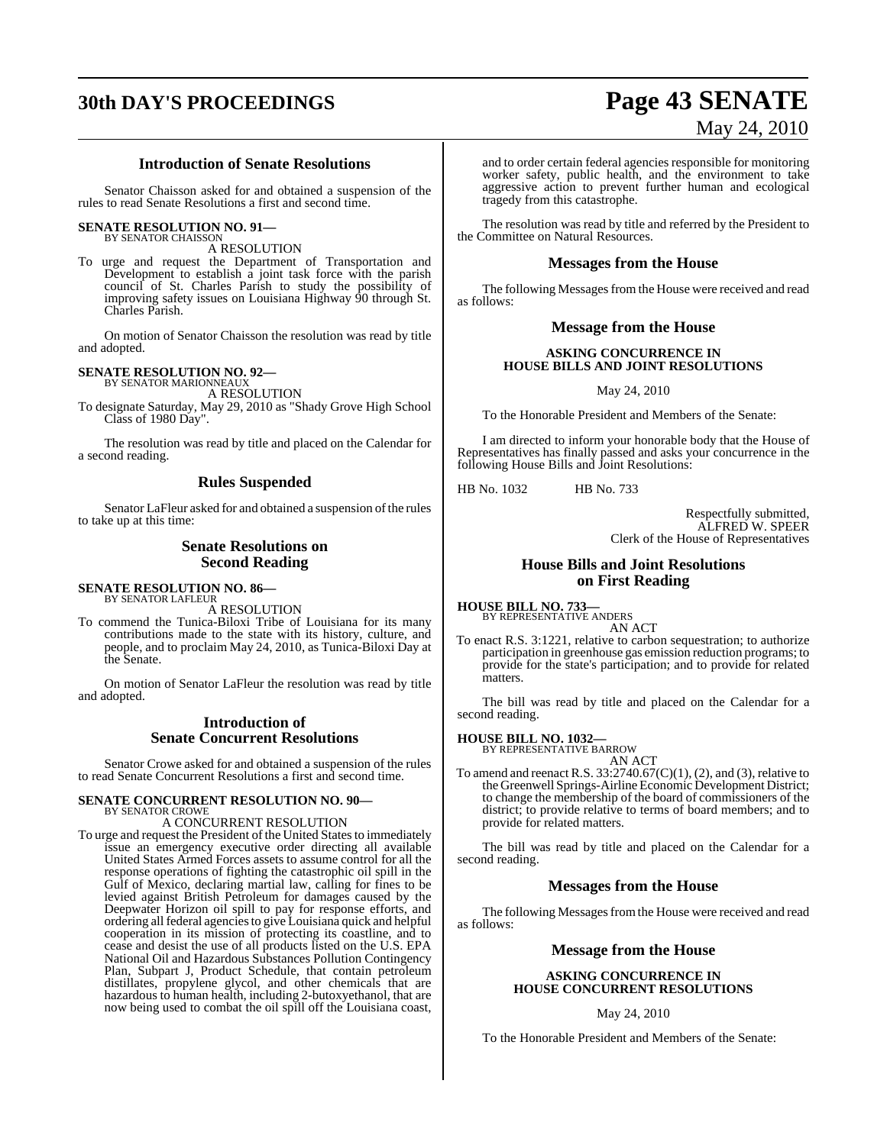# **30th DAY'S PROCEEDINGS Page 43 SENATE**

# May 24, 2010

#### **Introduction of Senate Resolutions**

Senator Chaisson asked for and obtained a suspension of the rules to read Senate Resolutions a first and second time.

#### **SENATE RESOLUTION NO. 91—**

BY SENATOR CHAISSON A RESOLUTION

To urge and request the Department of Transportation and Development to establish a joint task force with the parish council of St. Charles Parish to study the possibility of improving safety issues on Louisiana Highway 90 through St. Charles Parish.

On motion of Senator Chaisson the resolution was read by title and adopted.

## **SENATE RESOLUTION NO. 92—**

BY SENATOR MARIONNEAUX A RESOLUTION

To designate Saturday, May 29, 2010 as "Shady Grove High School Class of 1980 Day".

The resolution was read by title and placed on the Calendar for a second reading.

#### **Rules Suspended**

Senator LaFleur asked for and obtained a suspension of the rules to take up at this time:

## **Senate Resolutions on Second Reading**

#### **SENATE RESOLUTION NO. 86—** BY SENATOR LAFLEUR

A RESOLUTION

To commend the Tunica-Biloxi Tribe of Louisiana for its many contributions made to the state with its history, culture, and people, and to proclaim May 24, 2010, as Tunica-Biloxi Day at the Senate.

On motion of Senator LaFleur the resolution was read by title and adopted.

### **Introduction of Senate Concurrent Resolutions**

Senator Crowe asked for and obtained a suspension of the rules to read Senate Concurrent Resolutions a first and second time.

#### **SENATE CONCURRENT RESOLUTION NO. 90—** BY SENATOR CROWE

A CONCURRENT RESOLUTION

To urge and request the President of the United States to immediately issue an emergency executive order directing all available United States Armed Forces assets to assume control for all the response operations of fighting the catastrophic oil spill in the Gulf of Mexico, declaring martial law, calling for fines to be levied against British Petroleum for damages caused by the Deepwater Horizon oil spill to pay for response efforts, and ordering all federal agenciesto give Louisiana quick and helpful cooperation in its mission of protecting its coastline, and to cease and desist the use of all products listed on the U.S. EPA National Oil and Hazardous Substances Pollution Contingency Plan, Subpart J, Product Schedule, that contain petroleum distillates, propylene glycol, and other chemicals that are hazardous to human health, including 2-butoxyethanol, that are now being used to combat the oil spill off the Louisiana coast,

and to order certain federal agencies responsible for monitoring worker safety, public health, and the environment to take aggressive action to prevent further human and ecological tragedy from this catastrophe.

The resolution was read by title and referred by the President to the Committee on Natural Resources.

#### **Messages from the House**

The following Messages from the House were received and read as follows:

#### **Message from the House**

#### **ASKING CONCURRENCE IN HOUSE BILLS AND JOINT RESOLUTIONS**

May 24, 2010

To the Honorable President and Members of the Senate:

I am directed to inform your honorable body that the House of Representatives has finally passed and asks your concurrence in the following House Bills and Joint Resolutions:

HB No. 1032 HB No. 733

Respectfully submitted, ALFRED W. SPEER Clerk of the House of Representatives

#### **House Bills and Joint Resolutions on First Reading**

**HOUSE BILL NO. 733—** BY REPRESENTATIVE ANDERS

AN ACT

To enact R.S. 3:1221, relative to carbon sequestration; to authorize participation in greenhouse gas emission reduction programs; to provide for the state's participation; and to provide for related matters.

The bill was read by title and placed on the Calendar for a second reading.

#### **HOUSE BILL NO. 1032—**

BY REPRESENTATIVE BARROW AN ACT

To amend and reenact R.S.  $33:2740.67(C)(1)$ , (2), and (3), relative to the Greenwell Springs-Airline Economic Development District; to change the membership of the board of commissioners of the district; to provide relative to terms of board members; and to provide for related matters.

The bill was read by title and placed on the Calendar for a second reading.

### **Messages from the House**

The following Messages from the House were received and read as follows:

### **Message from the House**

#### **ASKING CONCURRENCE IN HOUSE CONCURRENT RESOLUTIONS**

#### May 24, 2010

To the Honorable President and Members of the Senate: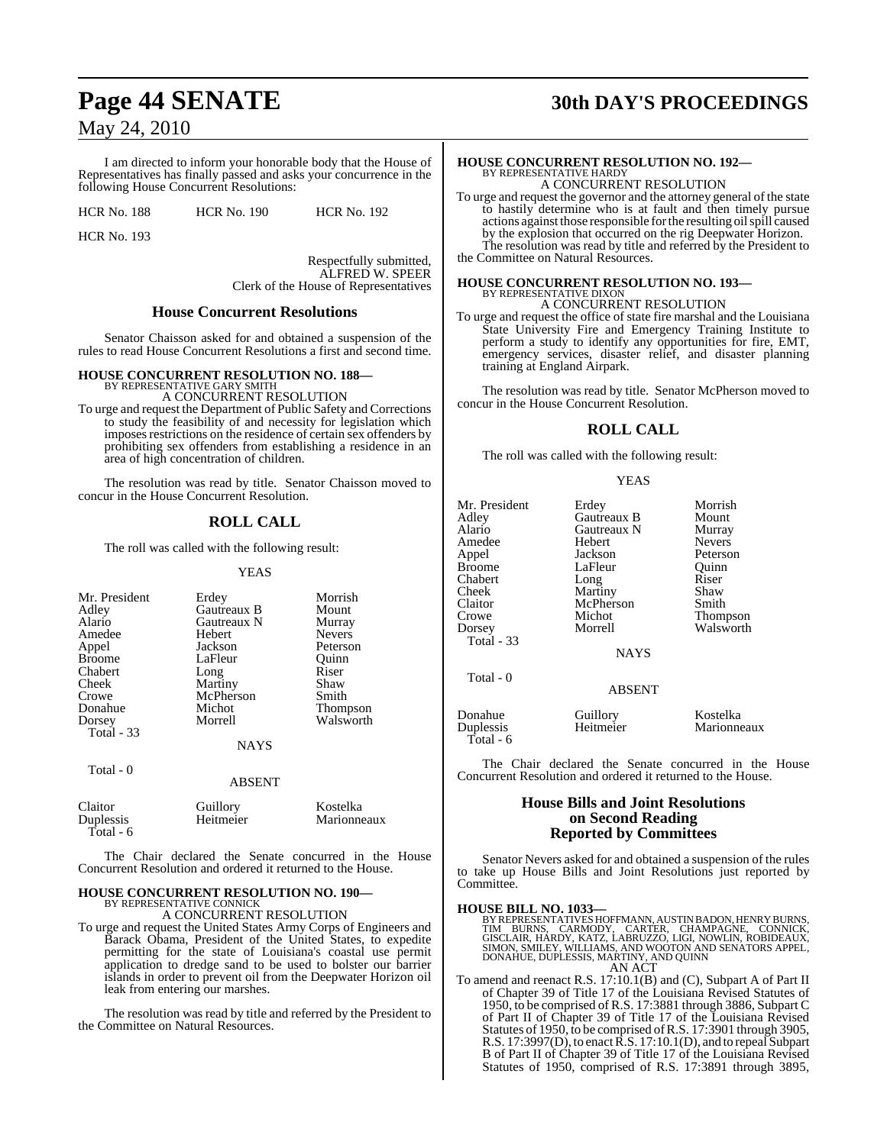I am directed to inform your honorable body that the House of Representatives has finally passed and asks your concurrence in the following House Concurrent Resolutions:

HCR No. 188 HCR No. 190 HCR No. 192

HCR No. 193

Total - 6

Respectfully submitted, ALFRED W. SPEER Clerk of the House of Representatives

#### **House Concurrent Resolutions**

Senator Chaisson asked for and obtained a suspension of the rules to read House Concurrent Resolutions a first and second time.

# **HOUSE CONCURRENT RESOLUTION NO. 188—** BY REPRESENTATIVE GARY SMITH

A CONCURRENT RESOLUTION

To urge and request the Department of Public Safety and Corrections to study the feasibility of and necessity for legislation which imposes restrictions on the residence of certain sex offenders by prohibiting sex offenders from establishing a residence in an area of high concentration of children.

The resolution was read by title. Senator Chaisson moved to concur in the House Concurrent Resolution.

### **ROLL CALL**

The roll was called with the following result:

#### YEAS

| Mr. President     | Erdey         | Morrish       |
|-------------------|---------------|---------------|
| Adley             | Gautreaux B   | Mount         |
| Alario            | Gautreaux N   | Murray        |
| Amedee            | Hebert        | <b>Nevers</b> |
| Appel             | Jackson       | Peterson      |
| <b>Broome</b>     | LaFleur       | Ouinn         |
| Chabert           | Long          | Riser         |
| Cheek             | Martiny       | Shaw          |
| Crowe             | McPherson     | Smith         |
| Donahue           | Michot        | Thompson      |
| Dorsey            | Morrell       | Walsworth     |
| <b>Total - 33</b> |               |               |
|                   | <b>NAYS</b>   |               |
| Total - 0         |               |               |
|                   | <b>ABSENT</b> |               |
| Claitor           | Guillory      | Kostelka      |
| Duplessis         | Heitmeier     | Marionneaux   |

The Chair declared the Senate concurred in the House Concurrent Resolution and ordered it returned to the House.

#### **HOUSE CONCURRENT RESOLUTION NO. 190—** BY REPRESENTATIVE CONNICK

A CONCURRENT RESOLUTION

To urge and request the United States Army Corps of Engineers and Barack Obama, President of the United States, to expedite permitting for the state of Louisiana's coastal use permit application to dredge sand to be used to bolster our barrier islands in order to prevent oil from the Deepwater Horizon oil leak from entering our marshes.

The resolution was read by title and referred by the President to the Committee on Natural Resources.

# **Page 44 SENATE 30th DAY'S PROCEEDINGS**

## **HOUSE CONCURRENT RESOLUTION NO. 192—** BY REPRESENTATIVE HARDY A CONCURRENT RESOLUTION

To urge and request the governor and the attorney general of the state to hastily determine who is at fault and then timely pursue actions against those responsible forthe resulting oilspill caused by the explosion that occurred on the rig Deepwater Horizon. The resolution was read by title and referred by the President to

the Committee on Natural Resources.

#### **HOUSE CONCURRENT RESOLUTION NO. 193—** BY REPRESENTATIVE DIXO

A CONCURRENT RESOLUTION

To urge and request the office of state fire marshal and the Louisiana State University Fire and Emergency Training Institute to perform a study to identify any opportunities for fire, EMT, emergency services, disaster relief, and disaster planning training at England Airpark.

The resolution was read by title. Senator McPherson moved to concur in the House Concurrent Resolution.

## **ROLL CALL**

The roll was called with the following result:

#### YEAS

| Mr. President<br>Adley<br>Alario<br>Amedee<br>Appel<br><b>Broome</b><br>Chabert<br>Cheek<br>Claitor<br>Crowe<br>Dorsey<br>Total - 33<br>Total - 0 | Erdey<br>Gautreaux B<br>Gautreaux N<br>Hebert<br>Jackson<br>LaFleur<br>Long<br>Martiny<br>McPherson<br>Michot<br>Morrell<br><b>NAYS</b> | Morrish<br>Mount<br>Murray<br><b>Nevers</b><br>Peterson<br>Quinn<br>Riser<br>Shaw<br>Smith<br>Thompson<br>Walsworth |
|---------------------------------------------------------------------------------------------------------------------------------------------------|-----------------------------------------------------------------------------------------------------------------------------------------|---------------------------------------------------------------------------------------------------------------------|
|                                                                                                                                                   | <b>ABSENT</b>                                                                                                                           |                                                                                                                     |
| Donahue<br>Duplessis<br>Total - 6                                                                                                                 | Guillory<br>Heitmeier                                                                                                                   | Kostelka<br>Marionneaux                                                                                             |

The Chair declared the Senate concurred in the House Concurrent Resolution and ordered it returned to the House.

#### **House Bills and Joint Resolutions on Second Reading Reported by Committees**

Senator Nevers asked for and obtained a suspension of the rules to take up House Bills and Joint Resolutions just reported by Committee.

**HOUSE BILL NO. 1033—**<br>BY REPRESENTATIVES HOFFMANN, AUSTIN BADON, HENRY BURNS, TIM BURNS, CARMODY, CARTER, CHAMPAGNE, CONNICK,<br>GISCLAIR, HARDY, KATZ, LABRUZZO, LIGI, NOWLIN, ROBIDEAUX,<br>SIMON, SMILEY, WILLIAMS, AND WOOTON A AN ACT

To amend and reenact R.S. 17:10.1(B) and (C), Subpart A of Part II of Chapter 39 of Title 17 of the Louisiana Revised Statutes of 1950, to be comprised of R.S. 17:3881 through 3886, Subpart C of Part II of Chapter 39 of Title 17 of the Louisiana Revised Statutes of 1950, to be comprised ofR.S. 17:3901 through 3905, R.S.  $17:3997(D)$ , to enact R.S.  $17:10.1(D)$ , and to repeal Subpart B of Part II of Chapter 39 of Title 17 of the Louisiana Revised Statutes of 1950, comprised of R.S. 17:3891 through 3895,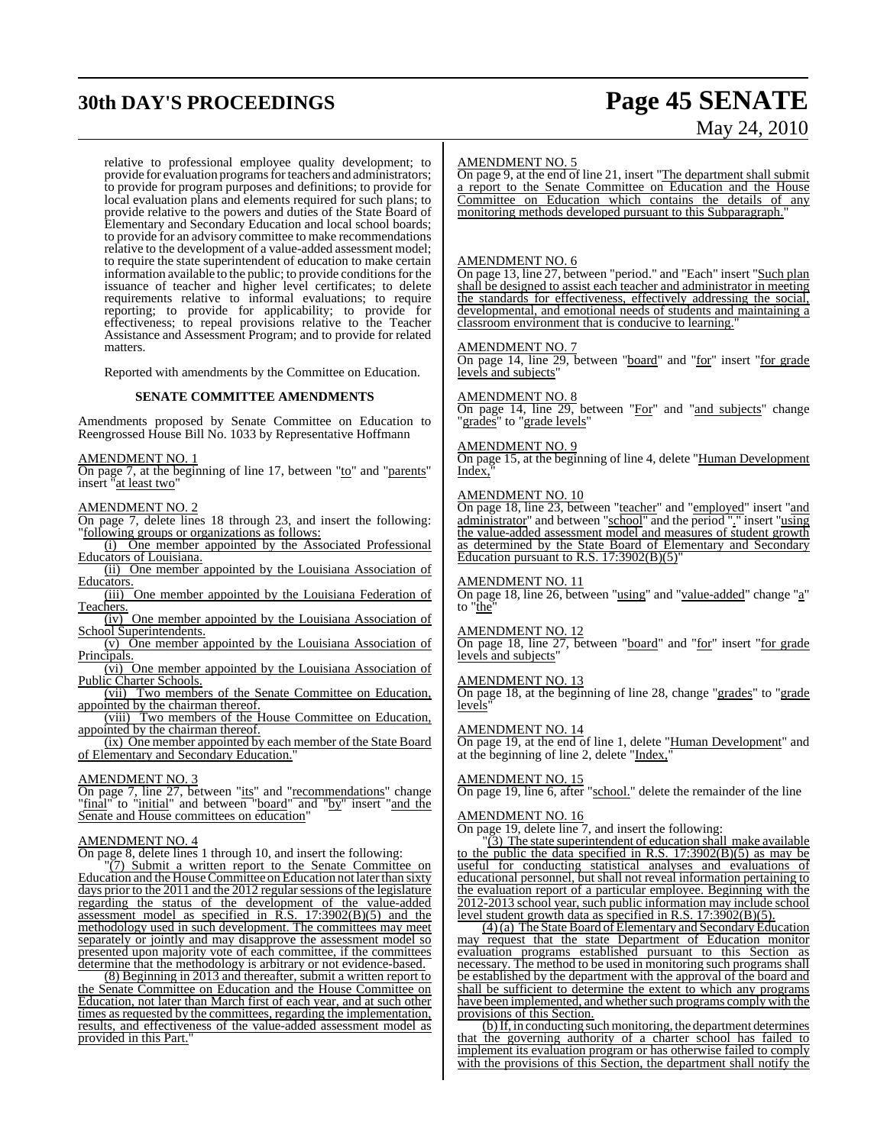# **30th DAY'S PROCEEDINGS Page 45 SENATE**

# May 24, 2010

relative to professional employee quality development; to provide for evaluation programs for teachers and administrators; to provide for program purposes and definitions; to provide for local evaluation plans and elements required for such plans; to provide relative to the powers and duties of the State Board of Elementary and Secondary Education and local school boards; to provide for an advisory committee to make recommendations relative to the development of a value-added assessment model; to require the state superintendent of education to make certain information available to the public; to provide conditions for the issuance of teacher and higher level certificates; to delete requirements relative to informal evaluations; to require reporting; to provide for applicability; to provide for effectiveness; to repeal provisions relative to the Teacher Assistance and Assessment Program; and to provide for related matters.

Reported with amendments by the Committee on Education.

#### **SENATE COMMITTEE AMENDMENTS**

Amendments proposed by Senate Committee on Education to Reengrossed House Bill No. 1033 by Representative Hoffmann

#### AMENDMENT NO. 1

On page 7, at the beginning of line 17, between "to" and "parents" insert "at least two"

#### AMENDMENT NO. 2

On page 7, delete lines 18 through 23, and insert the following: "following groups or organizations as follows:

- (i) One member appointed by the Associated Professional Educators of Louisiana.
- (ii) One member appointed by the Louisiana Association of Educators.

(iii) One member appointed by the Louisiana Federation of Teachers.

(iv) One member appointed by the Louisiana Association of School Superintendents.

(v) One member appointed by the Louisiana Association of Principals.

(vi) One member appointed by the Louisiana Association of Public Charter Schools.

(vii) Two members of the Senate Committee on Education, appointed by the chairman thereof.

(viii) Two members of the House Committee on Education, appointed by the chairman thereof.

(ix) One member appointed by each member of the State Board of Elementary and Secondary Education."

#### AMENDMENT NO. 3

On page 7, line 27, between "its" and "recommendations" change "final" to "initial" and between "board" and "by" insert "and the Senate and House committees on education"

#### AMENDMENT NO. 4

On page 8, delete lines 1 through 10, and insert the following:

"(7) Submit a written report to the Senate Committee on Education and the House Committee on Education not later than sixty days prior to the 2011 and the 2012 regular sessions of the legislature regarding the status of the development of the value-added assessment model as specified in R.S. 17:3902(B)(5) and the **EXECUTE:** assessment model as specified in  $R.S. 17:3902(B)(5)$  and the methodology used in such development. The committees may meet separately or jointly and may disapprove the assessment model so presented upon majority vote of each committee, if the committees determine that the methodology is arbitrary or not evidence-based.

(8) Beginning in 2013 and thereafter, submit a written report to the Senate Committee on Education and the House Committee on Education, not later than March first of each year, and at such other times as requested by the committees, regarding the implementation, results, and effectiveness of the value-added assessment model as provided in this Part.'

#### AMENDMENT NO. 5

On page 9, at the end of line 21, insert "The department shall submit a report to the Senate Committee on Education and the House Committee on Education which contains the details of any monitoring methods developed pursuant to this Subparagraph.

#### AMENDMENT NO. 6

On page 13, line 27, between "period." and "Each" insert "Such plan shall be designed to assist each teacher and administrator in meeting the standards for effectiveness, effectively addressing the social, developmental, and emotional needs of students and maintaining a classroom environment that is conducive to learning.

#### AMENDMENT NO. 7

On page 14, line 29, between "board" and "for" insert "for grade levels and subjects'

#### AMENDMENT NO. 8

On page 14, line 29, between "For" and "and subjects" change "grades" to "grade levels"

#### AMENDMENT NO. 9

On page 15, at the beginning of line 4, delete "Human Development Index.

#### AMENDMENT NO. 10

On page 18, line 23, between "teacher" and "employed" insert "and administrator" and between "school" and the period "." insert "using the value-added assessment model and measures of student growth as determined by the State Board of Elementary and Secondary Education pursuant to R.S.  $17:3902(B)(5)$ 

#### AMENDMENT NO. 11

On page 18, line 26, between "using" and "value-added" change "a" to "the"

#### AMENDMENT NO. 12

On page 18, line 27, between "board" and "for" insert "for grade levels and subjects"

#### AMENDMENT NO. 13

On page 18, at the beginning of line 28, change "grades" to "grade levels"

#### AMENDMENT NO. 14

On page 19, at the end of line 1, delete "Human Development" and at the beginning of line 2, delete "Index,

#### AMENDMENT NO. 15

On page 19, line 6, after "school." delete the remainder of the line

#### AMENDMENT NO. 16

On page 19, delete line 7, and insert the following:

"(3) The state superintendent of education shall make available to the public the data specified in R.S.  $17:3902(B)(5)$  as may be useful for conducting statistical analyses and evaluations of educational personnel, but shall not reveal information pertaining to the evaluation report of a particular employee. Beginning with the 2012-2013 school year, such public information may include school level student growth data as specified in R.S. 17:3902(B)(5).

(4)(a) The State Board of Elementary and Secondary Education may request that the state Department of Education monitor evaluation programs established pursuant to this Section as necessary. The method to be used in monitoring such programs shall be established by the department with the approval of the board and shall be sufficient to determine the extent to which any programs have been implemented, and whether such programs comply with the provisions of this Section.

 $(b)$  If, in conducting such monitoring, the department determines that the governing authority of a charter school has failed to implement its evaluation program or has otherwise failed to comply with the provisions of this Section, the department shall notify the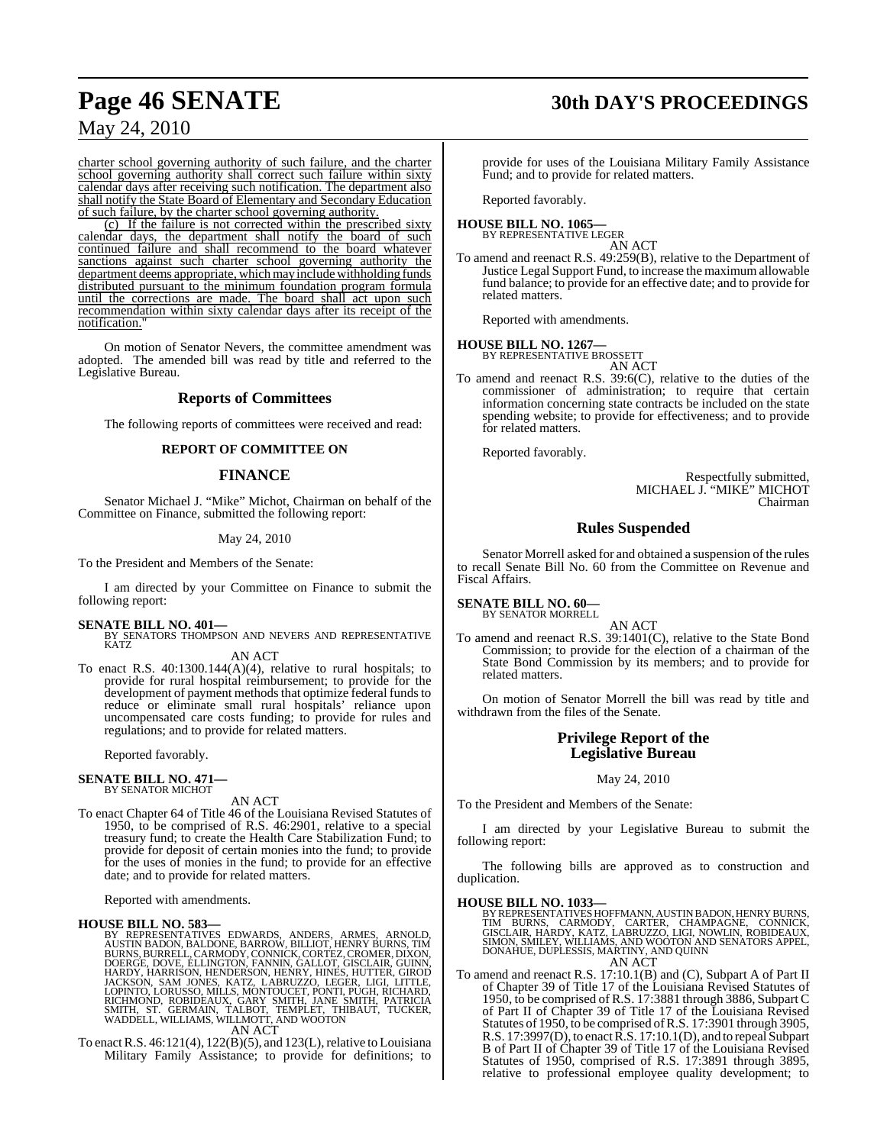# **Page 46 SENATE 30th DAY'S PROCEEDINGS**

## May 24, 2010

charter school governing authority of such failure, and the charter school governing authority shall correct such failure within sixty calendar days after receiving such notification. The department also shall notify the State Board of Elementary and Secondary Education of such failure, by the charter school governing authority.

(c) If the failure is not corrected within the prescribed sixty calendar days, the department shall notify the board of such continued failure and shall recommend to the board whatever sanctions against such charter school governing authority the department deems appropriate, which may include withholding funds distributed pursuant to the minimum foundation program formula until the corrections are made. The board shall act upon such recommendation within sixty calendar days after its receipt of the notification.

On motion of Senator Nevers, the committee amendment was adopted. The amended bill was read by title and referred to the Legislative Bureau.

#### **Reports of Committees**

The following reports of committees were received and read:

#### **REPORT OF COMMITTEE ON**

#### **FINANCE**

Senator Michael J. "Mike" Michot, Chairman on behalf of the Committee on Finance, submitted the following report:

#### May 24, 2010

To the President and Members of the Senate:

I am directed by your Committee on Finance to submit the following report:

**SENATE BILL NO. 401—**<br>BY SENATORS THOMPSON AND NEVERS AND REPRESENTATIVE KATZ AN ACT

To enact R.S. 40:1300.144(A)(4), relative to rural hospitals; to provide for rural hospital reimbursement; to provide for the development of payment methods that optimize federal funds to reduce or eliminate small rural hospitals' reliance upon uncompensated care costs funding; to provide for rules and regulations; and to provide for related matters.

Reported favorably.

#### **SENATE BILL NO. 471—** BY SENATOR MICHOT

AN ACT

To enact Chapter 64 of Title 46 of the Louisiana Revised Statutes of 1950, to be comprised of R.S. 46:2901, relative to a special treasury fund; to create the Health Care Stabilization Fund; to provide for deposit of certain monies into the fund; to provide for the uses of monies in the fund; to provide for an effective date; and to provide for related matters.

Reported with amendments.

**HOUSE BILL NO. 583—**<br>BY REPRESENTATIVES EDWARDS, ANDERS, ARMES, ARNOLD, AUSTIN BADON, BALDONE, BARROW, BILLIOT, HENRY BURNS, TIM<br>BURNS, BURRELL, CARMODY, CONNICK, CORTEZ, CROMER, DIXON,<br>DOERGE, DOVE, ELLINGTON, FANNIN, GA

AN ACT

To enact R.S.  $46:121(4)$ ,  $122(B)(5)$ , and  $123(L)$ , relative to Louisiana Military Family Assistance; to provide for definitions; to

provide for uses of the Louisiana Military Family Assistance Fund; and to provide for related matters.

Reported favorably.

#### **HOUSE BILL NO. 1065—** BY REPRESENTATIVE LEGER

AN ACT

To amend and reenact R.S. 49:259(B), relative to the Department of Justice Legal Support Fund, to increase the maximumallowable fund balance; to provide for an effective date; and to provide for related matters.

Reported with amendments.

#### **HOUSE BILL NO. 1267—**

BY REPRESENTATIVE BROSSETT AN ACT

To amend and reenact R.S. 39:6(C), relative to the duties of the commissioner of administration; to require that certain information concerning state contracts be included on the state spending website; to provide for effectiveness; and to provide for related matters.

Reported favorably.

Respectfully submitted, MICHAEL J. "MIKE" MICHOT Chairman

#### **Rules Suspended**

Senator Morrell asked for and obtained a suspension of the rules to recall Senate Bill No. 60 from the Committee on Revenue and Fiscal Affairs.

**SENATE BILL NO. 60—** BY SENATOR MORRELL

AN ACT

To amend and reenact R.S. 39:1401(C), relative to the State Bond Commission; to provide for the election of a chairman of the State Bond Commission by its members; and to provide for related matters.

On motion of Senator Morrell the bill was read by title and withdrawn from the files of the Senate.

### **Privilege Report of the Legislative Bureau**

#### May 24, 2010

To the President and Members of the Senate:

I am directed by your Legislative Bureau to submit the following report:

The following bills are approved as to construction and duplication.

**HOUSE BILL NO. 1033—**<br>BY REPRESENTATIVES HOFFMANN, AUSTIN BADON, HENRY BURNS, TIM BURNS, CARMODY, CARTER, CHAMPAGNE, CONNICK,<br>GISCLAIR, HARDY, KATZ, LABRUZZO, LIGI, NOWLIN, ROBIDEAUX,<br>SIMON, SMILEY, WILLIAMS, AND WOOTON A

To amend and reenact R.S. 17:10.1(B) and (C), Subpart A of Part II To amend and reenact R.S. 17:10.1(B) and (C), Subpart A of Part II of Chapter 39 of Title 17 of the Louisiana Revised Statutes of 1950, to be comprised of R.S. 17:3881 through 3886, Subpart C of Part II of Chapter 39 of Title 17 of the Louisiana Revised Statutes of 1950, to be comprised ofR.S. 17:3901 through 3905, R.S. 17:3997(D), to enact R.S. 17:10.1(D), and to repeal Subpart B of Part II of Chapter 39 of Title 17 of the Louisiana Revised Statutes of 1950, comprised of R.S. 17:3891 through 3895, relative to professional employee quality development; to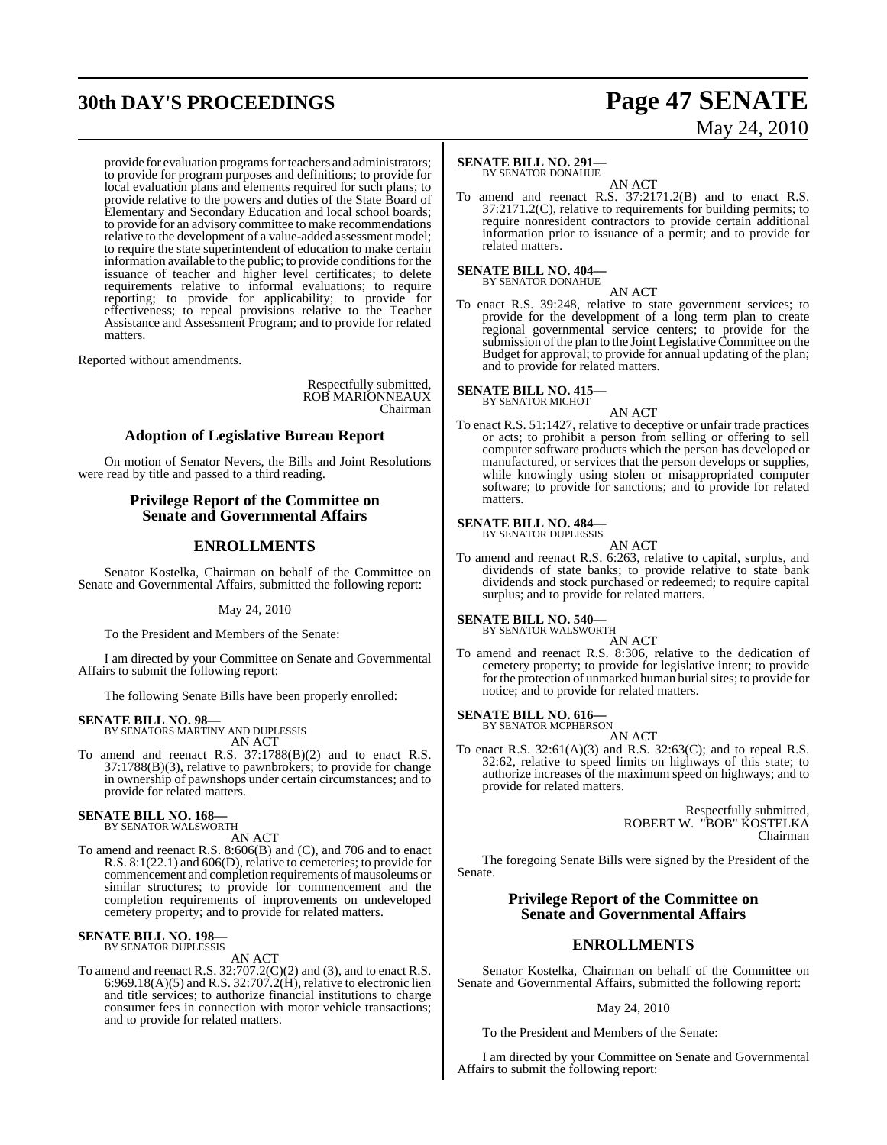# **30th DAY'S PROCEEDINGS Page 47 SENATE**

provide for evaluation programs for teachers and administrators; to provide for program purposes and definitions; to provide for local evaluation plans and elements required for such plans; to provide relative to the powers and duties of the State Board of Elementary and Secondary Education and local school boards; to provide for an advisory committee to make recommendations relative to the development of a value-added assessment model; to require the state superintendent of education to make certain information available to the public; to provide conditions for the issuance of teacher and higher level certificates; to delete requirements relative to informal evaluations; to require reporting; to provide for applicability; to provide for effectiveness; to repeal provisions relative to the Teacher Assistance and Assessment Program; and to provide for related matters.

Reported without amendments.

Respectfully submitted, ROB MARIONNEAUX Chairman

#### **Adoption of Legislative Bureau Report**

On motion of Senator Nevers, the Bills and Joint Resolutions were read by title and passed to a third reading.

#### **Privilege Report of the Committee on Senate and Governmental Affairs**

#### **ENROLLMENTS**

Senator Kostelka, Chairman on behalf of the Committee on Senate and Governmental Affairs, submitted the following report:

May 24, 2010

To the President and Members of the Senate:

I am directed by your Committee on Senate and Governmental Affairs to submit the following report:

The following Senate Bills have been properly enrolled:

#### **SENATE BILL NO. 98—**

BY SENATORS MARTINY AND DUPLESSIS AN ACT

To amend and reenact R.S. 37:1788(B)(2) and to enact R.S. 37:1788(B)(3), relative to pawnbrokers; to provide for change in ownership of pawnshops under certain circumstances; and to provide for related matters.

# **SENATE BILL NO. 168—** BY SENATOR WALSWORTH

AN ACT

To amend and reenact R.S. 8:606(B) and (C), and 706 and to enact R.S. 8:1(22.1) and 606(D), relative to cemeteries; to provide for commencement and completion requirements of mausoleums or similar structures; to provide for commencement and the completion requirements of improvements on undeveloped cemetery property; and to provide for related matters.

# **SENATE BILL NO. 198—** BY SENATOR DUPLESSIS

AN ACT

To amend and reenact R.S. 32:707.2(C)(2) and (3), and to enact R.S. 6:969.18(A)(5) and R.S. 32:707.2(H), relative to electronic lien and title services; to authorize financial institutions to charge consumer fees in connection with motor vehicle transactions; and to provide for related matters.

# May 24, 2010

#### **SENATE BILL NO. 291—** BY SENATOR DONAHUE

AN ACT

To amend and reenact R.S. 37:2171.2(B) and to enact R.S. 37:2171.2(C), relative to requirements for building permits; to require nonresident contractors to provide certain additional information prior to issuance of a permit; and to provide for related matters.

**SENATE BILL NO. 404—** BY SENATOR DONAHUE

AN ACT

To enact R.S. 39:248, relative to state government services; to provide for the development of a long term plan to create regional governmental service centers; to provide for the submission of the plan to the Joint Legislative Committee on the Budget for approval; to provide for annual updating of the plan; and to provide for related matters.

**SENATE BILL NO. 415—** BY SENATOR MICHOT

AN ACT

To enact R.S. 51:1427, relative to deceptive or unfair trade practices or acts; to prohibit a person from selling or offering to sell computer software products which the person has developed or manufactured, or services that the person develops or supplies, while knowingly using stolen or misappropriated computer software; to provide for sanctions; and to provide for related matters.

# **SENATE BILL NO. 484—** BY SENATOR DUPLESSIS

AN ACT

To amend and reenact R.S. 6:263, relative to capital, surplus, and dividends of state banks; to provide relative to state bank dividends and stock purchased or redeemed; to require capital surplus; and to provide for related matters.

# **SENATE BILL NO. 540—** BY SENATOR WALSWORTH

AN ACT

To amend and reenact R.S. 8:306, relative to the dedication of cemetery property; to provide for legislative intent; to provide for the protection of unmarked human burial sites; to provide for notice; and to provide for related matters.

# **SENATE BILL NO. 616—** BY SENATOR MCPHERSON

AN ACT

To enact R.S.  $32:61(A)(3)$  and R.S.  $32:63(C)$ ; and to repeal R.S. 32:62, relative to speed limits on highways of this state; to authorize increases of the maximum speed on highways; and to provide for related matters.

> Respectfully submitted, ROBERT W. "BOB" KOSTELKA Chairman

The foregoing Senate Bills were signed by the President of the Senate.

#### **Privilege Report of the Committee on Senate and Governmental Affairs**

### **ENROLLMENTS**

Senator Kostelka, Chairman on behalf of the Committee on Senate and Governmental Affairs, submitted the following report:

#### May 24, 2010

To the President and Members of the Senate:

I am directed by your Committee on Senate and Governmental Affairs to submit the following report: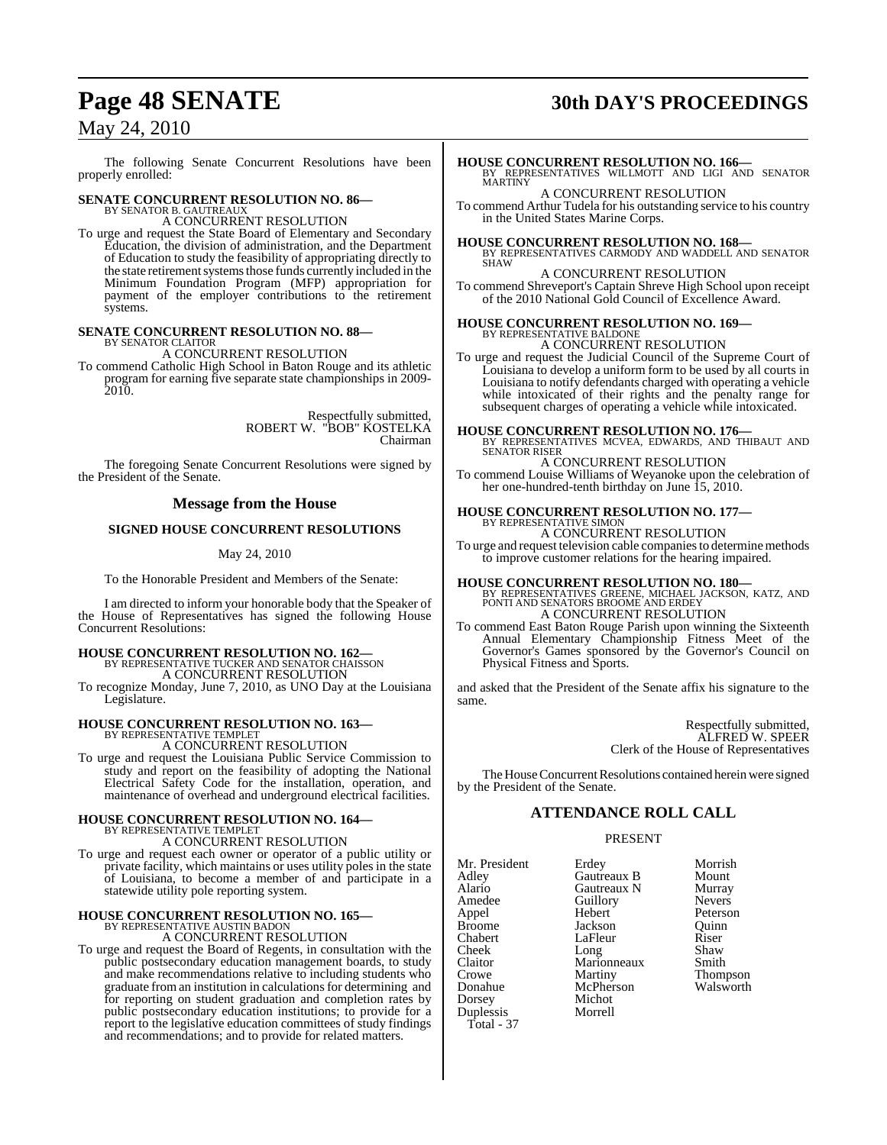# **Page 48 SENATE 30th DAY'S PROCEEDINGS**

## May 24, 2010

The following Senate Concurrent Resolutions have been properly enrolled:

# **SENATE CONCURRENT RESOLUTION NO. 86—** BY SENATOR B. GAUTREAUX

A CONCURRENT RESOLUTION

To urge and request the State Board of Elementary and Secondary Education, the division of administration, and the Department of Education to study the feasibility of appropriating directly to the state retirement systems those funds currently included in the Minimum Foundation Program (MFP) appropriation for payment of the employer contributions to the retirement systems.

#### **SENATE CONCURRENT RESOLUTION NO. 88—** BY SENATOR CLAITOR

A CONCURRENT RESOLUTION

To commend Catholic High School in Baton Rouge and its athletic program for earning five separate state championships in 2009- 2010.

> Respectfully submitted, ROBERT W. "BOB" KOSTELKA Chairman

The foregoing Senate Concurrent Resolutions were signed by the President of the Senate.

#### **Message from the House**

#### **SIGNED HOUSE CONCURRENT RESOLUTIONS**

#### May 24, 2010

To the Honorable President and Members of the Senate:

I am directed to inform your honorable body that the Speaker of the House of Representatives has signed the following House Concurrent Resolutions:

## **HOUSE CONCURRENT RESOLUTION NO. 162—** BY REPRESENTATIVE TUCKER AND SENATOR CHAISSON A CONCURRENT RESOLUTION

To recognize Monday, June 7, 2010, as UNO Day at the Louisiana Legislature.

# **HOUSE CONCURRENT RESOLUTION NO. 163—** BY REPRESENTATIVE TEMPLET

A CONCURRENT RESOLUTION

To urge and request the Louisiana Public Service Commission to study and report on the feasibility of adopting the National Electrical Safety Code for the installation, operation, and maintenance of overhead and underground electrical facilities.

## **HOUSE CONCURRENT RESOLUTION NO. 164—** BY REPRESENTATIVE TEMPLET A CONCURRENT RESOLUTION

To urge and request each owner or operator of a public utility or private facility, which maintains or uses utility poles in the state of Louisiana, to become a member of and participate in a statewide utility pole reporting system.

#### **HOUSE CONCURRENT RESOLUTION NO. 165—** BY REPRESENTATIVE AUSTIN BADON

A CONCURRENT RESOLUTION

To urge and request the Board of Regents, in consultation with the public postsecondary education management boards, to study and make recommendations relative to including students who graduate from an institution in calculationsfor determining and for reporting on student graduation and completion rates by public postsecondary education institutions; to provide for a report to the legislative education committees of study findings and recommendations; and to provide for related matters.

**HOUSE CONCURRENT RESOLUTION NO. 166—** BY REPRESENTATIVES WILLMOTT AND LIGI AND SENATOR MARTINY A CONCURRENT RESOLUTION

To commend Arthur Tudela for his outstanding service to his country in the United States Marine Corps.

**HOUSE CONCURRENT RESOLUTION NO. 168—** BY REPRESENTATIVES CARMODY AND WADDELL AND SENATOR SHAW

A CONCURRENT RESOLUTION

To commend Shreveport's Captain Shreve High School upon receipt of the 2010 National Gold Council of Excellence Award.

# **HOUSE CONCURRENT RESOLUTION NO. 169—** BY REPRESENTATIVE BALDONE

A CONCURRENT RESOLUTION

To urge and request the Judicial Council of the Supreme Court of Louisiana to develop a uniform form to be used by all courts in Louisiana to notify defendants charged with operating a vehicle while intoxicated of their rights and the penalty range for subsequent charges of operating a vehicle while intoxicated.

**HOUSE CONCURRENT RESOLUTION NO. 176—** BY REPRESENTATIVES MCVEA, EDWARDS, AND THIBAUT AND SENATOR RISER

A CONCURRENT RESOLUTION

To commend Louise Williams of Weyanoke upon the celebration of her one-hundred-tenth birthday on June 15, 2010.

# **HOUSE CONCURRENT RESOLUTION NO. 177—** BY REPRESENTATIVE SIMON

A CONCURRENT RESOLUTION To urge and request television cable companies to determine methods to improve customer relations for the hearing impaired.

**HOUSE CONCURRENT RESOLUTION NO. 180—** BY REPRESENTATIVES GREENE, MICHAEL JACKSON, KATZ, AND PONTI AND SENATORS BROOME AND ERDEY A CONCURRENT RESOLUTION

To commend East Baton Rouge Parish upon winning the Sixteenth Annual Elementary Championship Fitness Meet of the Governor's Games sponsored by the Governor's Council on Physical Fitness and Sports.

and asked that the President of the Senate affix his signature to the same.

> Respectfully submitted, ALFRED W. SPEER Clerk of the House of Representatives

The House Concurrent Resolutions contained herein were signed by the President of the Senate.

#### **ATTENDANCE ROLL CALL**

#### PRESENT

Mr. President Erdey Morrish<br>Adley Gautreaux B Mount Adley Gautreaux B Mount Alario Gautreaux N Murray Appel Broome **Jackson** Quinn<br>Chabert LaFleur Riser Chabert LaFleur Riser<br>Cheek Long Shaw Cheek Long Shaw Claitor Marionneaux Smith Crowe Martiny Thompson<br>
Donahue McPherson Walsworth Donahue McPherson<br>Dorsey Michot Duplessis Total - 37

Amedeu<br>
Amedeu<br>
Amedeu<br>
Referson<br>
Referson Michot<br>Morrell